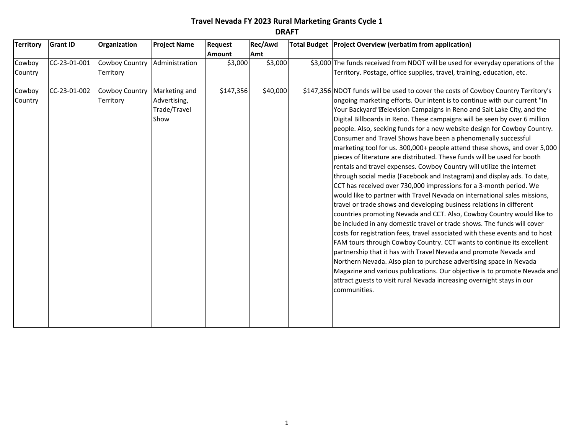| <b>Territory</b>  | <b>Grant ID</b> | Organization                | <b>Project Name</b>                                   | Request       | Rec/Awd  | Total Budget Project Overview (verbatim from application)                                                                                                                                                                                                                                                                                                                                                                                                                                                                                                                                                                                                                                                                                                                                                                                                                                                                                                                                                                                                                                                                                                                                                                                                                                                                                                                                                                                                                                                                                                                                                                                     |
|-------------------|-----------------|-----------------------------|-------------------------------------------------------|---------------|----------|-----------------------------------------------------------------------------------------------------------------------------------------------------------------------------------------------------------------------------------------------------------------------------------------------------------------------------------------------------------------------------------------------------------------------------------------------------------------------------------------------------------------------------------------------------------------------------------------------------------------------------------------------------------------------------------------------------------------------------------------------------------------------------------------------------------------------------------------------------------------------------------------------------------------------------------------------------------------------------------------------------------------------------------------------------------------------------------------------------------------------------------------------------------------------------------------------------------------------------------------------------------------------------------------------------------------------------------------------------------------------------------------------------------------------------------------------------------------------------------------------------------------------------------------------------------------------------------------------------------------------------------------------|
|                   |                 |                             |                                                       | <b>Amount</b> | Amt      |                                                                                                                                                                                                                                                                                                                                                                                                                                                                                                                                                                                                                                                                                                                                                                                                                                                                                                                                                                                                                                                                                                                                                                                                                                                                                                                                                                                                                                                                                                                                                                                                                                               |
| Cowboy<br>Country | CC-23-01-001    | Cowboy Country<br>Territory | Administration                                        | \$3,000       | \$3,000  | \$3,000 The funds received from NDOT will be used for everyday operations of the<br>Territory. Postage, office supplies, travel, training, education, etc.                                                                                                                                                                                                                                                                                                                                                                                                                                                                                                                                                                                                                                                                                                                                                                                                                                                                                                                                                                                                                                                                                                                                                                                                                                                                                                                                                                                                                                                                                    |
| Cowboy<br>Country | CC-23-01-002    | Cowboy Country<br>Territory | Marketing and<br>Advertising,<br>Trade/Travel<br>Show | \$147,356     | \$40,000 | \$147,356 NDOT funds will be used to cover the costs of Cowboy Country Territory's<br>ongoing marketing efforts. Our intent is to continue with our current "In<br>Your Backyard"•Television Campaigns in Reno and Salt Lake City, and the<br>Digital Billboards in Reno. These campaigns will be seen by over 6 million<br>people. Also, seeking funds for a new website design for Cowboy Country.<br>Consumer and Travel Shows have been a phenomenally successful<br>marketing tool for us. 300,000+ people attend these shows, and over 5,000<br>pieces of literature are distributed. These funds will be used for booth<br>rentals and travel expenses. Cowboy Country will utilize the internet<br>through social media (Facebook and Instagram) and display ads. To date,<br>CCT has received over 730,000 impressions for a 3-month period. We<br>would like to partner with Travel Nevada on international sales missions,<br>travel or trade shows and developing business relations in different<br>countries promoting Nevada and CCT. Also, Cowboy Country would like to<br>be included in any domestic travel or trade shows. The funds will cover<br>costs for registration fees, travel associated with these events and to host<br>FAM tours through Cowboy Country. CCT wants to continue its excellent<br>partnership that it has with Travel Nevada and promote Nevada and<br>Northern Nevada. Also plan to purchase advertising space in Nevada<br>Magazine and various publications. Our objective is to promote Nevada and<br>attract guests to visit rural Nevada increasing overnight stays in our<br>communities. |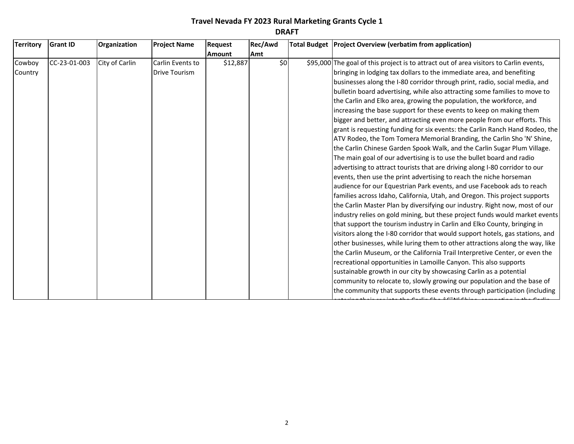| <b>Territory</b> | <b>Grant ID</b> | Organization   | <b>Project Name</b>  | <b>Request</b> | Rec/Awd | Total Budget   Project Overview (verbatim from application)                            |
|------------------|-----------------|----------------|----------------------|----------------|---------|----------------------------------------------------------------------------------------|
|                  |                 |                |                      | <b>Amount</b>  | Amt     |                                                                                        |
| Cowboy           | CC-23-01-003    | City of Carlin | Carlin Events to     | \$12,887       | \$0     | \$95,000 The goal of this project is to attract out of area visitors to Carlin events, |
| Country          |                 |                | <b>Drive Tourism</b> |                |         | bringing in lodging tax dollars to the immediate area, and benefiting                  |
|                  |                 |                |                      |                |         | businesses along the I-80 corridor through print, radio, social media, and             |
|                  |                 |                |                      |                |         | bulletin board advertising, while also attracting some families to move to             |
|                  |                 |                |                      |                |         | the Carlin and Elko area, growing the population, the workforce, and                   |
|                  |                 |                |                      |                |         | increasing the base support for these events to keep on making them                    |
|                  |                 |                |                      |                |         | bigger and better, and attracting even more people from our efforts. This              |
|                  |                 |                |                      |                |         | grant is requesting funding for six events: the Carlin Ranch Hand Rodeo, the           |
|                  |                 |                |                      |                |         | ATV Rodeo, the Tom Tomera Memorial Branding, the Carlin Sho 'N' Shine,                 |
|                  |                 |                |                      |                |         | the Carlin Chinese Garden Spook Walk, and the Carlin Sugar Plum Village.               |
|                  |                 |                |                      |                |         | The main goal of our advertising is to use the bullet board and radio                  |
|                  |                 |                |                      |                |         | advertising to attract tourists that are driving along I-80 corridor to our            |
|                  |                 |                |                      |                |         | events, then use the print advertising to reach the niche horseman                     |
|                  |                 |                |                      |                |         | audience for our Equestrian Park events, and use Facebook ads to reach                 |
|                  |                 |                |                      |                |         | families across Idaho, California, Utah, and Oregon. This project supports             |
|                  |                 |                |                      |                |         | the Carlin Master Plan by diversifying our industry. Right now, most of our            |
|                  |                 |                |                      |                |         | industry relies on gold mining, but these project funds would market events            |
|                  |                 |                |                      |                |         | that support the tourism industry in Carlin and Elko County, bringing in               |
|                  |                 |                |                      |                |         | visitors along the I-80 corridor that would support hotels, gas stations, and          |
|                  |                 |                |                      |                |         | other businesses, while luring them to other attractions along the way, like           |
|                  |                 |                |                      |                |         | the Carlin Museum, or the California Trail Interpretive Center, or even the            |
|                  |                 |                |                      |                |         | recreational opportunities in Lamoille Canyon. This also supports                      |
|                  |                 |                |                      |                |         | sustainable growth in our city by showcasing Carlin as a potential                     |
|                  |                 |                |                      |                |         | community to relocate to, slowly growing our population and the base of                |
|                  |                 |                |                      |                |         | the community that supports these events through participation (including              |
|                  |                 |                |                      |                |         |                                                                                        |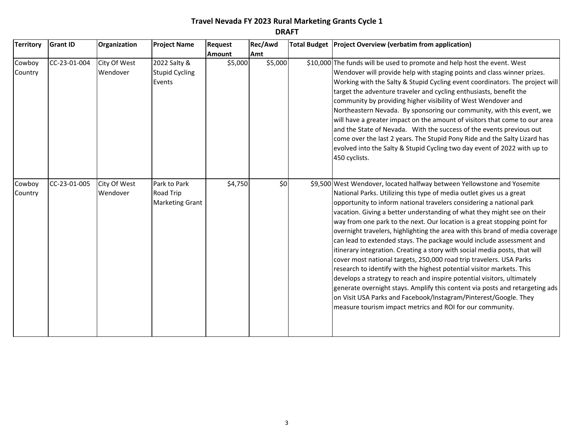| <b>Territory</b>  | <b>Grant ID</b> | Organization             | <b>Project Name</b>                                        | <b>Request</b> | Rec/Awd | Total Budget Project Overview (verbatim from application)                                                                                                                                                                                                                                                                                                                                                                                                                                                                                                                                                                                                                                                                                                                                                                                                                                                                                                                                                                                                         |
|-------------------|-----------------|--------------------------|------------------------------------------------------------|----------------|---------|-------------------------------------------------------------------------------------------------------------------------------------------------------------------------------------------------------------------------------------------------------------------------------------------------------------------------------------------------------------------------------------------------------------------------------------------------------------------------------------------------------------------------------------------------------------------------------------------------------------------------------------------------------------------------------------------------------------------------------------------------------------------------------------------------------------------------------------------------------------------------------------------------------------------------------------------------------------------------------------------------------------------------------------------------------------------|
|                   |                 |                          |                                                            | <b>Amount</b>  | Amt     |                                                                                                                                                                                                                                                                                                                                                                                                                                                                                                                                                                                                                                                                                                                                                                                                                                                                                                                                                                                                                                                                   |
| Cowboy<br>Country | CC-23-01-004    | City Of West<br>Wendover | 2022 Salty &<br><b>Stupid Cycling</b><br>Events            | \$5,000        | \$5,000 | \$10,000 The funds will be used to promote and help host the event. West<br>Wendover will provide help with staging points and class winner prizes.<br>Working with the Salty & Stupid Cycling event coordinators. The project will<br>target the adventure traveler and cycling enthusiasts, benefit the<br>community by providing higher visibility of West Wendover and<br>Northeastern Nevada. By sponsoring our community, with this event, we<br>will have a greater impact on the amount of visitors that come to our area<br>and the State of Nevada. With the success of the events previous out<br>come over the last 2 years. The Stupid Pony Ride and the Salty Lizard has<br>evolved into the Salty & Stupid Cycling two day event of 2022 with up to<br>450 cyclists.                                                                                                                                                                                                                                                                               |
| Cowboy<br>Country | CC-23-01-005    | City Of West<br>Wendover | Park to Park<br><b>Road Trip</b><br><b>Marketing Grant</b> | \$4,750        | \$0     | \$9,500 West Wendover, located halfway between Yellowstone and Yosemite<br>National Parks. Utilizing this type of media outlet gives us a great<br>opportunity to inform national travelers considering a national park<br>vacation. Giving a better understanding of what they might see on their<br>way from one park to the next. Our location is a great stopping point for<br>overnight travelers, highlighting the area with this brand of media coverage<br>can lead to extended stays. The package would include assessment and<br>itinerary integration. Creating a story with social media posts, that will<br>cover most national targets, 250,000 road trip travelers. USA Parks<br>research to identify with the highest potential visitor markets. This<br>develops a strategy to reach and inspire potential visitors, ultimately<br>generate overnight stays. Amplify this content via posts and retargeting ads<br>on Visit USA Parks and Facebook/Instagram/Pinterest/Google. They<br>measure tourism impact metrics and ROI for our community. |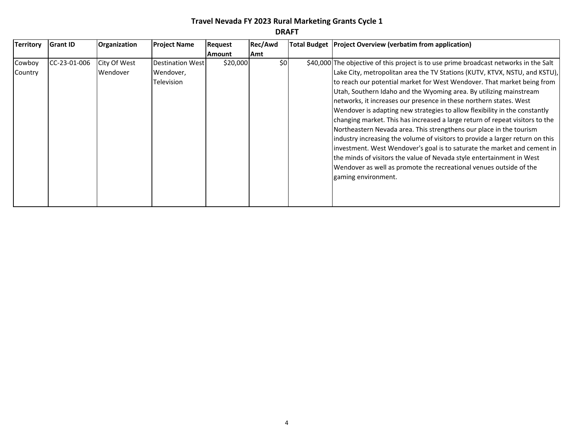| <b>Territory</b> | <b>Grant ID</b> | Organization | <b>Project Name</b> | <b>Request</b> | Rec/Awd | Total Budget   Project Overview (verbatim from application)                           |
|------------------|-----------------|--------------|---------------------|----------------|---------|---------------------------------------------------------------------------------------|
|                  |                 |              |                     | <b>Amount</b>  | Amt     |                                                                                       |
| Cowboy           | CC-23-01-006    | City Of West | Destination West    | \$20,000       | \$0     | \$40,000 The objective of this project is to use prime broadcast networks in the Salt |
| Country          |                 | Wendover     | Wendover,           |                |         | Lake City, metropolitan area the TV Stations (KUTV, KTVX, NSTU, and KSTU),            |
|                  |                 |              | <b>Television</b>   |                |         | to reach our potential market for West Wendover. That market being from               |
|                  |                 |              |                     |                |         | Utah, Southern Idaho and the Wyoming area. By utilizing mainstream                    |
|                  |                 |              |                     |                |         | networks, it increases our presence in these northern states. West                    |
|                  |                 |              |                     |                |         | Wendover is adapting new strategies to allow flexibility in the constantly            |
|                  |                 |              |                     |                |         | changing market. This has increased a large return of repeat visitors to the          |
|                  |                 |              |                     |                |         | Northeastern Nevada area. This strengthens our place in the tourism                   |
|                  |                 |              |                     |                |         | industry increasing the volume of visitors to provide a larger return on this         |
|                  |                 |              |                     |                |         | investment. West Wendover's goal is to saturate the market and cement in              |
|                  |                 |              |                     |                |         | the minds of visitors the value of Nevada style entertainment in West                 |
|                  |                 |              |                     |                |         | Wendover as well as promote the recreational venues outside of the                    |
|                  |                 |              |                     |                |         | gaming environment.                                                                   |
|                  |                 |              |                     |                |         |                                                                                       |
|                  |                 |              |                     |                |         |                                                                                       |
|                  |                 |              |                     |                |         |                                                                                       |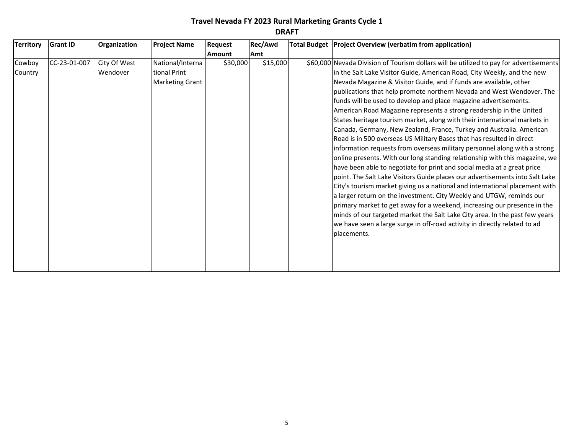| Amt<br><b>Amount</b><br>\$15,000<br>Cowboy<br>CC-23-01-007<br>City Of West<br>National/Interna<br>\$30,000<br>\$60,000 Nevada Division of Tourism dollars will be utilized to pay for advertisements<br>Wendover<br>in the Salt Lake Visitor Guide, American Road, City Weekly, and the new<br>tional Print<br>Country<br>Nevada Magazine & Visitor Guide, and if funds are available, other<br><b>Marketing Grant</b><br>publications that help promote northern Nevada and West Wendover. The<br>funds will be used to develop and place magazine advertisements.<br>American Road Magazine represents a strong readership in the United<br>States heritage tourism market, along with their international markets in<br>Canada, Germany, New Zealand, France, Turkey and Australia. American<br>Road is in 500 overseas US Military Bases that has resulted in direct |  |
|--------------------------------------------------------------------------------------------------------------------------------------------------------------------------------------------------------------------------------------------------------------------------------------------------------------------------------------------------------------------------------------------------------------------------------------------------------------------------------------------------------------------------------------------------------------------------------------------------------------------------------------------------------------------------------------------------------------------------------------------------------------------------------------------------------------------------------------------------------------------------|--|
|                                                                                                                                                                                                                                                                                                                                                                                                                                                                                                                                                                                                                                                                                                                                                                                                                                                                          |  |
| information requests from overseas military personnel along with a strong<br>online presents. With our long standing relationship with this magazine, we<br>have been able to negotiate for print and social media at a great price<br>point. The Salt Lake Visitors Guide places our advertisements into Salt Lake<br>City's tourism market giving us a national and international placement with<br>a larger return on the investment. City Weekly and UTGW, reminds our<br>primary market to get away for a weekend, increasing our presence in the                                                                                                                                                                                                                                                                                                                   |  |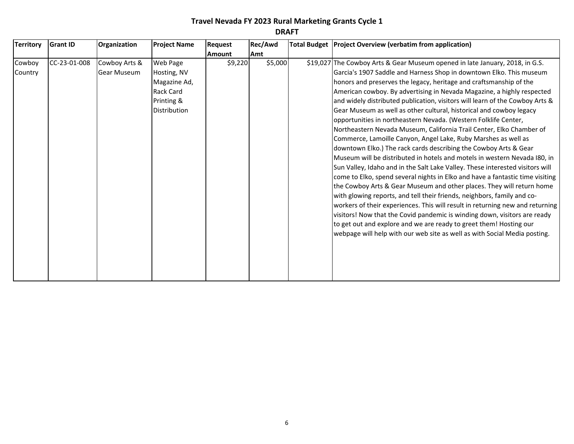| <b>Territory</b>  | <b>Grant ID</b> | Organization                        | <b>Project Name</b>                                         | <b>Request</b> | Rec/Awd | Total Budget   Project Overview (verbatim from application)                                                                                                                                                                                                                                                                                                                                                                                                                                                                                                                                                                                                                                                                                                                                                                                                                                                                                                                                                                                                                                                                                              |
|-------------------|-----------------|-------------------------------------|-------------------------------------------------------------|----------------|---------|----------------------------------------------------------------------------------------------------------------------------------------------------------------------------------------------------------------------------------------------------------------------------------------------------------------------------------------------------------------------------------------------------------------------------------------------------------------------------------------------------------------------------------------------------------------------------------------------------------------------------------------------------------------------------------------------------------------------------------------------------------------------------------------------------------------------------------------------------------------------------------------------------------------------------------------------------------------------------------------------------------------------------------------------------------------------------------------------------------------------------------------------------------|
|                   |                 |                                     |                                                             | <b>Amount</b>  | Amt     |                                                                                                                                                                                                                                                                                                                                                                                                                                                                                                                                                                                                                                                                                                                                                                                                                                                                                                                                                                                                                                                                                                                                                          |
| Cowboy<br>Country | CC-23-01-008    | Cowboy Arts &<br><b>Gear Museum</b> | Web Page<br>Hosting, NV<br>Magazine Ad,<br><b>Rack Card</b> | \$9,220        | \$5,000 | \$19,027 The Cowboy Arts & Gear Museum opened in late January, 2018, in G.S.<br>Garcia's 1907 Saddle and Harness Shop in downtown Elko. This museum<br>honors and preserves the legacy, heritage and craftsmanship of the<br>American cowboy. By advertising in Nevada Magazine, a highly respected                                                                                                                                                                                                                                                                                                                                                                                                                                                                                                                                                                                                                                                                                                                                                                                                                                                      |
|                   |                 |                                     | Printing &<br>Distribution                                  |                |         | and widely distributed publication, visitors will learn of the Cowboy Arts &<br>Gear Museum as well as other cultural, historical and cowboy legacy<br>opportunities in northeastern Nevada. (Western Folklife Center,<br>Northeastern Nevada Museum, California Trail Center, Elko Chamber of<br>Commerce, Lamoille Canyon, Angel Lake, Ruby Marshes as well as<br>downtown Elko.) The rack cards describing the Cowboy Arts & Gear<br>Museum will be distributed in hotels and motels in western Nevada I80, in<br>Sun Valley, Idaho and in the Salt Lake Valley. These interested visitors will<br>come to Elko, spend several nights in Elko and have a fantastic time visiting<br>the Cowboy Arts & Gear Museum and other places. They will return home<br>with glowing reports, and tell their friends, neighbors, family and co-<br>workers of their experiences. This will result in returning new and returning<br>visitors! Now that the Covid pandemic is winding down, visitors are ready<br>to get out and explore and we are ready to greet them! Hosting our<br>webpage will help with our web site as well as with Social Media posting. |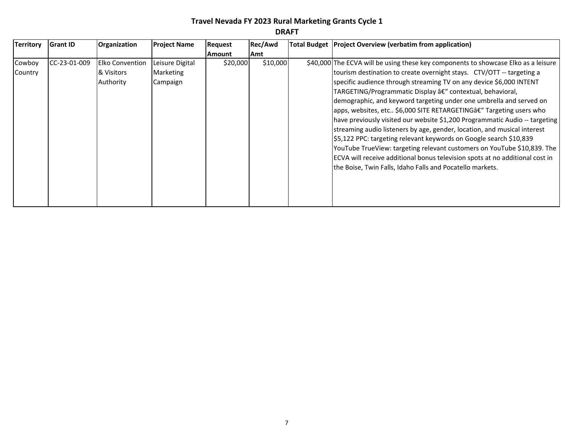| <b>Territory</b> | <b>Grant ID</b> | Organization           | <b>Project Name</b> | <b>Request</b> | Rec/Awd  | Total Budget   Project Overview (verbatim from application)                        |
|------------------|-----------------|------------------------|---------------------|----------------|----------|------------------------------------------------------------------------------------|
|                  |                 |                        |                     | Amount         | Amt      |                                                                                    |
| Cowboy           | CC-23-01-009    | <b>Elko Convention</b> | Leisure Digital     | \$20,000       | \$10,000 | \$40,000 The ECVA will be using these key components to showcase Elko as a leisure |
| Country          |                 | & Visitors             | Marketing           |                |          | tourism destination to create overnight stays. CTV/OTT -- targeting a              |
|                  |                 | Authority              | Campaign            |                |          | specific audience through streaming TV on any device \$6,000 INTENT                |
|                  |                 |                        |                     |                |          | TARGETING/Programmatic Display â€" contextual, behavioral,                         |
|                  |                 |                        |                     |                |          | demographic, and keyword targeting under one umbrella and served on                |
|                  |                 |                        |                     |                |          | apps, websites, etc \$6,000 SITE RETARGETINGâ€" Targeting users who                |
|                  |                 |                        |                     |                |          | have previously visited our website \$1,200 Programmatic Audio -- targeting        |
|                  |                 |                        |                     |                |          | streaming audio listeners by age, gender, location, and musical interest           |
|                  |                 |                        |                     |                |          | \$5,122 PPC: targeting relevant keywords on Google search \$10,839                 |
|                  |                 |                        |                     |                |          | YouTube TrueView: targeting relevant customers on YouTube \$10,839. The            |
|                  |                 |                        |                     |                |          | ECVA will receive additional bonus television spots at no additional cost in       |
|                  |                 |                        |                     |                |          | the Boise, Twin Falls, Idaho Falls and Pocatello markets.                          |
|                  |                 |                        |                     |                |          |                                                                                    |
|                  |                 |                        |                     |                |          |                                                                                    |
|                  |                 |                        |                     |                |          |                                                                                    |
|                  |                 |                        |                     |                |          |                                                                                    |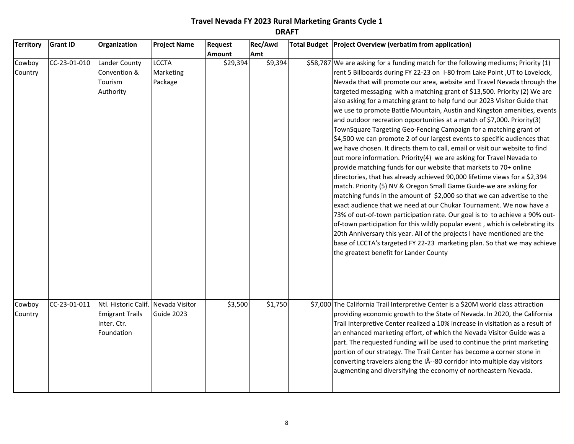| <b>Territory</b>  | <b>Grant ID</b> | Organization                                                                               | <b>Project Name</b>                  | Request  | Rec/Awd | Total Budget   Project Overview (verbatim from application)                                                                                                                                                                                                                                                                                                                                                                                                                                                                                                                                                                                                                                                                                                                                                                                                                                                                                                                                                                                                                                                                                                                                                                                                                                                                                                                                                                                                                                                                                                                                                         |
|-------------------|-----------------|--------------------------------------------------------------------------------------------|--------------------------------------|----------|---------|---------------------------------------------------------------------------------------------------------------------------------------------------------------------------------------------------------------------------------------------------------------------------------------------------------------------------------------------------------------------------------------------------------------------------------------------------------------------------------------------------------------------------------------------------------------------------------------------------------------------------------------------------------------------------------------------------------------------------------------------------------------------------------------------------------------------------------------------------------------------------------------------------------------------------------------------------------------------------------------------------------------------------------------------------------------------------------------------------------------------------------------------------------------------------------------------------------------------------------------------------------------------------------------------------------------------------------------------------------------------------------------------------------------------------------------------------------------------------------------------------------------------------------------------------------------------------------------------------------------------|
|                   |                 |                                                                                            |                                      | Amount   | Amt     |                                                                                                                                                                                                                                                                                                                                                                                                                                                                                                                                                                                                                                                                                                                                                                                                                                                                                                                                                                                                                                                                                                                                                                                                                                                                                                                                                                                                                                                                                                                                                                                                                     |
| Cowboy<br>Country | CC-23-01-010    | <b>Lander County</b><br>Convention &<br>Tourism<br>Authority                               | <b>LCCTA</b><br>Marketing<br>Package | \$29,394 | \$9,394 | \$58,787 We are asking for a funding match for the following mediums; Priority (1)<br>rent 5 Billboards during FY 22-23 on 1-80 from Lake Point, UT to Lovelock,<br>Nevada that will promote our area, website and Travel Nevada through the<br>targeted messaging with a matching grant of \$13,500. Priority (2) We are<br>also asking for a matching grant to help fund our 2023 Visitor Guide that<br>we use to promote Battle Mountain, Austin and Kingston amenities, events<br>and outdoor recreation opportunities at a match of \$7,000. Priority(3)<br>TownSquare Targeting Geo-Fencing Campaign for a matching grant of<br>\$4,500 we can promote 2 of our largest events to specific audiences that<br>we have chosen. It directs them to call, email or visit our website to find<br>out more information. Priority(4) we are asking for Travel Nevada to<br>provide matching funds for our website that markets to 70+ online<br>directories, that has already achieved 90,000 lifetime views for a \$2,394<br>match. Priority (5) NV & Oregon Small Game Guide-we are asking for<br>matching funds in the amount of \$2,000 so that we can advertise to the<br>exact audience that we need at our Chukar Tournament. We now have a<br>73% of out-of-town participation rate. Our goal is to to achieve a 90% out-<br>of-town participation for this wildly popular event, which is celebrating its<br>20th Anniversary this year. All of the projects I have mentioned are the<br>base of LCCTA's targeted FY 22-23 marketing plan. So that we may achieve<br>the greatest benefit for Lander County |
| Cowboy<br>Country | CC-23-01-011    | Ntl. Historic Calif. Nevada Visitor<br><b>Emigrant Trails</b><br>Inter. Ctr.<br>Foundation | Guide 2023                           | \$3,500  | \$1,750 | \$7,000 The California Trail Interpretive Center is a \$20M world class attraction<br>providing economic growth to the State of Nevada. In 2020, the California<br>Trail Interpretive Center realized a 10% increase in visitation as a result of<br>an enhanced marketing effort, of which the Nevada Visitor Guide was a<br>part. The requested funding will be used to continue the print marketing<br>portion of our strategy. The Trail Center has become a corner stone in<br>converting travelers along the IÂ--80 corridor into multiple day visitors<br>augmenting and diversifying the economy of northeastern Nevada.                                                                                                                                                                                                                                                                                                                                                                                                                                                                                                                                                                                                                                                                                                                                                                                                                                                                                                                                                                                    |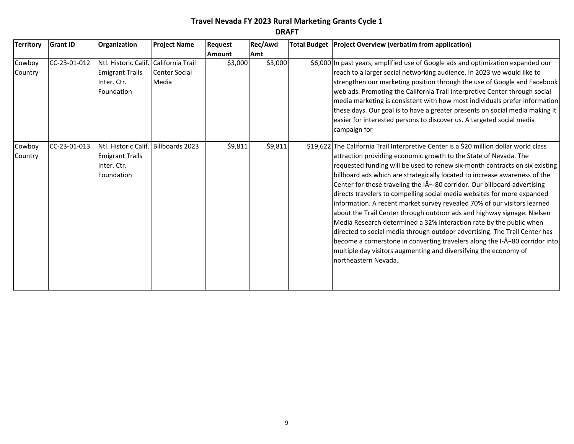| <b>Territory</b>  | <b>Grant ID</b> | Organization                                                                                 | <b>Project Name</b>           | Request       | Rec/Awd | Total Budget   Project Overview (verbatim from application)                                                                                                                                                                                                                                                                                                                                                                                                                                                                                                                                                                                                                                                                                                                                                                                                                                                                                                           |
|-------------------|-----------------|----------------------------------------------------------------------------------------------|-------------------------------|---------------|---------|-----------------------------------------------------------------------------------------------------------------------------------------------------------------------------------------------------------------------------------------------------------------------------------------------------------------------------------------------------------------------------------------------------------------------------------------------------------------------------------------------------------------------------------------------------------------------------------------------------------------------------------------------------------------------------------------------------------------------------------------------------------------------------------------------------------------------------------------------------------------------------------------------------------------------------------------------------------------------|
|                   |                 |                                                                                              |                               | <b>Amount</b> | Amt     |                                                                                                                                                                                                                                                                                                                                                                                                                                                                                                                                                                                                                                                                                                                                                                                                                                                                                                                                                                       |
| Cowboy<br>Country | CC-23-01-012    | Ntl. Historic Calif. California Trail<br><b>Emigrant Trails</b><br>Inter. Ctr.<br>Foundation | <b>Center Social</b><br>Media | \$3,000       | \$3,000 | \$6,000 In past years, amplified use of Google ads and optimization expanded our<br>reach to a larger social networking audience. In 2023 we would like to<br>strengthen our marketing position through the use of Google and Facebook<br>web ads. Promoting the California Trail Interpretive Center through social<br>media marketing is consistent with how most individuals prefer information<br>these days. Our goal is to have a greater presents on social media making it<br>easier for interested persons to discover us. A targeted social media<br>campaign for                                                                                                                                                                                                                                                                                                                                                                                           |
| Cowboy<br>Country | CC-23-01-013    | Ntl. Historic Calif. Billboards 2023<br><b>Emigrant Trails</b><br>Inter. Ctr.<br>Foundation  |                               | \$9,811       | \$9,811 | \$19,622 The California Trail Interpretive Center is a \$20 million dollar world class<br>attraction providing economic growth to the State of Nevada. The<br>requested funding will be used to renew six-month contracts on six existing<br>billboard ads which are strategically located to increase awareness of the<br>Center for those traveling the I¬-80 corridor. Our billboard advertising<br>directs travelers to compelling social media websites for more expanded<br>information. A recent market survey revealed 70% of our visitors learned<br>about the Trail Center through outdoor ads and highway signage. Nielsen<br>Media Research determined a 32% interaction rate by the public when<br>directed to social media through outdoor advertising. The Trail Center has<br>become a cornerstone in converting travelers along the I-Â-80 corridor into<br>multiple day visitors augmenting and diversifying the economy of<br>northeastern Nevada. |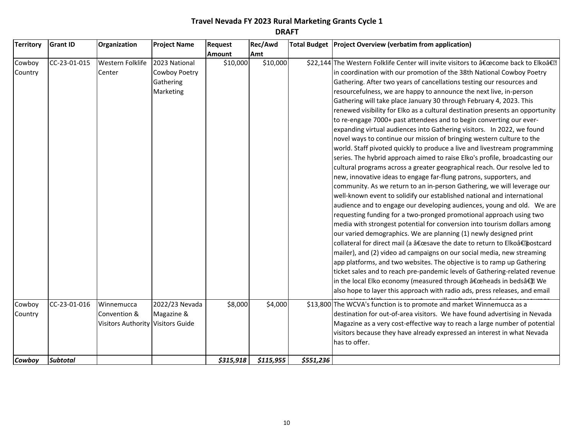| <b>Territory</b> | <b>Grant ID</b> | Organization                      | <b>Project Name</b> | Request       | Rec/Awd   |           | Total Budget   Project Overview (verbatim from application)                        |
|------------------|-----------------|-----------------------------------|---------------------|---------------|-----------|-----------|------------------------------------------------------------------------------------|
|                  |                 |                                   |                     | <b>Amount</b> | Amt       |           |                                                                                    |
| Cowboy           | CC-23-01-015    | Western Folklife                  | 2023 National       | \$10,000      | \$10,000  |           | \$22,144 The Western Folklife Center will invite visitors to "come back to Elkoâ€. |
| Country          |                 | Center                            | Cowboy Poetry       |               |           |           | in coordination with our promotion of the 38th National Cowboy Poetry              |
|                  |                 |                                   | Gathering           |               |           |           | Gathering. After two years of cancellations testing our resources and              |
|                  |                 |                                   | Marketing           |               |           |           | resourcefulness, we are happy to announce the next live, in-person                 |
|                  |                 |                                   |                     |               |           |           | Gathering will take place January 30 through February 4, 2023. This                |
|                  |                 |                                   |                     |               |           |           | renewed visibility for Elko as a cultural destination presents an opportunity      |
|                  |                 |                                   |                     |               |           |           | to re-engage 7000+ past attendees and to begin converting our ever-                |
|                  |                 |                                   |                     |               |           |           | expanding virtual audiences into Gathering visitors. In 2022, we found             |
|                  |                 |                                   |                     |               |           |           | novel ways to continue our mission of bringing western culture to the              |
|                  |                 |                                   |                     |               |           |           | world. Staff pivoted quickly to produce a live and livestream programming          |
|                  |                 |                                   |                     |               |           |           | series. The hybrid approach aimed to raise Elko's profile, broadcasting our        |
|                  |                 |                                   |                     |               |           |           | cultural programs across a greater geographical reach. Our resolve led to          |
|                  |                 |                                   |                     |               |           |           | new, innovative ideas to engage far-flung patrons, supporters, and                 |
|                  |                 |                                   |                     |               |           |           | community. As we return to an in-person Gathering, we will leverage our            |
|                  |                 |                                   |                     |               |           |           | well-known event to solidify our established national and international            |
|                  |                 |                                   |                     |               |           |           | audience and to engage our developing audiences, young and old. We are             |
|                  |                 |                                   |                     |               |           |           | requesting funding for a two-pronged promotional approach using two                |
|                  |                 |                                   |                     |               |           |           | media with strongest potential for conversion into tourism dollars among           |
|                  |                 |                                   |                     |               |           |           | our varied demographics. We are planning (1) newly designed print                  |
|                  |                 |                                   |                     |               |           |           | collateral for direct mail (a "save the date to return to Elko†postcard            |
|                  |                 |                                   |                     |               |           |           | mailer), and (2) video ad campaigns on our social media, new streaming             |
|                  |                 |                                   |                     |               |           |           | app platforms, and two websites. The objective is to ramp up Gathering             |
|                  |                 |                                   |                     |               |           |           | ticket sales and to reach pre-pandemic levels of Gathering-related revenue         |
|                  |                 |                                   |                     |               |           |           | in the local Elko economy (measured through "heads in bedsâ€). We                  |
|                  |                 |                                   |                     |               |           |           | also hope to layer this approach with radio ads, press releases, and email         |
| Cowboy           | CC-23-01-016    | Winnemucca                        | 2022/23 Nevada      | \$8,000       | \$4,000   |           | \$13,800 The WCVA's function is to promote and market Winnemucca as a              |
| Country          |                 | Convention &                      | Magazine &          |               |           |           | destination for out-of-area visitors. We have found advertising in Nevada          |
|                  |                 | Visitors Authority Visitors Guide |                     |               |           |           | Magazine as a very cost-effective way to reach a large number of potential         |
|                  |                 |                                   |                     |               |           |           | visitors because they have already expressed an interest in what Nevada            |
|                  |                 |                                   |                     |               |           |           | has to offer.                                                                      |
| Cowboy           | <b>Subtotal</b> |                                   |                     | \$315,918     | \$115,955 | \$551,236 |                                                                                    |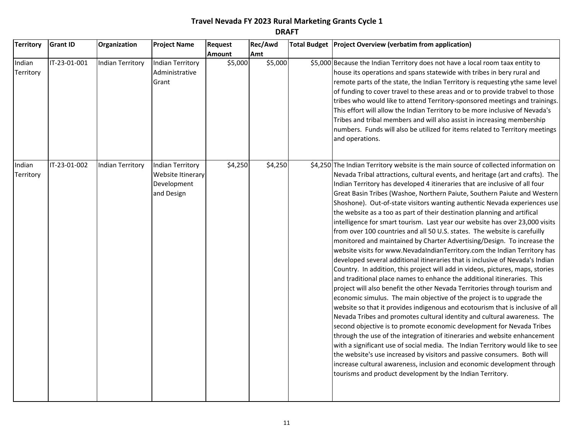| <b>Territory</b>    | <b>Grant ID</b> | Organization            | <b>Project Name</b>                                                       | Request       | Rec/Awd | Total Budget   Project Overview (verbatim from application)                                                                                                                                                                                                                                                                                                                                                                                                                                                                                                                                                                                                                                                                                                                                                                                                                                                                                                                                                                                                                                                                                                                                                                                                                                                                                                                                                                                                                                                                                                                                                                                                                                                                                                                                                                                   |
|---------------------|-----------------|-------------------------|---------------------------------------------------------------------------|---------------|---------|-----------------------------------------------------------------------------------------------------------------------------------------------------------------------------------------------------------------------------------------------------------------------------------------------------------------------------------------------------------------------------------------------------------------------------------------------------------------------------------------------------------------------------------------------------------------------------------------------------------------------------------------------------------------------------------------------------------------------------------------------------------------------------------------------------------------------------------------------------------------------------------------------------------------------------------------------------------------------------------------------------------------------------------------------------------------------------------------------------------------------------------------------------------------------------------------------------------------------------------------------------------------------------------------------------------------------------------------------------------------------------------------------------------------------------------------------------------------------------------------------------------------------------------------------------------------------------------------------------------------------------------------------------------------------------------------------------------------------------------------------------------------------------------------------------------------------------------------------|
|                     |                 |                         |                                                                           | <b>Amount</b> | Amt     |                                                                                                                                                                                                                                                                                                                                                                                                                                                                                                                                                                                                                                                                                                                                                                                                                                                                                                                                                                                                                                                                                                                                                                                                                                                                                                                                                                                                                                                                                                                                                                                                                                                                                                                                                                                                                                               |
| Indian<br>Territory | IT-23-01-001    | Indian Territory        | Indian Territory<br>Administrative<br>Grant                               | \$5,000       | \$5,000 | \$5,000 Because the Indian Territory does not have a local room taax entity to<br>house its operations and spans statewide with tribes in bery rural and<br>remote parts of the state, the Indian Territory is requesting ythe same level<br>of funding to cover travel to these areas and or to provide trabvel to those<br>tribes who would like to attend Territory-sponsored meetings and trainings.<br>This effort will allow the Indian Territory to be more inclusive of Nevada's<br>Tribes and tribal members and will also assist in increasing membership<br>numbers. Funds will also be utilized for items related to Territory meetings<br>and operations.                                                                                                                                                                                                                                                                                                                                                                                                                                                                                                                                                                                                                                                                                                                                                                                                                                                                                                                                                                                                                                                                                                                                                                        |
| Indian<br>Territory | IT-23-01-002    | <b>Indian Territory</b> | <b>Indian Territory</b><br>Website Itinerary<br>Development<br>and Design | \$4,250       | \$4,250 | \$4,250 The Indian Territory website is the main source of collected information on<br>Nevada Tribal attractions, cultural events, and heritage (art and crafts). The<br>Indian Territory has developed 4 itineraries that are inclusive of all four<br>Great Basin Tribes (Washoe, Northern Paiute, Southern Paiute and Western<br>Shoshone). Out-of-state visitors wanting authentic Nevada experiences use<br>the website as a too as part of their destination planning and artifical<br>intelligence for smart tourism. Last year our website has over 23,000 visits<br>from over 100 countries and all 50 U.S. states. The website is carefuilly<br>monitored and maintained by Charter Advertising/Design. To increase the<br>website visits for www.NevadaIndianTerritory.com the Indian Territory has<br>developed several additional itineraries that is inclusive of Nevada's Indian<br>Country. In addition, this project will add in videos, pictures, maps, stories<br>and traditional place names to enhance the additional itineraries. This<br>project will also benefit the other Nevada Territories through tourism and<br>economic simulus. The main objective of the project is to upgrade the<br>website so that it provides indigenous and ecotourism that is inclusive of all<br>Nevada Tribes and promotes cultural identity and cultural awareness. The<br>second objective is to promote economic development for Nevada Tribes<br>through the use of the integration of itineraries and website enhancement<br>with a significant use of social media. The Indian Territory would like to see<br>the website's use increased by visitors and passive consumers. Both will<br>increase cultural awareness, inclusion and economic development through<br>tourisms and product development by the Indian Territory. |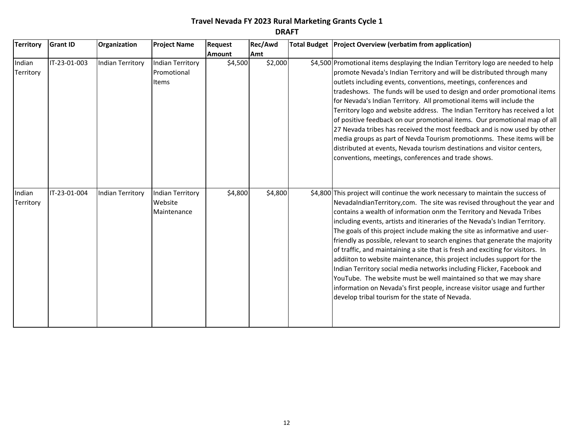| <b>Territory</b>    | <b>Grant ID</b> | Organization            | <b>Project Name</b>                               | <b>Request</b> | Rec/Awd | Total Budget Project Overview (verbatim from application)                                                                                                                                                                                                                                                                                                                                                                                                                                                                                                                                                                                                                                                                                                                                                                                                                                                                  |
|---------------------|-----------------|-------------------------|---------------------------------------------------|----------------|---------|----------------------------------------------------------------------------------------------------------------------------------------------------------------------------------------------------------------------------------------------------------------------------------------------------------------------------------------------------------------------------------------------------------------------------------------------------------------------------------------------------------------------------------------------------------------------------------------------------------------------------------------------------------------------------------------------------------------------------------------------------------------------------------------------------------------------------------------------------------------------------------------------------------------------------|
|                     |                 |                         |                                                   | <b>Amount</b>  | Amt     |                                                                                                                                                                                                                                                                                                                                                                                                                                                                                                                                                                                                                                                                                                                                                                                                                                                                                                                            |
| Indian<br>Territory | IT-23-01-003    | Indian Territory        | <b>Indian Territory</b><br>Promotional<br>Items   | \$4,500        | \$2,000 | \$4,500 Promotional items desplaying the Indian Territory logo are needed to help<br>promote Nevada's Indian Territory and will be distributed through many<br>outlets including events, conventions, meetings, conferences and<br>tradeshows. The funds will be used to design and order promotional items<br>for Nevada's Indian Territory. All promotional items will include the<br>Territory logo and website address. The Indian Territory has received a lot<br>of positive feedback on our promotional items. Our promotional map of all<br>27 Nevada tribes has received the most feedback and is now used by other<br>media groups as part of Nevda Tourism promotionms. These items will be<br>distributed at events, Nevada tourism destinations and visitor centers,<br>conventions, meetings, conferences and trade shows.                                                                                   |
| Indian<br>Territory | IT-23-01-004    | <b>Indian Territory</b> | <b>Indian Territory</b><br>Website<br>Maintenance | \$4,800        | \$4,800 | \$4,800 This project will continue the work necessary to maintain the success of<br>NevadaIndianTerritory, com. The site was revised throughout the year and<br>contains a wealth of information onm the Territory and Nevada Tribes<br>including events, artists and itineraries of the Nevada's Indian Territory.<br>The goals of this project include making the site as informative and user-<br>friendly as possible, relevant to search engines that generate the majority<br>of traffic, and maintaining a site that is fresh and exciting for visitors. In<br>addiiton to website maintenance, this project includes support for the<br>Indian Territory social media networks including Flicker, Facebook and<br>YouTube. The website must be well maintained so that we may share<br>information on Nevada's first people, increase visitor usage and further<br>develop tribal tourism for the state of Nevada. |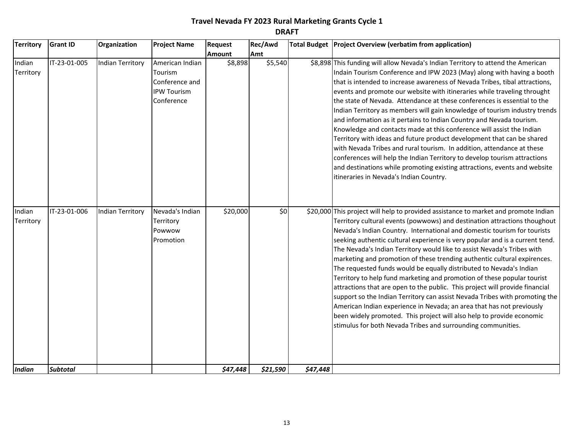| <b>Territory</b>    | <b>Grant ID</b> | Organization            | <b>Project Name</b>                                                              | Request       | Rec/Awd  |          | Total Budget   Project Overview (verbatim from application)                                                                                                                                                                                                                                                                                                                                                                                                                                                                                                                                                                                                                                                                                                                                                                                                                                                                                                                                                            |
|---------------------|-----------------|-------------------------|----------------------------------------------------------------------------------|---------------|----------|----------|------------------------------------------------------------------------------------------------------------------------------------------------------------------------------------------------------------------------------------------------------------------------------------------------------------------------------------------------------------------------------------------------------------------------------------------------------------------------------------------------------------------------------------------------------------------------------------------------------------------------------------------------------------------------------------------------------------------------------------------------------------------------------------------------------------------------------------------------------------------------------------------------------------------------------------------------------------------------------------------------------------------------|
|                     |                 |                         |                                                                                  | <b>Amount</b> | Amt      |          |                                                                                                                                                                                                                                                                                                                                                                                                                                                                                                                                                                                                                                                                                                                                                                                                                                                                                                                                                                                                                        |
| Indian<br>Territory | IT-23-01-005    | <b>Indian Territory</b> | American Indian<br>Tourism<br>Conference and<br><b>IPW Tourism</b><br>Conference | \$8,898       | \$5,540  |          | \$8,898 This funding will allow Nevada's Indian Territory to attend the American<br>Indain Tourism Conference and IPW 2023 (May) along with having a booth<br>that is intended to increase awareness of Nevada Tribes, tibal attractions,<br>events and promote our website with itineraries while traveling throught<br>the state of Nevada. Attendance at these conferences is essential to the<br>Indian Territory as members will gain knowledge of tourism industry trends<br>and information as it pertains to Indian Country and Nevada tourism.<br>Knowledge and contacts made at this conference will assist the Indian<br>Territory with ideas and future product development that can be shared<br>with Nevada Tribes and rural tourism. In addition, attendance at these<br>conferences will help the Indian Territory to develop tourism attractions<br>and destinations while promoting existing attractions, events and website<br>itineraries in Nevada's Indian Country.                              |
| Indian<br>Territory | IT-23-01-006    | <b>Indian Territory</b> | Nevada's Indian<br>Territory<br>Powwow<br>Promotion                              | \$20,000      | \$0      |          | \$20,000 This project will help to provided assistance to market and promote Indian<br>Territory cultural events (powwows) and destination attractions thoughout<br>Nevada's Indian Country. International and domestic tourism for tourists<br>seeking authentic cultural experience is very popular and is a current tend.<br>The Nevada's Indian Territory would like to assist Nevada's Tribes with<br>marketing and promotion of these trending authentic cultural expirences.<br>The requested funds would be equally distributed to Nevada's Indian<br>Territory to help fund marketing and promotion of these popular tourist<br>attractions that are open to the public. This project will provide financial<br>support so the Indian Territory can assist Nevada Tribes with promoting the<br>American Indian experience in Nevada; an area that has not previously<br>been widely promoted. This project will also help to provide economic<br>stimulus for both Nevada Tribes and surrounding communities. |
| <b>Indian</b>       | <b>Subtotal</b> |                         |                                                                                  | \$47,448      | \$21,590 | \$47,448 |                                                                                                                                                                                                                                                                                                                                                                                                                                                                                                                                                                                                                                                                                                                                                                                                                                                                                                                                                                                                                        |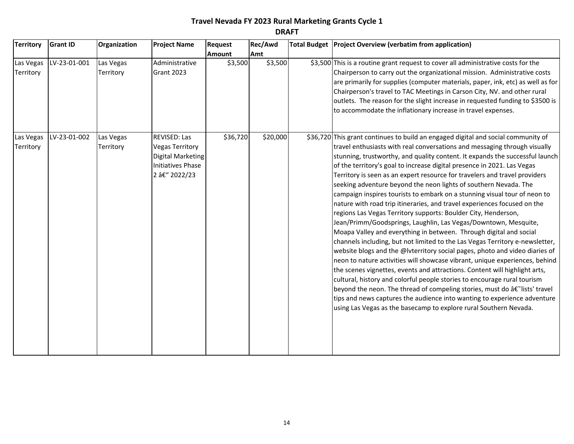| <b>Territory</b>       | <b>Grant ID</b> | Organization           | <b>Project Name</b>                                                                                                    | <b>Request</b> | Rec/Awd  | Total Budget   Project Overview (verbatim from application)                                                                                                                                                                                                                                                                                                                                                                                                                                                                                                                                                                                                                                                                                                                                                                                                                                                                                                                                                                                                                                                                                                                                                                                                                                                                                                                                                                                                                            |
|------------------------|-----------------|------------------------|------------------------------------------------------------------------------------------------------------------------|----------------|----------|----------------------------------------------------------------------------------------------------------------------------------------------------------------------------------------------------------------------------------------------------------------------------------------------------------------------------------------------------------------------------------------------------------------------------------------------------------------------------------------------------------------------------------------------------------------------------------------------------------------------------------------------------------------------------------------------------------------------------------------------------------------------------------------------------------------------------------------------------------------------------------------------------------------------------------------------------------------------------------------------------------------------------------------------------------------------------------------------------------------------------------------------------------------------------------------------------------------------------------------------------------------------------------------------------------------------------------------------------------------------------------------------------------------------------------------------------------------------------------------|
|                        |                 |                        |                                                                                                                        | <b>Amount</b>  | Amt      |                                                                                                                                                                                                                                                                                                                                                                                                                                                                                                                                                                                                                                                                                                                                                                                                                                                                                                                                                                                                                                                                                                                                                                                                                                                                                                                                                                                                                                                                                        |
| Las Vegas<br>Territory | LV-23-01-001    | Las Vegas<br>Territory | Administrative<br><b>Grant 2023</b>                                                                                    | \$3,500        | \$3,500  | \$3,500 This is a routine grant request to cover all administrative costs for the<br>Chairperson to carry out the organizational mission. Administrative costs<br>are primarily for supplies (computer materials, paper, ink, etc) as well as for<br>Chairperson's travel to TAC Meetings in Carson City, NV. and other rural<br>outlets. The reason for the slight increase in requested funding to \$3500 is<br>to accommodate the inflationary increase in travel expenses.                                                                                                                                                                                                                                                                                                                                                                                                                                                                                                                                                                                                                                                                                                                                                                                                                                                                                                                                                                                                         |
| Las Vegas<br>Territory | LV-23-01-002    | Las Vegas<br>Territory | <b>REVISED: Las</b><br><b>Vegas Territory</b><br><b>Digital Marketing</b><br><b>Initiatives Phase</b><br>2 â€" 2022/23 | \$36,720       | \$20,000 | \$36,720 This grant continues to build an engaged digital and social community of<br>travel enthusiasts with real conversations and messaging through visually<br>stunning, trustworthy, and quality content. It expands the successful launch<br>of the territory's goal to increase digital presence in 2021. Las Vegas<br>Territory is seen as an expert resource for travelers and travel providers<br>seeking adventure beyond the neon lights of southern Nevada. The<br>campaign inspires tourists to embark on a stunning visual tour of neon to<br>nature with road trip itineraries, and travel experiences focused on the<br>regions Las Vegas Territory supports: Boulder City, Henderson,<br>Jean/Primm/Goodsprings, Laughlin, Las Vegas/Downtown, Mesquite,<br>Moapa Valley and everything in between. Through digital and social<br>channels including, but not limited to the Las Vegas Territory e-newsletter,<br>website blogs and the @lvterritory social pages, photo and video diaries of<br>neon to nature activities will showcase vibrant, unique experiences, behind<br>the scenes vignettes, events and attractions. Content will highlight arts,<br>cultural, history and colorful people stories to encourage rural tourism<br>beyond the neon. The thread of compeling stories, must do â€~lists' travel<br>tips and news captures the audience into wanting to experience adventure<br>using Las Vegas as the basecamp to explore rural Southern Nevada. |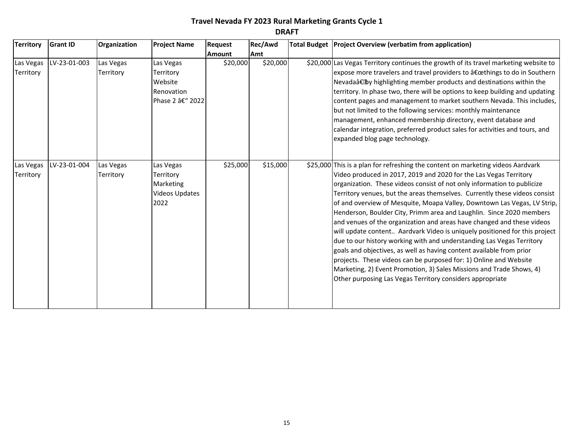| <b>Territory</b>       | <b>Grant ID</b> | Organization           | <b>Project Name</b>                                                         | Request       | Rec/Awd  | Total Budget Project Overview (verbatim from application)                                                                                                                                                                                                                                                                                                                                                                                                                                                                                                                                                                                                                                                                                                                                                                                                                                                                                                                            |
|------------------------|-----------------|------------------------|-----------------------------------------------------------------------------|---------------|----------|--------------------------------------------------------------------------------------------------------------------------------------------------------------------------------------------------------------------------------------------------------------------------------------------------------------------------------------------------------------------------------------------------------------------------------------------------------------------------------------------------------------------------------------------------------------------------------------------------------------------------------------------------------------------------------------------------------------------------------------------------------------------------------------------------------------------------------------------------------------------------------------------------------------------------------------------------------------------------------------|
|                        |                 |                        |                                                                             | <b>Amount</b> | Amt      |                                                                                                                                                                                                                                                                                                                                                                                                                                                                                                                                                                                                                                                                                                                                                                                                                                                                                                                                                                                      |
| Las Vegas<br>Territory | LV-23-01-003    | Las Vegas<br>Territory | Las Vegas<br>Territory<br>Website<br>Renovation<br>Phase 2 â€" 2022         | \$20,000      | \$20,000 | \$20,000 Las Vegas Territory continues the growth of its travel marketing website to<br>expose more travelers and travel providers to "things to do in Southern<br>Nevada†by highlighting member products and destinations within the<br>territory. In phase two, there will be options to keep building and updating<br>content pages and management to market southern Nevada. This includes,<br>but not limited to the following services: monthly maintenance<br>management, enhanced membership directory, event database and<br>calendar integration, preferred product sales for activities and tours, and<br>expanded blog page technology.                                                                                                                                                                                                                                                                                                                                  |
| Las Vegas<br>Territory | LV-23-01-004    | Las Vegas<br>Territory | Las Vegas<br>Territory<br><b>Marketing</b><br><b>Videos Updates</b><br>2022 | \$25,000      | \$15,000 | \$25,000 This is a plan for refreshing the content on marketing videos Aardvark<br>Video produced in 2017, 2019 and 2020 for the Las Vegas Territory<br>organization. These videos consist of not only information to publicize<br>Territory venues, but the areas themselves. Currently these videos consist<br>of and overview of Mesquite, Moapa Valley, Downtown Las Vegas, LV Strip,<br>Henderson, Boulder City, Primm area and Laughlin. Since 2020 members<br>and venues of the organization and areas have changed and these videos<br>will update content Aardvark Video is uniquely positioned for this project<br>due to our history working with and understanding Las Vegas Territory<br>goals and objectives, as well as having content available from prior<br>projects. These videos can be purposed for: 1) Online and Website<br>Marketing, 2) Event Promotion, 3) Sales Missions and Trade Shows, 4)<br>Other purposing Las Vegas Territory considers appropriate |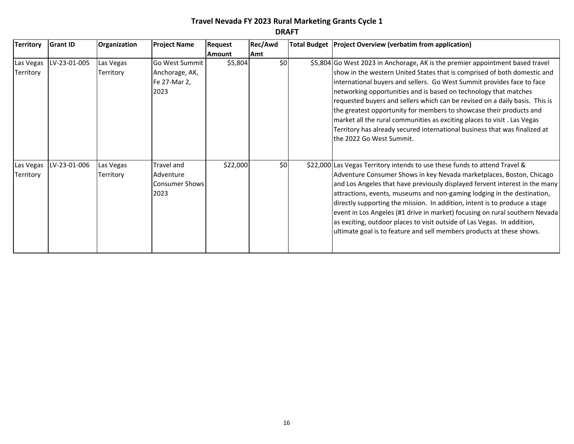| <b>Territory</b> | <b>Grant ID</b> | Organization | <b>Project Name</b>   | <b>Request</b> | Rec/Awd    | Total Budget Project Overview (verbatim from application)                     |
|------------------|-----------------|--------------|-----------------------|----------------|------------|-------------------------------------------------------------------------------|
|                  |                 |              |                       | <b>Amount</b>  | <b>Amt</b> |                                                                               |
| Las Vegas        | LV-23-01-005    | Las Vegas    | Go West Summit        | \$5,804        | \$0        | \$5,804 Go West 2023 in Anchorage, AK is the premier appointment based travel |
| Territory        |                 | Territory    | Anchorage, AK,        |                |            | show in the western United States that is comprised of both domestic and      |
|                  |                 |              | Fe 27-Mar 2,          |                |            | international buyers and sellers. Go West Summit provides face to face        |
|                  |                 |              | 2023                  |                |            | networking opportunities and is based on technology that matches              |
|                  |                 |              |                       |                |            | requested buyers and sellers which can be revised on a daily basis. This is   |
|                  |                 |              |                       |                |            | the greatest opportunity for members to showcase their products and           |
|                  |                 |              |                       |                |            | market all the rural communities as exciting places to visit. Las Vegas       |
|                  |                 |              |                       |                |            | Territory has already secured international business that was finalized at    |
|                  |                 |              |                       |                |            | the 2022 Go West Summit.                                                      |
|                  |                 |              |                       |                |            |                                                                               |
|                  |                 |              |                       |                |            |                                                                               |
| Las Vegas        | LV-23-01-006    | Las Vegas    | Travel and            | \$22,000       | \$0        | \$22,000 Las Vegas Territory intends to use these funds to attend Travel &    |
| Territory        |                 | Territory    | Adventure             |                |            | Adventure Consumer Shows in key Nevada marketplaces, Boston, Chicago          |
|                  |                 |              | <b>Consumer Shows</b> |                |            | and Los Angeles that have previously displayed fervent interest in the many   |
|                  |                 |              | 2023                  |                |            | attractions, events, museums and non-gaming lodging in the destination,       |
|                  |                 |              |                       |                |            | directly supporting the mission. In addition, intent is to produce a stage    |
|                  |                 |              |                       |                |            | event in Los Angeles (#1 drive in market) focusing on rural southern Nevada   |
|                  |                 |              |                       |                |            | as exciting, outdoor places to visit outside of Las Vegas. In addition,       |
|                  |                 |              |                       |                |            | ultimate goal is to feature and sell members products at these shows.         |
|                  |                 |              |                       |                |            |                                                                               |
|                  |                 |              |                       |                |            |                                                                               |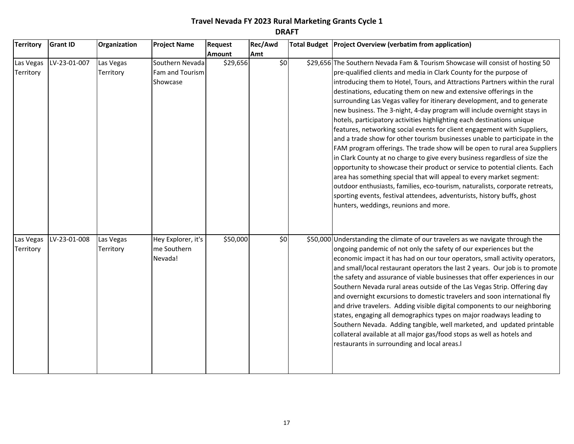| <b>Territory</b>       | <b>Grant ID</b> | Organization           | <b>Project Name</b>                            | <b>Request</b> | Rec/Awd | Total Budget   Project Overview (verbatim from application)                                                                                                                                                                                                                                                                                                                                                                                                                                                                                                                                                                                                                                                                                                                                                                                                                                                                                                                                                                                                                                                                                                                                                                 |
|------------------------|-----------------|------------------------|------------------------------------------------|----------------|---------|-----------------------------------------------------------------------------------------------------------------------------------------------------------------------------------------------------------------------------------------------------------------------------------------------------------------------------------------------------------------------------------------------------------------------------------------------------------------------------------------------------------------------------------------------------------------------------------------------------------------------------------------------------------------------------------------------------------------------------------------------------------------------------------------------------------------------------------------------------------------------------------------------------------------------------------------------------------------------------------------------------------------------------------------------------------------------------------------------------------------------------------------------------------------------------------------------------------------------------|
|                        |                 |                        |                                                | <b>Amount</b>  | Amt     |                                                                                                                                                                                                                                                                                                                                                                                                                                                                                                                                                                                                                                                                                                                                                                                                                                                                                                                                                                                                                                                                                                                                                                                                                             |
| Las Vegas<br>Territory | LV-23-01-007    | Las Vegas<br>Territory | Southern Nevada<br>Fam and Tourism<br>Showcase | \$29,656       | \$0     | \$29,656 The Southern Nevada Fam & Tourism Showcase will consist of hosting 50<br>pre-qualified clients and media in Clark County for the purpose of<br>introducing them to Hotel, Tours, and Attractions Partners within the rural<br>destinations, educating them on new and extensive offerings in the<br>surrounding Las Vegas valley for itinerary development, and to generate<br>new business. The 3-night, 4-day program will include overnight stays in<br>hotels, participatory activities highlighting each destinations unique<br>features, networking social events for client engagement with Suppliers,<br>and a trade show for other tourism businesses unable to participate in the<br>FAM program offerings. The trade show will be open to rural area Suppliers<br>in Clark County at no charge to give every business regardless of size the<br>opportunity to showcase their product or service to potential clients. Each<br>area has something special that will appeal to every market segment:<br>outdoor enthusiasts, families, eco-tourism, naturalists, corporate retreats,<br>sporting events, festival attendees, adventurists, history buffs, ghost<br>hunters, weddings, reunions and more. |
| Las Vegas<br>Territory | LV-23-01-008    | Las Vegas<br>Territory | Hey Explorer, it's<br>me Southern<br>Nevada!   | \$50,000       | \$0     | \$50,000 Understanding the climate of our travelers as we navigate through the<br>ongoing pandemic of not only the safety of our experiences but the<br>economic impact it has had on our tour operators, small activity operators,<br>and small/local restaurant operators the last 2 years. Our job is to promote<br>the safety and assurance of viable businesses that offer experiences in our<br>Southern Nevada rural areas outside of the Las Vegas Strip. Offering day<br>and overnight excursions to domestic travelers and soon international fly<br>and drive travelers. Adding visible digital components to our neighboring<br>states, engaging all demographics types on major roadways leading to<br>Southern Nevada. Adding tangible, well marketed, and updated printable<br>collateral available at all major gas/food stops as well as hotels and<br>restaurants in surrounding and local areas.I                                                                                                                                                                                                                                                                                                        |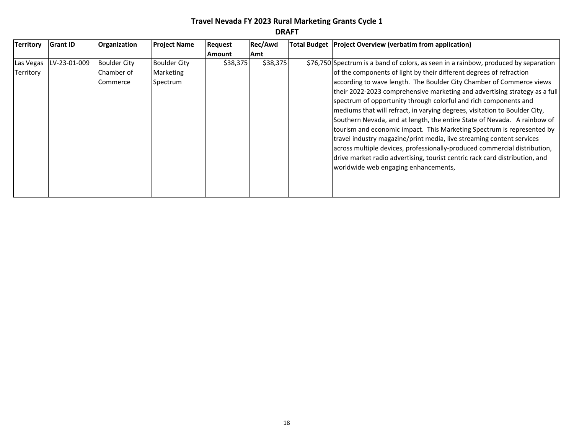| <b>Territory</b><br>Rec/Awd<br><b>Grant ID</b><br>Organization<br><b>Project Name</b><br>Total Budget   Project Overview (verbatim from application)<br><b>Request</b><br>Amt<br>l Amount<br>LV-23-01-009<br><b>Boulder City</b><br>\$38,375<br>\$38,375<br><b>Boulder City</b><br>\$76,750 Spectrum is a band of colors, as seen in a rainbow, produced by separation<br>of the components of light by their different degrees of refraction<br>Chamber of<br>Territory<br>Marketing<br>according to wave length. The Boulder City Chamber of Commerce views<br>Spectrum<br>Commerce<br>spectrum of opportunity through colorful and rich components and<br>mediums that will refract, in varying degrees, visitation to Boulder City,<br>Southern Nevada, and at length, the entire State of Nevada. A rainbow of<br>tourism and economic impact. This Marketing Spectrum is represented by<br>travel industry magazine/print media, live streaming content services<br>across multiple devices, professionally-produced commercial distribution,<br>drive market radio advertising, tourist centric rack card distribution, and | <b>UIMFI</b> |  |  |  |  |  |                                                                            |  |  |  |  |  |  |
|------------------------------------------------------------------------------------------------------------------------------------------------------------------------------------------------------------------------------------------------------------------------------------------------------------------------------------------------------------------------------------------------------------------------------------------------------------------------------------------------------------------------------------------------------------------------------------------------------------------------------------------------------------------------------------------------------------------------------------------------------------------------------------------------------------------------------------------------------------------------------------------------------------------------------------------------------------------------------------------------------------------------------------------------------------------------------------------------------------------------------------|--------------|--|--|--|--|--|----------------------------------------------------------------------------|--|--|--|--|--|--|
|                                                                                                                                                                                                                                                                                                                                                                                                                                                                                                                                                                                                                                                                                                                                                                                                                                                                                                                                                                                                                                                                                                                                    |              |  |  |  |  |  |                                                                            |  |  |  |  |  |  |
| Las Vegas                                                                                                                                                                                                                                                                                                                                                                                                                                                                                                                                                                                                                                                                                                                                                                                                                                                                                                                                                                                                                                                                                                                          |              |  |  |  |  |  |                                                                            |  |  |  |  |  |  |
| worldwide web engaging enhancements,                                                                                                                                                                                                                                                                                                                                                                                                                                                                                                                                                                                                                                                                                                                                                                                                                                                                                                                                                                                                                                                                                               |              |  |  |  |  |  | their 2022-2023 comprehensive marketing and advertising strategy as a full |  |  |  |  |  |  |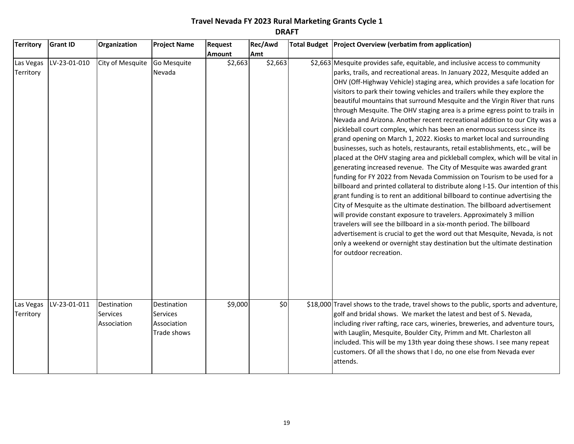| <b>Territory</b>       | <b>Grant ID</b> | Organization                                  | <b>Project Name</b>                                          | <b>Request</b> | Rec/Awd | Total Budget   Project Overview (verbatim from application)                                                                                                                                                                                                                                                                                                                                                                                                                                                                                                                                                                                                                                                                                                                                                                                                                                                                                                                                                                                                                                                                                                                                                                                                                                                                                                                                                                                                                                                                                                                                                                     |
|------------------------|-----------------|-----------------------------------------------|--------------------------------------------------------------|----------------|---------|---------------------------------------------------------------------------------------------------------------------------------------------------------------------------------------------------------------------------------------------------------------------------------------------------------------------------------------------------------------------------------------------------------------------------------------------------------------------------------------------------------------------------------------------------------------------------------------------------------------------------------------------------------------------------------------------------------------------------------------------------------------------------------------------------------------------------------------------------------------------------------------------------------------------------------------------------------------------------------------------------------------------------------------------------------------------------------------------------------------------------------------------------------------------------------------------------------------------------------------------------------------------------------------------------------------------------------------------------------------------------------------------------------------------------------------------------------------------------------------------------------------------------------------------------------------------------------------------------------------------------------|
|                        |                 |                                               |                                                              | <b>Amount</b>  | Amt     |                                                                                                                                                                                                                                                                                                                                                                                                                                                                                                                                                                                                                                                                                                                                                                                                                                                                                                                                                                                                                                                                                                                                                                                                                                                                                                                                                                                                                                                                                                                                                                                                                                 |
| Las Vegas<br>Territory | LV-23-01-010    | City of Mesquite                              | Go Mesquite<br>Nevada                                        | \$2,663        | \$2,663 | \$2,663 Mesquite provides safe, equitable, and inclusive access to community<br>parks, trails, and recreational areas. In January 2022, Mesquite added an<br>OHV (Off-Highway Vehicle) staging area, which provides a safe location for<br>visitors to park their towing vehicles and trailers while they explore the<br>beautiful mountains that surround Mesquite and the Virgin River that runs<br>through Mesquite. The OHV staging area is a prime egress point to trails in<br>Nevada and Arizona. Another recent recreational addition to our City was a<br>pickleball court complex, which has been an enormous success since its<br>grand opening on March 1, 2022. Kiosks to market local and surrounding<br>businesses, such as hotels, restaurants, retail establishments, etc., will be<br>placed at the OHV staging area and pickleball complex, which will be vital in<br>generating increased revenue. The City of Mesquite was awarded grant<br>funding for FY 2022 from Nevada Commission on Tourism to be used for a<br>billboard and printed collateral to distribute along I-15. Our intention of this<br>grant funding is to rent an additional billboard to continue advertising the<br>City of Mesquite as the ultimate destination. The billboard advertisement<br>will provide constant exposure to travelers. Approximately 3 million<br>travelers will see the billboard in a six-month period. The billboard<br>advertisement is crucial to get the word out that Mesquite, Nevada, is not<br>only a weekend or overnight stay destination but the ultimate destination<br>for outdoor recreation. |
| Las Vegas<br>Territory | LV-23-01-011    | Destination<br><b>Services</b><br>Association | Destination<br><b>Services</b><br>Association<br>Trade shows | \$9,000        | \$0     | \$18,000 Travel shows to the trade, travel shows to the public, sports and adventure,<br>golf and bridal shows. We market the latest and best of S. Nevada,<br>including river rafting, race cars, wineries, breweries, and adventure tours,<br>with Lauglin, Mesquite, Boulder City, Primm and Mt. Charleston all<br>included. This will be my 13th year doing these shows. I see many repeat<br>customers. Of all the shows that I do, no one else from Nevada ever<br>attends.                                                                                                                                                                                                                                                                                                                                                                                                                                                                                                                                                                                                                                                                                                                                                                                                                                                                                                                                                                                                                                                                                                                                               |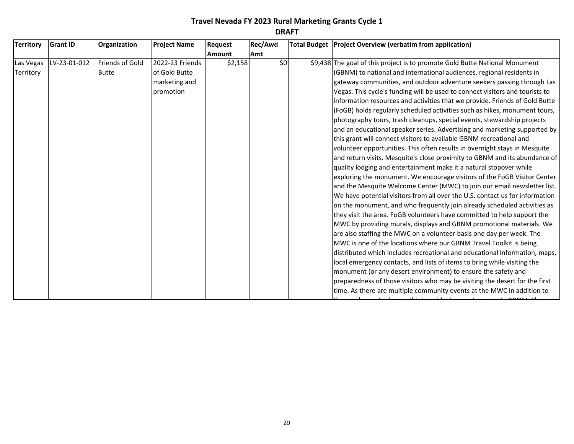| <b>Territory</b> | <b>Grant ID</b> | Organization           | <b>Project Name</b> | Request       | Rec/Awd | Total Budget Project Overview (verbatim from application)                    |
|------------------|-----------------|------------------------|---------------------|---------------|---------|------------------------------------------------------------------------------|
|                  |                 |                        |                     | <b>Amount</b> | Amt     |                                                                              |
| Las Vegas        | LV-23-01-012    | <b>Friends of Gold</b> | 2022-23 Friends     | \$2,158       | \$0     | \$9,438 The goal of this project is to promote Gold Butte National Monument  |
| Territory        |                 | <b>Butte</b>           | of Gold Butte       |               |         | (GBNM) to national and international audiences, regional residents in        |
|                  |                 |                        | marketing and       |               |         | gateway communities, and outdoor adventure seekers passing through Las       |
|                  |                 |                        | promotion           |               |         | Vegas. This cycle's funding will be used to connect visitors and tourists to |
|                  |                 |                        |                     |               |         | information resources and activities that we provide. Friends of Gold Butte  |
|                  |                 |                        |                     |               |         | (FoGB) holds regularly scheduled activities such as hikes, monument tours,   |
|                  |                 |                        |                     |               |         | photography tours, trash cleanups, special events, stewardship projects      |
|                  |                 |                        |                     |               |         | and an educational speaker series. Advertising and marketing supported by    |
|                  |                 |                        |                     |               |         | this grant will connect visitors to available GBNM recreational and          |
|                  |                 |                        |                     |               |         | volunteer opportunities. This often results in overnight stays in Mesquite   |
|                  |                 |                        |                     |               |         | and return visits. Mesquite's close proximity to GBNM and its abundance of   |
|                  |                 |                        |                     |               |         | quality lodging and entertainment make it a natural stopover while           |
|                  |                 |                        |                     |               |         | exploring the monument. We encourage visitors of the FoGB Visitor Center     |
|                  |                 |                        |                     |               |         | and the Mesquite Welcome Center (MWC) to join our email newsletter list.     |
|                  |                 |                        |                     |               |         | We have potential visitors from all over the U.S. contact us for information |
|                  |                 |                        |                     |               |         | on the monument, and who frequently join already scheduled activities as     |
|                  |                 |                        |                     |               |         | they visit the area. FoGB volunteers have committed to help support the      |
|                  |                 |                        |                     |               |         | MWC by providing murals, displays and GBNM promotional materials. We         |
|                  |                 |                        |                     |               |         | are also staffing the MWC on a volunteer basis one day per week. The         |
|                  |                 |                        |                     |               |         | MWC is one of the locations where our GBNM Travel Toolkit is being           |
|                  |                 |                        |                     |               |         | distributed which includes recreational and educational information, maps,   |
|                  |                 |                        |                     |               |         | local emergency contacts, and lists of items to bring while visiting the     |
|                  |                 |                        |                     |               |         | monument (or any desert environment) to ensure the safety and                |
|                  |                 |                        |                     |               |         | preparedness of those visitors who may be visiting the desert for the first  |
|                  |                 |                        |                     |               |         | time. As there are multiple community events at the MWC in addition to       |

the regular center hours, this is an ideal venue to promote GBNM. The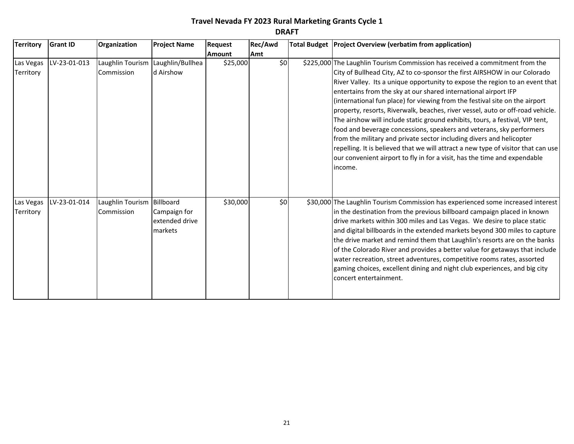| <b>Territory</b>       | <b>Grant ID</b> | Organization                               | <b>Project Name</b>                            | <b>Request</b> | Rec/Awd | Total Budget   Project Overview (verbatim from application)                                                                                                                                                                                                                                                                                                                                                                                                                                                                                                                                                                                                                                                                                                                                                                                                                                 |
|------------------------|-----------------|--------------------------------------------|------------------------------------------------|----------------|---------|---------------------------------------------------------------------------------------------------------------------------------------------------------------------------------------------------------------------------------------------------------------------------------------------------------------------------------------------------------------------------------------------------------------------------------------------------------------------------------------------------------------------------------------------------------------------------------------------------------------------------------------------------------------------------------------------------------------------------------------------------------------------------------------------------------------------------------------------------------------------------------------------|
|                        |                 |                                            |                                                | <b>Amount</b>  | Amt     |                                                                                                                                                                                                                                                                                                                                                                                                                                                                                                                                                                                                                                                                                                                                                                                                                                                                                             |
| Las Vegas<br>Territory | LV-23-01-013    | Commission                                 | Laughlin Tourism Laughlin/Bullhea<br>d Airshow | \$25,000       | \$0     | \$225,000 The Laughlin Tourism Commission has received a commitment from the<br>City of Bullhead City, AZ to co-sponsor the first AIRSHOW in our Colorado<br>River Valley. Its a unique opportunity to expose the region to an event that<br>entertains from the sky at our shared international airport IFP<br>(international fun place) for viewing from the festival site on the airport<br>property, resorts, Riverwalk, beaches, river vessel, auto or off-road vehicle.<br>The airshow will include static ground exhibits, tours, a festival, VIP tent,<br>food and beverage concessions, speakers and veterans, sky performers<br>from the military and private sector including divers and helicopter<br>repelling. It is believed that we will attract a new type of visitor that can use<br>our convenient airport to fly in for a visit, has the time and expendable<br>income. |
| Las Vegas<br>Territory | LV-23-01-014    | Laughlin Tourism   Billboard<br>Commission | Campaign for<br>extended drive<br>markets      | \$30,000       | \$0     | \$30,000 The Laughlin Tourism Commission has experienced some increased interest<br>in the destination from the previous billboard campaign placed in known<br>drive markets within 300 miles and Las Vegas. We desire to place static<br>and digital billboards in the extended markets beyond 300 miles to capture<br>the drive market and remind them that Laughlin's resorts are on the banks<br>of the Colorado River and provides a better value for getaways that include<br>water recreation, street adventures, competitive rooms rates, assorted<br>gaming choices, excellent dining and night club experiences, and big city<br>concert entertainment.                                                                                                                                                                                                                           |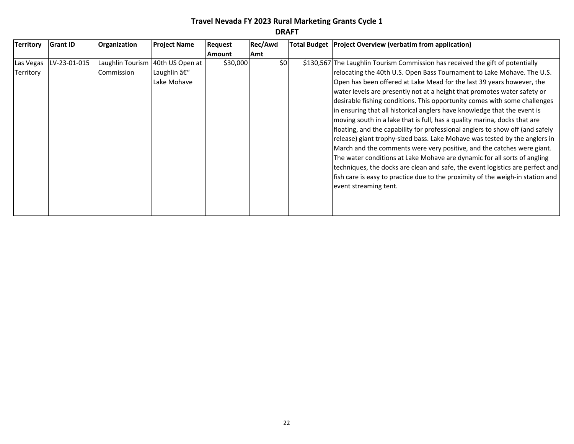| <b>Territory</b> | <b>Grant ID</b> | Organization                     | <b>Project Name</b> | <b>Request</b> | Rec/Awd | Total Budget   Project Overview (verbatim from application)                    |
|------------------|-----------------|----------------------------------|---------------------|----------------|---------|--------------------------------------------------------------------------------|
|                  |                 |                                  |                     | Amount         | Amt     |                                                                                |
| Las Vegas        | LV-23-01-015    | Laughlin Tourism 40th US Open at |                     | \$30,000       | \$0     | \$130,567 The Laughlin Tourism Commission has received the gift of potentially |
| Territory        |                 | Commission                       | Laughlin –          |                |         | relocating the 40th U.S. Open Bass Tournament to Lake Mohave. The U.S.         |
|                  |                 |                                  | Lake Mohave         |                |         | Open has been offered at Lake Mead for the last 39 years however, the          |
|                  |                 |                                  |                     |                |         | water levels are presently not at a height that promotes water safety or       |
|                  |                 |                                  |                     |                |         | desirable fishing conditions. This opportunity comes with some challenges      |
|                  |                 |                                  |                     |                |         | in ensuring that all historical anglers have knowledge that the event is       |
|                  |                 |                                  |                     |                |         | moving south in a lake that is full, has a quality marina, docks that are      |
|                  |                 |                                  |                     |                |         | floating, and the capability for professional anglers to show off (and safely  |
|                  |                 |                                  |                     |                |         | release) giant trophy-sized bass. Lake Mohave was tested by the anglers in     |
|                  |                 |                                  |                     |                |         | March and the comments were very positive, and the catches were giant.         |
|                  |                 |                                  |                     |                |         | The water conditions at Lake Mohave are dynamic for all sorts of angling       |
|                  |                 |                                  |                     |                |         | techniques, the docks are clean and safe, the event logistics are perfect and  |
|                  |                 |                                  |                     |                |         | fish care is easy to practice due to the proximity of the weigh-in station and |
|                  |                 |                                  |                     |                |         | event streaming tent.                                                          |
|                  |                 |                                  |                     |                |         |                                                                                |
|                  |                 |                                  |                     |                |         |                                                                                |
|                  |                 |                                  |                     |                |         |                                                                                |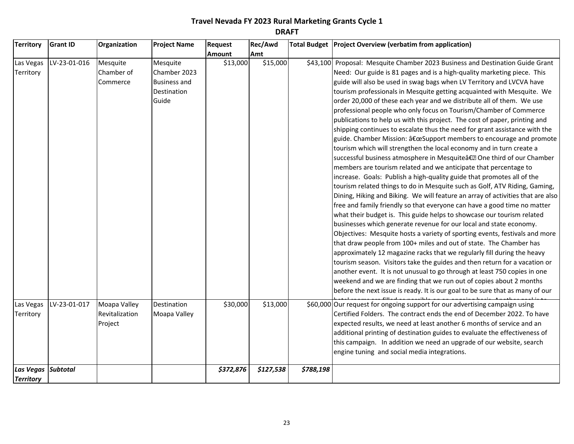| <b>Territory</b>                     | <b>Grant ID</b> | Organization                              | <b>Project Name</b>                                                     | Request       | Rec/Awd   |           | Total Budget   Project Overview (verbatim from application)                                                                                                                                                                                                                                                                                                                                                                                                                                                                                                                                                                                                                                                                                                                                                                                                                                                                                                                                                                                                                                                                                                                                                                                                                                                                                                                                                                                                                                                                                                                                                                                                                                                                                                                                                                                                                                                                                |
|--------------------------------------|-----------------|-------------------------------------------|-------------------------------------------------------------------------|---------------|-----------|-----------|--------------------------------------------------------------------------------------------------------------------------------------------------------------------------------------------------------------------------------------------------------------------------------------------------------------------------------------------------------------------------------------------------------------------------------------------------------------------------------------------------------------------------------------------------------------------------------------------------------------------------------------------------------------------------------------------------------------------------------------------------------------------------------------------------------------------------------------------------------------------------------------------------------------------------------------------------------------------------------------------------------------------------------------------------------------------------------------------------------------------------------------------------------------------------------------------------------------------------------------------------------------------------------------------------------------------------------------------------------------------------------------------------------------------------------------------------------------------------------------------------------------------------------------------------------------------------------------------------------------------------------------------------------------------------------------------------------------------------------------------------------------------------------------------------------------------------------------------------------------------------------------------------------------------------------------------|
|                                      |                 |                                           |                                                                         | <b>Amount</b> | Amt       |           |                                                                                                                                                                                                                                                                                                                                                                                                                                                                                                                                                                                                                                                                                                                                                                                                                                                                                                                                                                                                                                                                                                                                                                                                                                                                                                                                                                                                                                                                                                                                                                                                                                                                                                                                                                                                                                                                                                                                            |
| Las Vegas<br>Territory               | LV-23-01-016    | Mesquite<br>Chamber of<br>Commerce        | Mesquite<br>Chamber 2023<br><b>Business and</b><br>Destination<br>Guide | \$13,000      | \$15,000  |           | \$43,100 Proposal: Mesquite Chamber 2023 Business and Destination Guide Grant<br>Need: Our guide is 81 pages and is a high-quality marketing piece. This<br>guide will also be used in swag bags when LV Territory and LVCVA have<br>tourism professionals in Mesquite getting acquainted with Mesquite. We<br>order 20,000 of these each year and we distribute all of them. We use<br>professional people who only focus on Tourism/Chamber of Commerce<br>publications to help us with this project. The cost of paper, printing and<br>shipping continues to escalate thus the need for grant assistance with the<br>guide. Chamber Mission: "Support members to encourage and promote<br>tourism which will strengthen the local economy and in turn create a<br>successful business atmosphere in Mesquiteâ€. One third of our Chamber<br>members are tourism related and we anticipate that percentage to<br>increase. Goals: Publish a high-quality guide that promotes all of the<br>tourism related things to do in Mesquite such as Golf, ATV Riding, Gaming,<br>Dining, Hiking and Biking. We will feature an array of activities that are also<br>free and family friendly so that everyone can have a good time no matter<br>what their budget is. This guide helps to showcase our tourism related<br>businesses which generate revenue for our local and state economy.<br>Objectives: Mesquite hosts a variety of sporting events, festivals and more<br>that draw people from 100+ miles and out of state. The Chamber has<br>approximately 12 magazine racks that we regularly fill during the heavy<br>tourism season. Visitors take the guides and then return for a vacation or<br>another event. It is not unusual to go through at least 750 copies in one<br>weekend and we are finding that we run out of copies about 2 months<br>before the next issue is ready. It is our goal to be sure that as many of our |
| Las Vegas<br>Territory               | LV-23-01-017    | Moapa Valley<br>Revitalization<br>Project | Destination<br>Moapa Valley                                             | \$30,000      | \$13,000  |           | \$60,000 Our request for ongoing support for our advertising campaign using<br>Certified Folders. The contract ends the end of December 2022. To have<br>expected results, we need at least another 6 months of service and an<br>additional printing of destination guides to evaluate the effectiveness of<br>this campaign. In addition we need an upgrade of our website, search<br>engine tuning and social media integrations.                                                                                                                                                                                                                                                                                                                                                                                                                                                                                                                                                                                                                                                                                                                                                                                                                                                                                                                                                                                                                                                                                                                                                                                                                                                                                                                                                                                                                                                                                                       |
| <b>Las Vegas</b><br><b>Territory</b> | <b>Subtotal</b> |                                           |                                                                         | \$372,876     | \$127,538 | \$788,198 |                                                                                                                                                                                                                                                                                                                                                                                                                                                                                                                                                                                                                                                                                                                                                                                                                                                                                                                                                                                                                                                                                                                                                                                                                                                                                                                                                                                                                                                                                                                                                                                                                                                                                                                                                                                                                                                                                                                                            |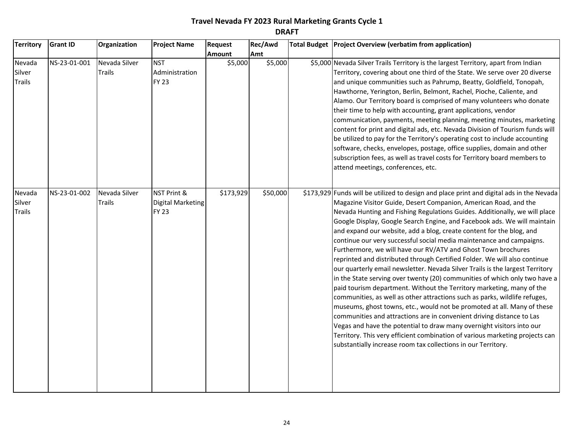| <b>Territory</b>                  | <b>Grant ID</b> | Organization                   | <b>Project Name</b>                                     | Request       | Rec/Awd  | Total Budget Project Overview (verbatim from application)                                                                                                                                                                                                                                                                                                                                                                                                                                                                                                                                                                                                                                                                                                                                                                                                                                                                                                                                                                                                                                                                                                                                                                                                                                                                |
|-----------------------------------|-----------------|--------------------------------|---------------------------------------------------------|---------------|----------|--------------------------------------------------------------------------------------------------------------------------------------------------------------------------------------------------------------------------------------------------------------------------------------------------------------------------------------------------------------------------------------------------------------------------------------------------------------------------------------------------------------------------------------------------------------------------------------------------------------------------------------------------------------------------------------------------------------------------------------------------------------------------------------------------------------------------------------------------------------------------------------------------------------------------------------------------------------------------------------------------------------------------------------------------------------------------------------------------------------------------------------------------------------------------------------------------------------------------------------------------------------------------------------------------------------------------|
|                                   |                 |                                |                                                         | <b>Amount</b> | Amt      |                                                                                                                                                                                                                                                                                                                                                                                                                                                                                                                                                                                                                                                                                                                                                                                                                                                                                                                                                                                                                                                                                                                                                                                                                                                                                                                          |
| Nevada<br>Silver<br><b>Trails</b> | NS-23-01-001    | Nevada Silver<br><b>Trails</b> | <b>NST</b><br>Administration<br><b>FY 23</b>            | \$5,000       | \$5,000  | \$5,000 Nevada Silver Trails Territory is the largest Territory, apart from Indian<br>Territory, covering about one third of the State. We serve over 20 diverse<br>and unique communities such as Pahrump, Beatty, Goldfield, Tonopah,<br>Hawthorne, Yerington, Berlin, Belmont, Rachel, Pioche, Caliente, and<br>Alamo. Our Territory board is comprised of many volunteers who donate<br>their time to help with accounting, grant applications, vendor<br>communication, payments, meeting planning, meeting minutes, marketing<br>content for print and digital ads, etc. Nevada Division of Tourism funds will<br>be utilized to pay for the Territory's operating cost to include accounting<br>software, checks, envelopes, postage, office supplies, domain and other<br>subscription fees, as well as travel costs for Territory board members to<br>attend meetings, conferences, etc.                                                                                                                                                                                                                                                                                                                                                                                                                        |
| Nevada<br>Silver<br><b>Trails</b> | NS-23-01-002    | Nevada Silver<br><b>Trails</b> | NST Print &<br><b>Digital Marketing</b><br><b>FY 23</b> | \$173,929     | \$50,000 | \$173,929 Funds will be utilized to design and place print and digital ads in the Nevada<br>Magazine Visitor Guide, Desert Companion, American Road, and the<br>Nevada Hunting and Fishing Regulations Guides. Additionally, we will place<br>Google Display, Google Search Engine, and Facebook ads. We will maintain<br>and expand our website, add a blog, create content for the blog, and<br>continue our very successful social media maintenance and campaigns.<br>Furthermore, we will have our RV/ATV and Ghost Town brochures<br>reprinted and distributed through Certified Folder. We will also continue<br>our quarterly email newsletter. Nevada Silver Trails is the largest Territory<br>in the State serving over twenty (20) communities of which only two have a<br>paid tourism department. Without the Territory marketing, many of the<br>communities, as well as other attractions such as parks, wildlife refuges,<br>museums, ghost towns, etc., would not be promoted at all. Many of these<br>communities and attractions are in convenient driving distance to Las<br>Vegas and have the potential to draw many overnight visitors into our<br>Territory. This very efficient combination of various marketing projects can<br>substantially increase room tax collections in our Territory. |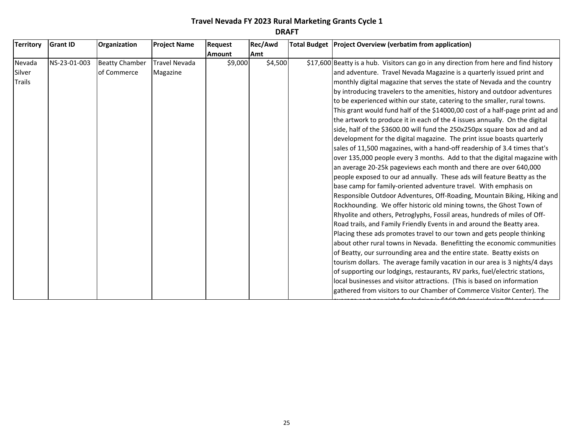| <b>Territory</b> | <b>Grant ID</b> | Organization          | <b>Project Name</b>  | <b>Request</b> | <b>Rec/Awd</b> | Total Budget   Project Overview (verbatim from application)                           |
|------------------|-----------------|-----------------------|----------------------|----------------|----------------|---------------------------------------------------------------------------------------|
|                  |                 |                       |                      | <b>Amount</b>  | Amt            |                                                                                       |
| Nevada           | NS-23-01-003    | <b>Beatty Chamber</b> | <b>Travel Nevada</b> | \$9,000        | \$4,500        | \$17,600 Beatty is a hub. Visitors can go in any direction from here and find history |
| Silver           |                 | of Commerce           | Magazine             |                |                | and adventure. Travel Nevada Magazine is a quarterly issued print and                 |
| <b>Trails</b>    |                 |                       |                      |                |                | monthly digital magazine that serves the state of Nevada and the country              |
|                  |                 |                       |                      |                |                | by introducing travelers to the amenities, history and outdoor adventures             |
|                  |                 |                       |                      |                |                | to be experienced within our state, catering to the smaller, rural towns.             |
|                  |                 |                       |                      |                |                | This grant would fund half of the \$14000,00 cost of a half-page print ad and         |
|                  |                 |                       |                      |                |                | the artwork to produce it in each of the 4 issues annually. On the digital            |
|                  |                 |                       |                      |                |                | side, half of the \$3600.00 will fund the 250x250px square box ad and ad              |
|                  |                 |                       |                      |                |                | development for the digital magazine. The print issue boasts quarterly                |
|                  |                 |                       |                      |                |                | sales of 11,500 magazines, with a hand-off readership of 3.4 times that's             |
|                  |                 |                       |                      |                |                | over 135,000 people every 3 months. Add to that the digital magazine with             |
|                  |                 |                       |                      |                |                | an average 20-25k pageviews each month and there are over 640,000                     |
|                  |                 |                       |                      |                |                | people exposed to our ad annually. These ads will feature Beatty as the               |
|                  |                 |                       |                      |                |                | base camp for family-oriented adventure travel. With emphasis on                      |
|                  |                 |                       |                      |                |                | Responsible Outdoor Adventures, Off-Roading, Mountain Biking, Hiking and              |
|                  |                 |                       |                      |                |                | Rockhounding. We offer historic old mining towns, the Ghost Town of                   |
|                  |                 |                       |                      |                |                | Rhyolite and others, Petroglyphs, Fossil areas, hundreds of miles of Off-             |
|                  |                 |                       |                      |                |                | Road trails, and Family Friendly Events in and around the Beatty area.                |
|                  |                 |                       |                      |                |                | Placing these ads promotes travel to our town and gets people thinking                |
|                  |                 |                       |                      |                |                | about other rural towns in Nevada. Benefitting the economic communities               |
|                  |                 |                       |                      |                |                | of Beatty, our surrounding area and the entire state. Beatty exists on                |
|                  |                 |                       |                      |                |                | tourism dollars. The average family vacation in our area is 3 nights/4 days           |
|                  |                 |                       |                      |                |                | of supporting our lodgings, restaurants, RV parks, fuel/electric stations,            |
|                  |                 |                       |                      |                |                | local businesses and visitor attractions. (This is based on information               |
|                  |                 |                       |                      |                |                | gathered from visitors to our Chamber of Commerce Visitor Center). The                |

average cost per night for lodging is  $\frac{1}{2}$  (considering RV parks and RV parks and RV parks and RV parks and RV parks and RV parks and RV parks and RV parks and RV parks and RV parks and RV parks and RV parks and RV p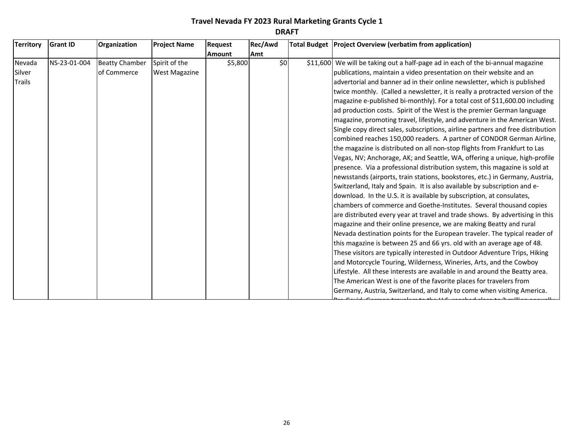| <b>Territory</b>                  | <b>Grant ID</b> | Organization                         | <b>Project Name</b>                   | <b>Request</b> | Rec/Awd | Total Budget   Project Overview (verbatim from application)                                                                                                                                                                                                                                                                                                                                                                                                                                                                                                                                                                                                                                                                                                                                                                                                                                                                                                                                                                                                                                                                                                                                                                                                                                                                                                                                                                                                                                                                                                                                                                                                                                                                                                                                                                                                                                                                                                                    |
|-----------------------------------|-----------------|--------------------------------------|---------------------------------------|----------------|---------|--------------------------------------------------------------------------------------------------------------------------------------------------------------------------------------------------------------------------------------------------------------------------------------------------------------------------------------------------------------------------------------------------------------------------------------------------------------------------------------------------------------------------------------------------------------------------------------------------------------------------------------------------------------------------------------------------------------------------------------------------------------------------------------------------------------------------------------------------------------------------------------------------------------------------------------------------------------------------------------------------------------------------------------------------------------------------------------------------------------------------------------------------------------------------------------------------------------------------------------------------------------------------------------------------------------------------------------------------------------------------------------------------------------------------------------------------------------------------------------------------------------------------------------------------------------------------------------------------------------------------------------------------------------------------------------------------------------------------------------------------------------------------------------------------------------------------------------------------------------------------------------------------------------------------------------------------------------------------------|
|                                   |                 |                                      |                                       | <b>Amount</b>  | Amt     |                                                                                                                                                                                                                                                                                                                                                                                                                                                                                                                                                                                                                                                                                                                                                                                                                                                                                                                                                                                                                                                                                                                                                                                                                                                                                                                                                                                                                                                                                                                                                                                                                                                                                                                                                                                                                                                                                                                                                                                |
| Nevada<br>Silver<br><b>Trails</b> | NS-23-01-004    | <b>Beatty Chamber</b><br>of Commerce | Spirit of the<br><b>West Magazine</b> | \$5,800        | \$0     | \$11,600 We will be taking out a half-page ad in each of the bi-annual magazine<br>publications, maintain a video presentation on their website and an<br>advertorial and banner ad in their online newsletter, which is published<br>twice monthly. (Called a newsletter, it is really a protracted version of the<br>magazine e-published bi-monthly). For a total cost of \$11,600.00 including<br>ad production costs. Spirit of the West is the premier German language<br>magazine, promoting travel, lifestyle, and adventure in the American West.<br>Single copy direct sales, subscriptions, airline partners and free distribution<br>combined reaches 150,000 readers. A partner of CONDOR German Airline,<br>the magazine is distributed on all non-stop flights from Frankfurt to Las<br>Vegas, NV; Anchorage, AK; and Seattle, WA, offering a unique, high-profile<br>presence. Via a professional distribution system, this magazine is sold at<br>newsstands (airports, train stations, bookstores, etc.) in Germany, Austria,<br>Switzerland, Italy and Spain. It is also available by subscription and e-<br>download. In the U.S. it is available by subscription, at consulates,<br>chambers of commerce and Goethe-Institutes. Several thousand copies<br>are distributed every year at travel and trade shows. By advertising in this<br>magazine and their online presence, we are making Beatty and rural<br>Nevada destination points for the European traveler. The typical reader of<br>this magazine is between 25 and 66 yrs. old with an average age of 48.<br>These visitors are typically interested in Outdoor Adventure Trips, Hiking<br>and Motorcycle Touring, Wilderness, Wineries, Arts, and the Cowboy<br>Lifestyle. All these interests are available in and around the Beatty area.<br>The American West is one of the favorite places for travelers from<br>Germany, Austria, Switzerland, and Italy to come when visiting America. |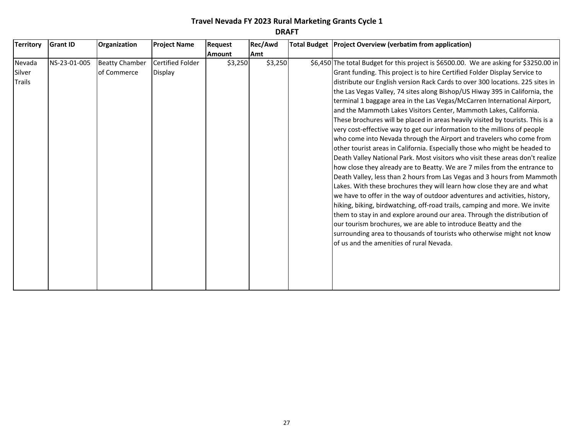| <b>Territory</b>                  | <b>Grant ID</b> | Organization                         | <b>Project Name</b>                | <b>Request</b> | Rec/Awd | Total Budget   Project Overview (verbatim from application)                                                                                                                                                                                                                                                                                                                                                                                                                                                                                                                                                                                                                                                                                                                                                                                                                                                                                                                                                                                                                                                                                                                                                                                                                                                                                                                                                                                                                                                                                                   |
|-----------------------------------|-----------------|--------------------------------------|------------------------------------|----------------|---------|---------------------------------------------------------------------------------------------------------------------------------------------------------------------------------------------------------------------------------------------------------------------------------------------------------------------------------------------------------------------------------------------------------------------------------------------------------------------------------------------------------------------------------------------------------------------------------------------------------------------------------------------------------------------------------------------------------------------------------------------------------------------------------------------------------------------------------------------------------------------------------------------------------------------------------------------------------------------------------------------------------------------------------------------------------------------------------------------------------------------------------------------------------------------------------------------------------------------------------------------------------------------------------------------------------------------------------------------------------------------------------------------------------------------------------------------------------------------------------------------------------------------------------------------------------------|
|                                   |                 |                                      |                                    | <b>Amount</b>  | Amt     |                                                                                                                                                                                                                                                                                                                                                                                                                                                                                                                                                                                                                                                                                                                                                                                                                                                                                                                                                                                                                                                                                                                                                                                                                                                                                                                                                                                                                                                                                                                                                               |
| Nevada<br>Silver<br><b>Trails</b> | NS-23-01-005    | <b>Beatty Chamber</b><br>of Commerce | <b>Certified Folder</b><br>Display | \$3,250        | \$3,250 | \$6,450 The total Budget for this project is \$6500.00. We are asking for \$3250.00 in<br>Grant funding. This project is to hire Certified Folder Display Service to<br>distribute our English version Rack Cards to over 300 locations. 225 sites in<br>the Las Vegas Valley, 74 sites along Bishop/US Hiway 395 in California, the<br>terminal 1 baggage area in the Las Vegas/McCarren International Airport,<br>and the Mammoth Lakes Visitors Center, Mammoth Lakes, California.<br>These brochures will be placed in areas heavily visited by tourists. This is a<br>very cost-effective way to get our information to the millions of people<br>who come into Nevada through the Airport and travelers who come from<br>other tourist areas in California. Especially those who might be headed to<br>Death Valley National Park. Most visitors who visit these areas don't realize<br>how close they already are to Beatty. We are 7 miles from the entrance to<br>Death Valley, less than 2 hours from Las Vegas and 3 hours from Mammoth<br>Lakes. With these brochures they will learn how close they are and what<br>we have to offer in the way of outdoor adventures and activities, history,<br>hiking, biking, birdwatching, off-road trails, camping and more. We invite<br>them to stay in and explore around our area. Through the distribution of<br>our tourism brochures, we are able to introduce Beatty and the<br>surrounding area to thousands of tourists who otherwise might not know<br>of us and the amenities of rural Nevada. |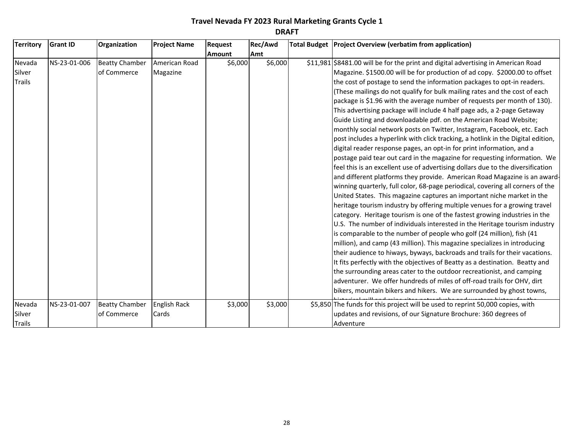| <b>Territory</b>                  | <b>Grant ID</b> | Organization                         | <b>Project Name</b>          | <b>Request</b> | Rec/Awd | Total Budget   Project Overview (verbatim from application)                                                                                                                                                                                                                                                                                                                                                                                                                                                                                                                                                                                                                                                                                                                                                                                                                                                                                                                                                                                                                                                                                                                                                                                                                                                                                                                                                                                                                                                                                                                                                                                                                                                                                                                                                                                                                                                                                                                                       |
|-----------------------------------|-----------------|--------------------------------------|------------------------------|----------------|---------|---------------------------------------------------------------------------------------------------------------------------------------------------------------------------------------------------------------------------------------------------------------------------------------------------------------------------------------------------------------------------------------------------------------------------------------------------------------------------------------------------------------------------------------------------------------------------------------------------------------------------------------------------------------------------------------------------------------------------------------------------------------------------------------------------------------------------------------------------------------------------------------------------------------------------------------------------------------------------------------------------------------------------------------------------------------------------------------------------------------------------------------------------------------------------------------------------------------------------------------------------------------------------------------------------------------------------------------------------------------------------------------------------------------------------------------------------------------------------------------------------------------------------------------------------------------------------------------------------------------------------------------------------------------------------------------------------------------------------------------------------------------------------------------------------------------------------------------------------------------------------------------------------------------------------------------------------------------------------------------------------|
|                                   |                 |                                      |                              | <b>Amount</b>  | Amt     |                                                                                                                                                                                                                                                                                                                                                                                                                                                                                                                                                                                                                                                                                                                                                                                                                                                                                                                                                                                                                                                                                                                                                                                                                                                                                                                                                                                                                                                                                                                                                                                                                                                                                                                                                                                                                                                                                                                                                                                                   |
| Nevada<br>Silver<br><b>Trails</b> | NS-23-01-006    | <b>Beatty Chamber</b><br>of Commerce | American Road<br>Magazine    | \$6,000        | \$6,000 | \$11,981 \$8481.00 will be for the print and digital advertising in American Road<br>Magazine. \$1500.00 will be for production of ad copy. \$2000.00 to offset<br>the cost of postage to send the information packages to opt-in readers.<br>(These mailings do not qualify for bulk mailing rates and the cost of each<br>package is \$1.96 with the average number of requests per month of 130).<br>This advertising package will include 4 half page ads, a 2-page Getaway<br>Guide Listing and downloadable pdf. on the American Road Website;<br>monthly social network posts on Twitter, Instagram, Facebook, etc. Each<br>post includes a hyperlink with click tracking, a hotlink in the Digital edition,<br>digital reader response pages, an opt-in for print information, and a<br>postage paid tear out card in the magazine for requesting information. We<br>feel this is an excellent use of advertising dollars due to the diversification<br>and different platforms they provide. American Road Magazine is an award-<br>winning quarterly, full color, 68-page periodical, covering all corners of the<br>United States. This magazine captures an important niche market in the<br>heritage tourism industry by offering multiple venues for a growing travel<br>category. Heritage tourism is one of the fastest growing industries in the<br>U.S. The number of individuals interested in the Heritage tourism industry<br>is comparable to the number of people who golf (24 million), fish (41<br>million), and camp (43 million). This magazine specializes in introducing<br>their audience to hiways, byways, backroads and trails for their vacations.<br>It fits perfectly with the objectives of Beatty as a destination. Beatty and<br>the surrounding areas cater to the outdoor recreationist, and camping<br>adventurer. We offer hundreds of miles of off-road trails for OHV, dirt<br>bikers, mountain bikers and hikers. We are surrounded by ghost towns, |
| Nevada<br>Silver<br><b>Trails</b> | NS-23-01-007    | <b>Beatty Chamber</b><br>of Commerce | <b>English Rack</b><br>Cards | \$3,000        | \$3,000 | \$5,850 The funds for this project will be used to reprint 50,000 copies, with<br>updates and revisions, of our Signature Brochure: 360 degrees of<br>Adventure                                                                                                                                                                                                                                                                                                                                                                                                                                                                                                                                                                                                                                                                                                                                                                                                                                                                                                                                                                                                                                                                                                                                                                                                                                                                                                                                                                                                                                                                                                                                                                                                                                                                                                                                                                                                                                   |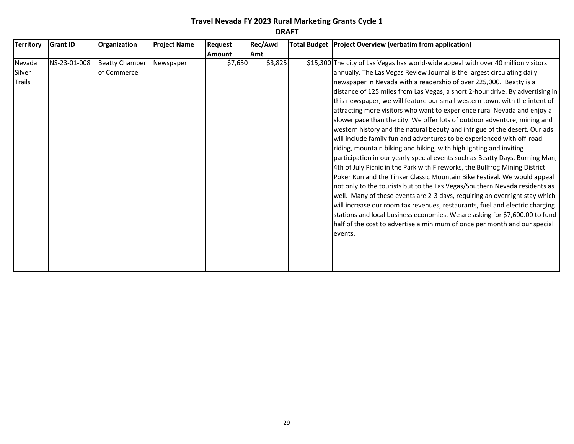| <b>Territory</b>                  | <b>Grant ID</b> | Organization                         | <b>Project Name</b> | <b>Request</b> | Rec/Awd | Total Budget Project Overview (verbatim from application)                                                                                                                                                                                                                                                                                                                                                                                                                                                                                                                                                                                                                                                                                                                                                                                                                                                                                                                                                                                                                                                                                                                                                                                                                                                                                                                                                                                               |
|-----------------------------------|-----------------|--------------------------------------|---------------------|----------------|---------|---------------------------------------------------------------------------------------------------------------------------------------------------------------------------------------------------------------------------------------------------------------------------------------------------------------------------------------------------------------------------------------------------------------------------------------------------------------------------------------------------------------------------------------------------------------------------------------------------------------------------------------------------------------------------------------------------------------------------------------------------------------------------------------------------------------------------------------------------------------------------------------------------------------------------------------------------------------------------------------------------------------------------------------------------------------------------------------------------------------------------------------------------------------------------------------------------------------------------------------------------------------------------------------------------------------------------------------------------------------------------------------------------------------------------------------------------------|
|                                   |                 |                                      |                     | <b>Amount</b>  | Amt     |                                                                                                                                                                                                                                                                                                                                                                                                                                                                                                                                                                                                                                                                                                                                                                                                                                                                                                                                                                                                                                                                                                                                                                                                                                                                                                                                                                                                                                                         |
| Nevada<br>Silver<br><b>Trails</b> | NS-23-01-008    | <b>Beatty Chamber</b><br>of Commerce | Newspaper           | \$7,650        | \$3,825 | \$15,300 The city of Las Vegas has world-wide appeal with over 40 million visitors<br>annually. The Las Vegas Review Journal is the largest circulating daily<br>newspaper in Nevada with a readership of over 225,000. Beatty is a<br>distance of 125 miles from Las Vegas, a short 2-hour drive. By advertising in<br>this newspaper, we will feature our small western town, with the intent of<br>attracting more visitors who want to experience rural Nevada and enjoy a<br>slower pace than the city. We offer lots of outdoor adventure, mining and<br>western history and the natural beauty and intrigue of the desert. Our ads<br>will include family fun and adventures to be experienced with off-road<br>riding, mountain biking and hiking, with highlighting and inviting<br>participation in our yearly special events such as Beatty Days, Burning Man,<br>4th of July Picnic in the Park with Fireworks, the Bullfrog Mining District<br>Poker Run and the Tinker Classic Mountain Bike Festival. We would appeal<br>not only to the tourists but to the Las Vegas/Southern Nevada residents as<br>well. Many of these events are 2-3 days, requiring an overnight stay which<br>will increase our room tax revenues, restaurants, fuel and electric charging<br>stations and local business economies. We are asking for \$7,600.00 to fund<br>half of the cost to advertise a minimum of once per month and our special<br>events. |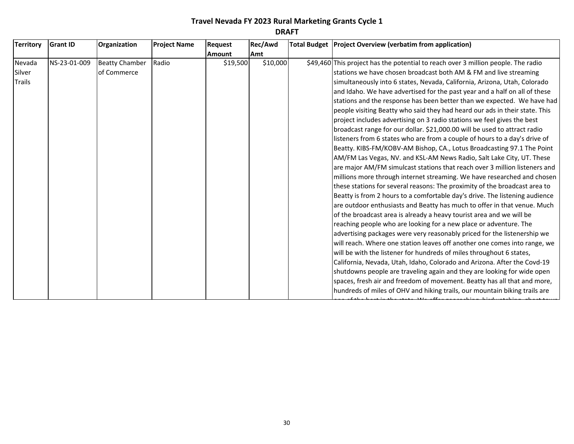| <b>Territory</b> | <b>Grant ID</b> | Organization          | <b>Project Name</b> | Request       | Rec/Awd    | Total Budget   Project Overview (verbatim from application)                       |
|------------------|-----------------|-----------------------|---------------------|---------------|------------|-----------------------------------------------------------------------------------|
|                  |                 |                       |                     | <b>Amount</b> | <b>Amt</b> |                                                                                   |
| Nevada           | NS-23-01-009    | <b>Beatty Chamber</b> | Radio               | \$19,500      | \$10,000   | \$49,460 This project has the potential to reach over 3 million people. The radio |
| Silver           |                 | of Commerce           |                     |               |            | stations we have chosen broadcast both AM & FM and live streaming                 |
| <b>Trails</b>    |                 |                       |                     |               |            | simultaneously into 6 states, Nevada, California, Arizona, Utah, Colorado         |
|                  |                 |                       |                     |               |            | and Idaho. We have advertised for the past year and a half on all of these        |
|                  |                 |                       |                     |               |            | stations and the response has been better than we expected. We have had           |
|                  |                 |                       |                     |               |            | people visiting Beatty who said they had heard our ads in their state. This       |
|                  |                 |                       |                     |               |            | project includes advertising on 3 radio stations we feel gives the best           |
|                  |                 |                       |                     |               |            | broadcast range for our dollar. \$21,000.00 will be used to attract radio         |
|                  |                 |                       |                     |               |            | listeners from 6 states who are from a couple of hours to a day's drive of        |
|                  |                 |                       |                     |               |            | Beatty. KIBS-FM/KOBV-AM Bishop, CA., Lotus Broadcasting 97.1 The Point            |
|                  |                 |                       |                     |               |            | AM/FM Las Vegas, NV. and KSL-AM News Radio, Salt Lake City, UT. These             |
|                  |                 |                       |                     |               |            | are major AM/FM simulcast stations that reach over 3 million listeners and        |
|                  |                 |                       |                     |               |            | millions more through internet streaming. We have researched and chosen           |
|                  |                 |                       |                     |               |            | these stations for several reasons: The proximity of the broadcast area to        |
|                  |                 |                       |                     |               |            | Beatty is from 2 hours to a comfortable day's drive. The listening audience       |
|                  |                 |                       |                     |               |            | are outdoor enthusiasts and Beatty has much to offer in that venue. Much          |
|                  |                 |                       |                     |               |            | of the broadcast area is already a heavy tourist area and we will be              |
|                  |                 |                       |                     |               |            | reaching people who are looking for a new place or adventure. The                 |
|                  |                 |                       |                     |               |            | advertising packages were very reasonably priced for the listenership we          |
|                  |                 |                       |                     |               |            | will reach. Where one station leaves off another one comes into range, we         |
|                  |                 |                       |                     |               |            | will be with the listener for hundreds of miles throughout 6 states,              |
|                  |                 |                       |                     |               |            | California, Nevada, Utah, Idaho, Colorado and Arizona. After the Covd-19          |
|                  |                 |                       |                     |               |            | shutdowns people are traveling again and they are looking for wide open           |
|                  |                 |                       |                     |               |            | spaces, fresh air and freedom of movement. Beatty has all that and more,          |
|                  |                 |                       |                     |               |            | hundreds of miles of OHV and hiking trails, our mountain biking trails are        |

one of the best in the state. We offer geocaching, birdwatching, ghost town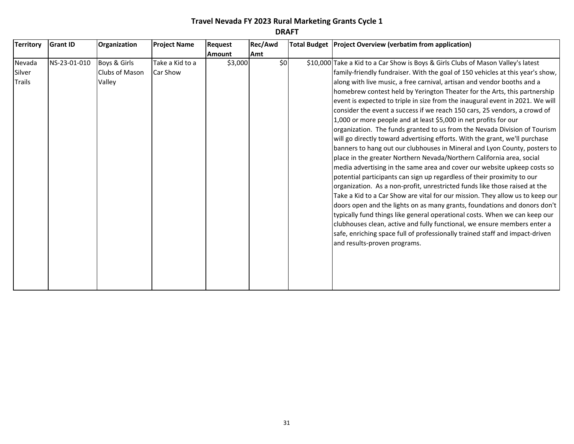| <b>Territory</b> | <b>Grant ID</b> | Organization   | <b>Project Name</b> | Request       | Rec/Awd | Total Budget Project Overview (verbatim from application)                        |
|------------------|-----------------|----------------|---------------------|---------------|---------|----------------------------------------------------------------------------------|
|                  |                 |                |                     | <b>Amount</b> | Amt     |                                                                                  |
| Nevada           | NS-23-01-010    | Boys & Girls   | Take a Kid to a     | \$3,000       | \$0     | \$10,000 Take a Kid to a Car Show is Boys & Girls Clubs of Mason Valley's latest |
| Silver           |                 | Clubs of Mason | Car Show            |               |         | family-friendly fundraiser. With the goal of 150 vehicles at this year's show,   |
| <b>Trails</b>    |                 | Valley         |                     |               |         | along with live music, a free carnival, artisan and vendor booths and a          |
|                  |                 |                |                     |               |         | homebrew contest held by Yerington Theater for the Arts, this partnership        |
|                  |                 |                |                     |               |         | event is expected to triple in size from the inaugural event in 2021. We will    |
|                  |                 |                |                     |               |         | consider the event a success if we reach 150 cars, 25 vendors, a crowd of        |
|                  |                 |                |                     |               |         | 1,000 or more people and at least \$5,000 in net profits for our                 |
|                  |                 |                |                     |               |         | organization. The funds granted to us from the Nevada Division of Tourism        |
|                  |                 |                |                     |               |         | will go directly toward advertising efforts. With the grant, we'll purchase      |
|                  |                 |                |                     |               |         | banners to hang out our clubhouses in Mineral and Lyon County, posters to        |
|                  |                 |                |                     |               |         | place in the greater Northern Nevada/Northern California area, social            |
|                  |                 |                |                     |               |         | media advertising in the same area and cover our website upkeep costs so         |
|                  |                 |                |                     |               |         | potential participants can sign up regardless of their proximity to our          |
|                  |                 |                |                     |               |         | organization. As a non-profit, unrestricted funds like those raised at the       |
|                  |                 |                |                     |               |         | Take a Kid to a Car Show are vital for our mission. They allow us to keep our    |
|                  |                 |                |                     |               |         | doors open and the lights on as many grants, foundations and donors don't        |
|                  |                 |                |                     |               |         | typically fund things like general operational costs. When we can keep our       |
|                  |                 |                |                     |               |         | clubhouses clean, active and fully functional, we ensure members enter a         |
|                  |                 |                |                     |               |         | safe, enriching space full of professionally trained staff and impact-driven     |
|                  |                 |                |                     |               |         | and results-proven programs.                                                     |
|                  |                 |                |                     |               |         |                                                                                  |
|                  |                 |                |                     |               |         |                                                                                  |
|                  |                 |                |                     |               |         |                                                                                  |
|                  |                 |                |                     |               |         |                                                                                  |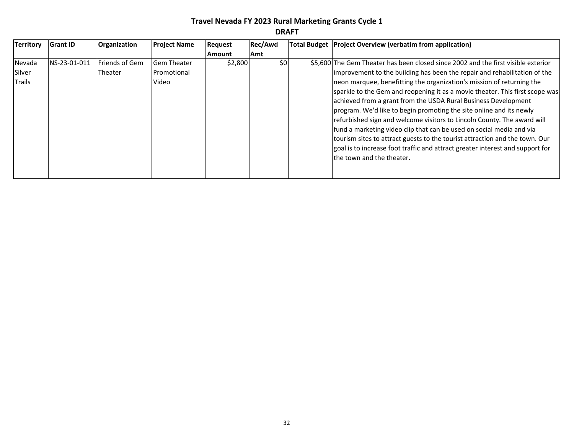| <b>Territory</b> | <b>Grant ID</b> | Organization          | <b>Project Name</b> | <b>Request</b> | Rec/Awd | Total Budget   Project Overview (verbatim from application)                       |
|------------------|-----------------|-----------------------|---------------------|----------------|---------|-----------------------------------------------------------------------------------|
|                  |                 |                       |                     | <b>Amount</b>  | Amt     |                                                                                   |
| Nevada           | NS-23-01-011    | <b>Friends of Gem</b> | <b>Gem Theater</b>  | \$2,800        | \$0     | \$5,600 The Gem Theater has been closed since 2002 and the first visible exterior |
| Silver           |                 | <b>Theater</b>        | Promotional         |                |         | improvement to the building has been the repair and rehabilitation of the         |
| Trails           |                 |                       | Video               |                |         | neon marquee, benefitting the organization's mission of returning the             |
|                  |                 |                       |                     |                |         | sparkle to the Gem and reopening it as a movie theater. This first scope was      |
|                  |                 |                       |                     |                |         | achieved from a grant from the USDA Rural Business Development                    |
|                  |                 |                       |                     |                |         | program. We'd like to begin promoting the site online and its newly               |
|                  |                 |                       |                     |                |         | refurbished sign and welcome visitors to Lincoln County. The award will           |
|                  |                 |                       |                     |                |         | fund a marketing video clip that can be used on social media and via              |
|                  |                 |                       |                     |                |         | tourism sites to attract guests to the tourist attraction and the town. Our       |
|                  |                 |                       |                     |                |         | goal is to increase foot traffic and attract greater interest and support for     |
|                  |                 |                       |                     |                |         | the town and the theater.                                                         |
|                  |                 |                       |                     |                |         |                                                                                   |
|                  |                 |                       |                     |                |         |                                                                                   |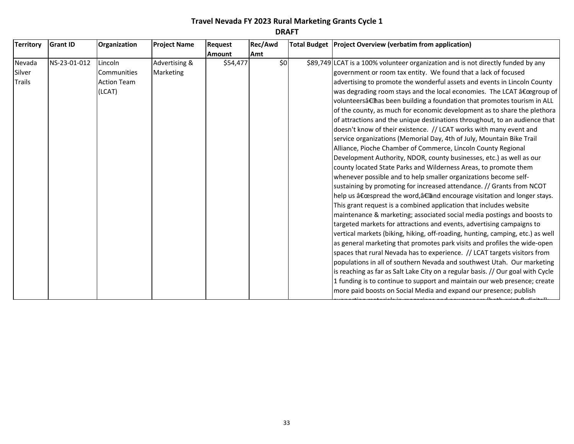| <b>Territory</b> | <b>Grant ID</b> | Organization       | <b>Project Name</b> | Request       | Rec/Awd | Total Budget   Project Overview (verbatim from application)                      |
|------------------|-----------------|--------------------|---------------------|---------------|---------|----------------------------------------------------------------------------------|
|                  |                 |                    |                     | <b>Amount</b> | Amt     |                                                                                  |
| Nevada           | NS-23-01-012    | Lincoln            | Advertising &       | \$54,477      | \$0     | \$89,749 LCAT is a 100% volunteer organization and is not directly funded by any |
| Silver           |                 | Communities        | Marketing           |               |         | government or room tax entity. We found that a lack of focused                   |
| Trails           |                 | <b>Action Team</b> |                     |               |         | advertising to promote the wonderful assets and events in Lincoln County         |
|                  |                 | (LCAT)             |                     |               |         | was degrading room stays and the local economies. The LCAT "group of             |
|                  |                 |                    |                     |               |         | volunteers†has been building a foundation that promotes tourism in ALL           |
|                  |                 |                    |                     |               |         | of the county, as much for economic development as to share the plethora         |
|                  |                 |                    |                     |               |         | of attractions and the unique destinations throughout, to an audience that       |
|                  |                 |                    |                     |               |         | doesn't know of their existence. // LCAT works with many event and               |
|                  |                 |                    |                     |               |         | service organizations (Memorial Day, 4th of July, Mountain Bike Trail            |
|                  |                 |                    |                     |               |         | Alliance, Pioche Chamber of Commerce, Lincoln County Regional                    |
|                  |                 |                    |                     |               |         | Development Authority, NDOR, county businesses, etc.) as well as our             |
|                  |                 |                    |                     |               |         | county located State Parks and Wilderness Areas, to promote them                 |
|                  |                 |                    |                     |               |         | whenever possible and to help smaller organizations become self-                 |
|                  |                 |                    |                     |               |         | sustaining by promoting for increased attendance. // Grants from NCOT            |
|                  |                 |                    |                     |               |         | help us "spread the word, †and encourage visitation and longer stays.            |
|                  |                 |                    |                     |               |         | This grant request is a combined application that includes website               |
|                  |                 |                    |                     |               |         | maintenance & marketing; associated social media postings and boosts to          |
|                  |                 |                    |                     |               |         | targeted markets for attractions and events, advertising campaigns to            |
|                  |                 |                    |                     |               |         | vertical markets (biking, hiking, off-roading, hunting, camping, etc.) as well   |
|                  |                 |                    |                     |               |         | as general marketing that promotes park visits and profiles the wide-open        |
|                  |                 |                    |                     |               |         | spaces that rural Nevada has to experience. // LCAT targets visitors from        |
|                  |                 |                    |                     |               |         | populations in all of southern Nevada and southwest Utah. Our marketing          |
|                  |                 |                    |                     |               |         | is reaching as far as Salt Lake City on a regular basis. // Our goal with Cycle  |
|                  |                 |                    |                     |               |         | 1 funding is to continue to support and maintain our web presence; create        |
|                  |                 |                    |                     |               |         | more paid boosts on Social Media and expand our presence; publish                |

supporting materials in magazines and newspapers (both print & digital);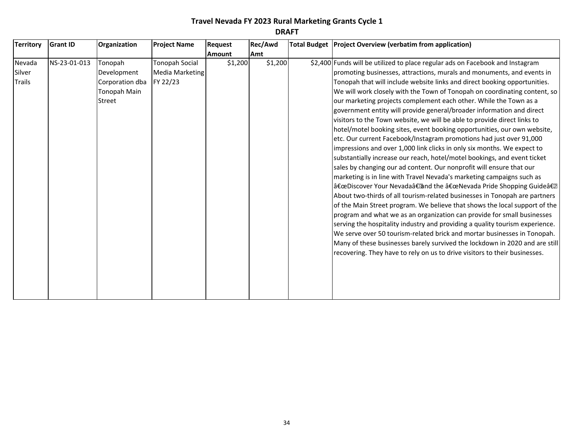| <b>Territory</b>                  | <b>Grant ID</b> | Organization                                                        | <b>Project Name</b>                                         | Request       | Rec/Awd | Total Budget Project Overview (verbatim from application)                                                                                                                                                                                                                                                                                                                                                                                                                                                                                                                                                                                                                                                                                                                                                                                                                                                                                                                                                                                                                                                                                                                                                                                                                                                                                                                                                                                                                                                                                                                                                                              |
|-----------------------------------|-----------------|---------------------------------------------------------------------|-------------------------------------------------------------|---------------|---------|----------------------------------------------------------------------------------------------------------------------------------------------------------------------------------------------------------------------------------------------------------------------------------------------------------------------------------------------------------------------------------------------------------------------------------------------------------------------------------------------------------------------------------------------------------------------------------------------------------------------------------------------------------------------------------------------------------------------------------------------------------------------------------------------------------------------------------------------------------------------------------------------------------------------------------------------------------------------------------------------------------------------------------------------------------------------------------------------------------------------------------------------------------------------------------------------------------------------------------------------------------------------------------------------------------------------------------------------------------------------------------------------------------------------------------------------------------------------------------------------------------------------------------------------------------------------------------------------------------------------------------------|
|                                   |                 |                                                                     |                                                             | <b>Amount</b> | Amt     |                                                                                                                                                                                                                                                                                                                                                                                                                                                                                                                                                                                                                                                                                                                                                                                                                                                                                                                                                                                                                                                                                                                                                                                                                                                                                                                                                                                                                                                                                                                                                                                                                                        |
| Nevada<br>Silver<br><b>Trails</b> | NS-23-01-013    | Tonopah<br>Development<br>Corporation dba<br>Tonopah Main<br>Street | <b>Tonopah Social</b><br><b>Media Marketing</b><br>FY 22/23 | \$1,200       | \$1,200 | \$2,400 Funds will be utilized to place regular ads on Facebook and Instagram<br>promoting businesses, attractions, murals and monuments, and events in<br>Tonopah that will include website links and direct booking opportunities.<br>We will work closely with the Town of Tonopah on coordinating content, so<br>our marketing projects complement each other. While the Town as a<br>government entity will provide general/broader information and direct<br>visitors to the Town website, we will be able to provide direct links to<br>hotel/motel booking sites, event booking opportunities, our own website,<br>etc. Our current Facebook/Instagram promotions had just over 91,000<br>impressions and over 1,000 link clicks in only six months. We expect to<br>substantially increase our reach, hotel/motel bookings, and event ticket<br>sales by changing our ad content. Our nonprofit will ensure that our<br>marketing is in line with Travel Nevada's marketing campaigns such as<br>"Discover Your Nevada†and the "Nevada Pride Shopping Guide†2<br>About two-thirds of all tourism-related businesses in Tonopah are partners<br>of the Main Street program. We believe that shows the local support of the<br>program and what we as an organization can provide for small businesses<br>serving the hospitality industry and providing a quality tourism experience.<br>We serve over 50 tourism-related brick and mortar businesses in Tonopah.<br>Many of these businesses barely survived the lockdown in 2020 and are still<br>recovering. They have to rely on us to drive visitors to their businesses. |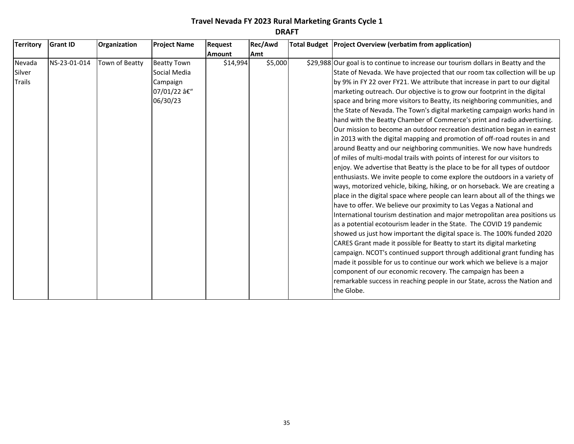| <b>Territory</b> | <b>Grant ID</b> | Organization   | <b>Project Name</b> | Request       | Rec/Awd | Total Budget   Project Overview (verbatim from application)                        |
|------------------|-----------------|----------------|---------------------|---------------|---------|------------------------------------------------------------------------------------|
|                  |                 |                |                     | <b>Amount</b> | Amt     |                                                                                    |
| Nevada           | NS-23-01-014    | Town of Beatty | <b>Beatty Town</b>  | \$14,994      | \$5,000 | \$29,988 Our goal is to continue to increase our tourism dollars in Beatty and the |
| Silver           |                 |                | Social Media        |               |         | State of Nevada. We have projected that our room tax collection will be up         |
| <b>Trails</b>    |                 |                | Campaign            |               |         | by 9% in FY 22 over FY21. We attribute that increase in part to our digital        |
|                  |                 |                | 07/01/22 –          |               |         | marketing outreach. Our objective is to grow our footprint in the digital          |
|                  |                 |                | 06/30/23            |               |         | space and bring more visitors to Beatty, its neighboring communities, and          |
|                  |                 |                |                     |               |         | the State of Nevada. The Town's digital marketing campaign works hand in           |
|                  |                 |                |                     |               |         | hand with the Beatty Chamber of Commerce's print and radio advertising.            |
|                  |                 |                |                     |               |         | Our mission to become an outdoor recreation destination began in earnest           |
|                  |                 |                |                     |               |         | in 2013 with the digital mapping and promotion of off-road routes in and           |
|                  |                 |                |                     |               |         | around Beatty and our neighboring communities. We now have hundreds                |
|                  |                 |                |                     |               |         | of miles of multi-modal trails with points of interest for our visitors to         |
|                  |                 |                |                     |               |         | enjoy. We advertise that Beatty is the place to be for all types of outdoor        |
|                  |                 |                |                     |               |         | enthusiasts. We invite people to come explore the outdoors in a variety of         |
|                  |                 |                |                     |               |         | ways, motorized vehicle, biking, hiking, or on horseback. We are creating a        |
|                  |                 |                |                     |               |         | place in the digital space where people can learn about all of the things we       |
|                  |                 |                |                     |               |         | have to offer. We believe our proximity to Las Vegas a National and                |
|                  |                 |                |                     |               |         | International tourism destination and major metropolitan area positions us         |
|                  |                 |                |                     |               |         | as a potential ecotourism leader in the State. The COVID 19 pandemic               |
|                  |                 |                |                     |               |         | showed us just how important the digital space is. The 100% funded 2020            |
|                  |                 |                |                     |               |         | CARES Grant made it possible for Beatty to start its digital marketing             |
|                  |                 |                |                     |               |         | campaign. NCOT's continued support through additional grant funding has            |
|                  |                 |                |                     |               |         | made it possible for us to continue our work which we believe is a major           |
|                  |                 |                |                     |               |         | component of our economic recovery. The campaign has been a                        |
|                  |                 |                |                     |               |         | remarkable success in reaching people in our State, across the Nation and          |
|                  |                 |                |                     |               |         | the Globe.                                                                         |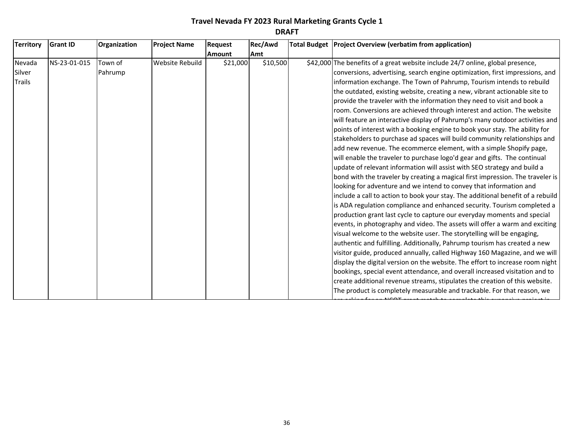| <b>Territory</b> | <b>Grant ID</b> | Organization | <b>Project Name</b> | Request       | Rec/Awd  | Total Budget   Project Overview (verbatim from application)                     |
|------------------|-----------------|--------------|---------------------|---------------|----------|---------------------------------------------------------------------------------|
|                  |                 |              |                     | <b>Amount</b> | Amt      |                                                                                 |
| Nevada           | NS-23-01-015    | Town of      | Website Rebuild     | \$21,000      | \$10,500 | \$42,000 The benefits of a great website include 24/7 online, global presence,  |
| Silver           |                 | Pahrump      |                     |               |          | conversions, advertising, search engine optimization, first impressions, and    |
| Trails           |                 |              |                     |               |          | information exchange. The Town of Pahrump, Tourism intends to rebuild           |
|                  |                 |              |                     |               |          | the outdated, existing website, creating a new, vibrant actionable site to      |
|                  |                 |              |                     |               |          | provide the traveler with the information they need to visit and book a         |
|                  |                 |              |                     |               |          | room. Conversions are achieved through interest and action. The website         |
|                  |                 |              |                     |               |          | will feature an interactive display of Pahrump's many outdoor activities and    |
|                  |                 |              |                     |               |          | points of interest with a booking engine to book your stay. The ability for     |
|                  |                 |              |                     |               |          | stakeholders to purchase ad spaces will build community relationships and       |
|                  |                 |              |                     |               |          | add new revenue. The ecommerce element, with a simple Shopify page,             |
|                  |                 |              |                     |               |          | will enable the traveler to purchase logo'd gear and gifts. The continual       |
|                  |                 |              |                     |               |          | update of relevant information will assist with SEO strategy and build a        |
|                  |                 |              |                     |               |          | bond with the traveler by creating a magical first impression. The traveler is  |
|                  |                 |              |                     |               |          | looking for adventure and we intend to convey that information and              |
|                  |                 |              |                     |               |          | include a call to action to book your stay. The additional benefit of a rebuild |
|                  |                 |              |                     |               |          | is ADA regulation compliance and enhanced security. Tourism completed a         |
|                  |                 |              |                     |               |          | production grant last cycle to capture our everyday moments and special         |
|                  |                 |              |                     |               |          | events, in photography and video. The assets will offer a warm and exciting     |
|                  |                 |              |                     |               |          | visual welcome to the website user. The storytelling will be engaging,          |
|                  |                 |              |                     |               |          | authentic and fulfilling. Additionally, Pahrump tourism has created a new       |
|                  |                 |              |                     |               |          | visitor guide, produced annually, called Highway 160 Magazine, and we will      |
|                  |                 |              |                     |               |          | display the digital version on the website. The effort to increase room night   |
|                  |                 |              |                     |               |          | bookings, special event attendance, and overall increased visitation and to     |
|                  |                 |              |                     |               |          | create additional revenue streams, stipulates the creation of this website.     |
|                  |                 |              |                     |               |          | The product is completely measurable and trackable. For that reason, we         |

are as the complete this expansion of the complete this expansion  $\mathcal{C}$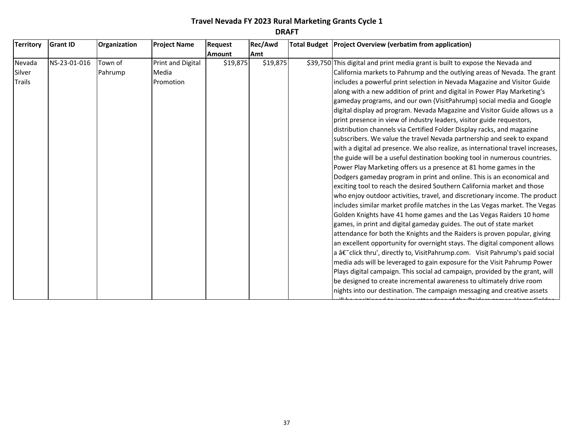| <b>Territory</b> | <b>Grant ID</b> | Organization | <b>Project Name</b> | Request       | Rec/Awd    | Total Budget   Project Overview (verbatim from application)                     |
|------------------|-----------------|--------------|---------------------|---------------|------------|---------------------------------------------------------------------------------|
|                  |                 |              |                     | <b>Amount</b> | <b>Amt</b> |                                                                                 |
| Nevada           | NS-23-01-016    | Town of      | Print and Digital   | \$19,875      | \$19,875   | \$39,750 This digital and print media grant is built to expose the Nevada and   |
| Silver           |                 | Pahrump      | Media               |               |            | California markets to Pahrump and the outlying areas of Nevada. The grant       |
| <b>Trails</b>    |                 |              | Promotion           |               |            | includes a powerful print selection in Nevada Magazine and Visitor Guide        |
|                  |                 |              |                     |               |            | along with a new addition of print and digital in Power Play Marketing's        |
|                  |                 |              |                     |               |            | gameday programs, and our own (VisitPahrump) social media and Google            |
|                  |                 |              |                     |               |            | digital display ad program. Nevada Magazine and Visitor Guide allows us a       |
|                  |                 |              |                     |               |            | print presence in view of industry leaders, visitor guide requestors,           |
|                  |                 |              |                     |               |            | distribution channels via Certified Folder Display racks, and magazine          |
|                  |                 |              |                     |               |            | subscribers. We value the travel Nevada partnership and seek to expand          |
|                  |                 |              |                     |               |            | with a digital ad presence. We also realize, as international travel increases, |
|                  |                 |              |                     |               |            | the guide will be a useful destination booking tool in numerous countries.      |
|                  |                 |              |                     |               |            | Power Play Marketing offers us a presence at 81 home games in the               |
|                  |                 |              |                     |               |            | Dodgers gameday program in print and online. This is an economical and          |
|                  |                 |              |                     |               |            | exciting tool to reach the desired Southern California market and those         |
|                  |                 |              |                     |               |            | who enjoy outdoor activities, travel, and discretionary income. The product     |
|                  |                 |              |                     |               |            | includes similar market profile matches in the Las Vegas market. The Vegas      |
|                  |                 |              |                     |               |            | Golden Knights have 41 home games and the Las Vegas Raiders 10 home             |
|                  |                 |              |                     |               |            | games, in print and digital gameday guides. The out of state market             |
|                  |                 |              |                     |               |            | attendance for both the Knights and the Raiders is proven popular, giving       |
|                  |                 |              |                     |               |            | an excellent opportunity for overnight stays. The digital component allows      |
|                  |                 |              |                     |               |            | a †click thru', directly to, VisitPahrump.com. Visit Pahrump's paid social      |
|                  |                 |              |                     |               |            | media ads will be leveraged to gain exposure for the Visit Pahrump Power        |
|                  |                 |              |                     |               |            | Plays digital campaign. This social ad campaign, provided by the grant, will    |
|                  |                 |              |                     |               |            | be designed to create incremental awareness to ultimately drive room            |
|                  |                 |              |                     |               |            | nights into our destination. The campaign messaging and creative assets         |

will be positioned to inspire attendees of the Raiders games, Vegas Golden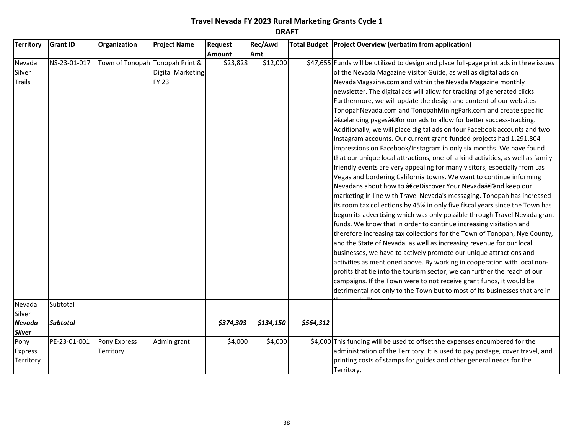| <b>Territory</b> | <b>Grant ID</b> | Organization                    | <b>Project Name</b> | <b>Request</b> | Rec/Awd   |           | Total Budget   Project Overview (verbatim from application)                             |
|------------------|-----------------|---------------------------------|---------------------|----------------|-----------|-----------|-----------------------------------------------------------------------------------------|
|                  |                 |                                 |                     | <b>Amount</b>  | Amt       |           |                                                                                         |
| Nevada           | NS-23-01-017    | Town of Tonopah Tonopah Print & |                     | \$23,828       | \$12,000  |           | \$47,655 Funds will be utilized to design and place full-page print ads in three issues |
| Silver           |                 |                                 | Digital Marketing   |                |           |           | of the Nevada Magazine Visitor Guide, as well as digital ads on                         |
| Trails           |                 |                                 | <b>FY 23</b>        |                |           |           | NevadaMagazine.com and within the Nevada Magazine monthly                               |
|                  |                 |                                 |                     |                |           |           | newsletter. The digital ads will allow for tracking of generated clicks.                |
|                  |                 |                                 |                     |                |           |           | Furthermore, we will update the design and content of our websites                      |
|                  |                 |                                 |                     |                |           |           | TonopahNevada.com and TonopahMiningPark.com and create specific                         |
|                  |                 |                                 |                     |                |           |           | "landing pagesâ€for our ads to allow for better success-tracking.                       |
|                  |                 |                                 |                     |                |           |           | Additionally, we will place digital ads on four Facebook accounts and two               |
|                  |                 |                                 |                     |                |           |           | Instagram accounts. Our current grant-funded projects had 1,291,804                     |
|                  |                 |                                 |                     |                |           |           | impressions on Facebook/Instagram in only six months. We have found                     |
|                  |                 |                                 |                     |                |           |           | that our unique local attractions, one-of-a-kind activities, as well as family-         |
|                  |                 |                                 |                     |                |           |           | friendly events are very appealing for many visitors, especially from Las               |
|                  |                 |                                 |                     |                |           |           | Vegas and bordering California towns. We want to continue informing                     |
|                  |                 |                                 |                     |                |           |           | Nevadans about how to "Discover Your Nevada†and keep our                                |
|                  |                 |                                 |                     |                |           |           | marketing in line with Travel Nevada's messaging. Tonopah has increased                 |
|                  |                 |                                 |                     |                |           |           | its room tax collections by 45% in only five fiscal years since the Town has            |
|                  |                 |                                 |                     |                |           |           | begun its advertising which was only possible through Travel Nevada grant               |
|                  |                 |                                 |                     |                |           |           | funds. We know that in order to continue increasing visitation and                      |
|                  |                 |                                 |                     |                |           |           | therefore increasing tax collections for the Town of Tonopah, Nye County,               |
|                  |                 |                                 |                     |                |           |           | and the State of Nevada, as well as increasing revenue for our local                    |
|                  |                 |                                 |                     |                |           |           | businesses, we have to actively promote our unique attractions and                      |
|                  |                 |                                 |                     |                |           |           | activities as mentioned above. By working in cooperation with local non-                |
|                  |                 |                                 |                     |                |           |           | profits that tie into the tourism sector, we can further the reach of our               |
|                  |                 |                                 |                     |                |           |           | campaigns. If the Town were to not receive grant funds, it would be                     |
|                  |                 |                                 |                     |                |           |           | detrimental not only to the Town but to most of its businesses that are in              |
| Nevada           | Subtotal        |                                 |                     |                |           |           |                                                                                         |
| Silver           |                 |                                 |                     |                |           |           |                                                                                         |
| Nevada           | <b>Subtotal</b> |                                 |                     | \$374,303      | \$134,150 | \$564,312 |                                                                                         |
| Silver           |                 |                                 |                     |                |           |           |                                                                                         |
| Pony             | PE-23-01-001    | Pony Express                    | Admin grant         | \$4,000        | \$4,000   |           | \$4,000 This funding will be used to offset the expenses encumbered for the             |
| <b>Express</b>   |                 | Territory                       |                     |                |           |           | administration of the Territory. It is used to pay postage, cover travel, and           |
| Territory        |                 |                                 |                     |                |           |           | printing costs of stamps for guides and other general needs for the                     |
|                  |                 |                                 |                     |                |           |           | Territory,                                                                              |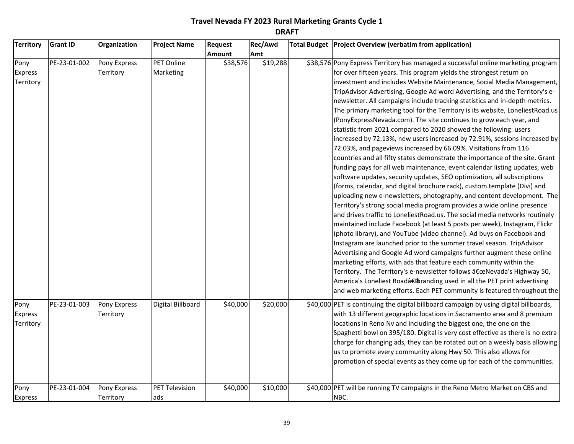| <b>Territory</b>                    | <b>Grant ID</b> | Organization              | <b>Project Name</b>          | Request       | Rec/Awd  | Total Budget   Project Overview (verbatim from application)                                                                                                                                                                                                                                                                                                                                                                                                                                                                                                                                                                                                                                                                                                                                                                                                                                                                                                                                                                                                                                                                                                                                                                                                                                                                                                                                                                                                                                                                                                                                                                                                                                                                                                                                                                                                                                                                                       |
|-------------------------------------|-----------------|---------------------------|------------------------------|---------------|----------|---------------------------------------------------------------------------------------------------------------------------------------------------------------------------------------------------------------------------------------------------------------------------------------------------------------------------------------------------------------------------------------------------------------------------------------------------------------------------------------------------------------------------------------------------------------------------------------------------------------------------------------------------------------------------------------------------------------------------------------------------------------------------------------------------------------------------------------------------------------------------------------------------------------------------------------------------------------------------------------------------------------------------------------------------------------------------------------------------------------------------------------------------------------------------------------------------------------------------------------------------------------------------------------------------------------------------------------------------------------------------------------------------------------------------------------------------------------------------------------------------------------------------------------------------------------------------------------------------------------------------------------------------------------------------------------------------------------------------------------------------------------------------------------------------------------------------------------------------------------------------------------------------------------------------------------------------|
|                                     |                 |                           |                              | <b>Amount</b> | Amt      |                                                                                                                                                                                                                                                                                                                                                                                                                                                                                                                                                                                                                                                                                                                                                                                                                                                                                                                                                                                                                                                                                                                                                                                                                                                                                                                                                                                                                                                                                                                                                                                                                                                                                                                                                                                                                                                                                                                                                   |
| Pony<br>Express<br>Territory        | PE-23-01-002    | Pony Express<br>Territory | PET Online<br>Marketing      | \$38,576      | \$19,288 | \$38,576 Pony Express Territory has managed a successful online marketing program<br>for over fifteen years. This program yields the strongest return on<br>investment and includes Website Maintenance, Social Media Management,<br>TripAdvisor Advertising, Google Ad word Advertising, and the Territory's e-<br>newsletter. All campaigns include tracking statistics and in-depth metrics.<br>The primary marketing tool for the Territory is its website, LoneliestRoad.us<br>(PonyExpressNevada.com). The site continues to grow each year, and<br>statistic from 2021 compared to 2020 showed the following: users<br>increased by 72.13%, new users increased by 72.91%, sessions increased by<br>72.03%, and pageviews increased by 66.09%. Visitations from 116<br>countries and all fifty states demonstrate the importance of the site. Grant<br>funding pays for all web maintenance, event calendar listing updates, web<br>software updates, security updates, SEO optimization, all subscriptions<br>(forms, calendar, and digital brochure rack), custom template (Divi) and<br>uploading new e-newsletters, photography, and content development. The<br>Territory's strong social media program provides a wide online presence<br>and drives traffic to LoneliestRoad.us. The social media networks routinely<br>maintained include Facebook (at least 5 posts per week), Instagram, Flickr<br>(photo library), and YouTube (video channel). Ad buys on Facebook and<br>Instagram are launched prior to the summer travel season. TripAdvisor<br>Advertising and Google Ad word campaigns further augment these online<br>marketing efforts, with ads that feature each community within the<br>Territory. The Territory's e-newsletter follows "Nevada's Highway 50,<br>America's Loneliest Road†branding used in all the PET print advertising<br>and web marketing efforts. Each PET community is featured throughout the |
| Pony<br><b>Express</b><br>Territory | PE-23-01-003    | Pony Express<br>Territory | Digital Billboard            | \$40,000      | \$20,000 | \$40,000 PET is continuing the digital billboard campaign by using digital billboards,<br>with 13 different geographic locations in Sacramento area and 8 premium<br>locations in Reno Nv and including the biggest one, the one on the<br>Spaghetti bowl on 395/180. Digital is very cost effective as there is no extra<br>charge for changing ads, they can be rotated out on a weekly basis allowing<br>us to promote every community along Hwy 50. This also allows for<br>promotion of special events as they come up for each of the communities.                                                                                                                                                                                                                                                                                                                                                                                                                                                                                                                                                                                                                                                                                                                                                                                                                                                                                                                                                                                                                                                                                                                                                                                                                                                                                                                                                                                          |
| Pony<br><b>Express</b>              | PE-23-01-004    | Pony Express<br>Territory | <b>PET Television</b><br>ads | \$40,000      | \$10,000 | \$40,000 PET will be running TV campaigns in the Reno Metro Market on CBS and<br>NBC.                                                                                                                                                                                                                                                                                                                                                                                                                                                                                                                                                                                                                                                                                                                                                                                                                                                                                                                                                                                                                                                                                                                                                                                                                                                                                                                                                                                                                                                                                                                                                                                                                                                                                                                                                                                                                                                             |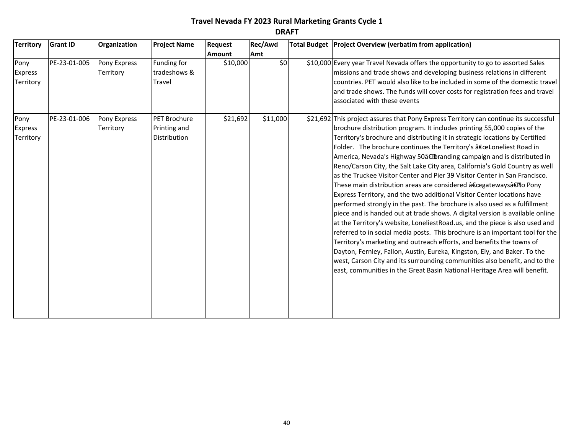| <b>Territory</b>                    | <b>Grant ID</b> | Organization              | <b>Project Name</b>                   | <b>Request</b> | <b>Rec/Awd</b> | Total Budget   Project Overview (verbatim from application)                                                                                                                                                                                                                                                                                                                                                                                                                                                                                                                                                                                                                                                                                                                                                                                                                                                                                                                                                                                                                                                                                                                                                                                                       |
|-------------------------------------|-----------------|---------------------------|---------------------------------------|----------------|----------------|-------------------------------------------------------------------------------------------------------------------------------------------------------------------------------------------------------------------------------------------------------------------------------------------------------------------------------------------------------------------------------------------------------------------------------------------------------------------------------------------------------------------------------------------------------------------------------------------------------------------------------------------------------------------------------------------------------------------------------------------------------------------------------------------------------------------------------------------------------------------------------------------------------------------------------------------------------------------------------------------------------------------------------------------------------------------------------------------------------------------------------------------------------------------------------------------------------------------------------------------------------------------|
|                                     |                 |                           |                                       | <b>Amount</b>  | Amt            |                                                                                                                                                                                                                                                                                                                                                                                                                                                                                                                                                                                                                                                                                                                                                                                                                                                                                                                                                                                                                                                                                                                                                                                                                                                                   |
| Pony<br><b>Express</b><br>Territory | PE-23-01-005    | Pony Express<br>Territory | Funding for<br>tradeshows &<br>Travel | \$10,000       | \$0]           | \$10,000 Every year Travel Nevada offers the opportunity to go to assorted Sales<br>missions and trade shows and developing business relations in different<br>countries. PET would also like to be included in some of the domestic travel<br>and trade shows. The funds will cover costs for registration fees and travel<br>associated with these events                                                                                                                                                                                                                                                                                                                                                                                                                                                                                                                                                                                                                                                                                                                                                                                                                                                                                                       |
| Pony                                | PE-23-01-006    | Pony Express              | PET Brochure                          | \$21,692       | \$11,000       | \$21,692 This project assures that Pony Express Territory can continue its successful                                                                                                                                                                                                                                                                                                                                                                                                                                                                                                                                                                                                                                                                                                                                                                                                                                                                                                                                                                                                                                                                                                                                                                             |
| <b>Express</b><br>Territory         |                 | Territory                 | Printing and<br>Distribution          |                |                | brochure distribution program. It includes printing 55,000 copies of the<br>Territory's brochure and distributing it in strategic locations by Certified<br>Folder. The brochure continues the Territory's "Loneliest Road in<br>America, Nevada's Highway 50†branding campaign and is distributed in<br>Reno/Carson City, the Salt Lake City area, California's Gold Country as well<br>as the Truckee Visitor Center and Pier 39 Visitor Center in San Francisco.<br>These main distribution areas are considered "gateways†to Pony<br>Express Territory, and the two additional Visitor Center locations have<br>performed strongly in the past. The brochure is also used as a fulfillment<br>piece and is handed out at trade shows. A digital version is available online<br>at the Territory's website, LoneliestRoad.us, and the piece is also used and<br>referred to in social media posts. This brochure is an important tool for the<br>Territory's marketing and outreach efforts, and benefits the towns of<br>Dayton, Fernley, Fallon, Austin, Eureka, Kingston, Ely, and Baker. To the<br>west, Carson City and its surrounding communities also benefit, and to the<br>east, communities in the Great Basin National Heritage Area will benefit. |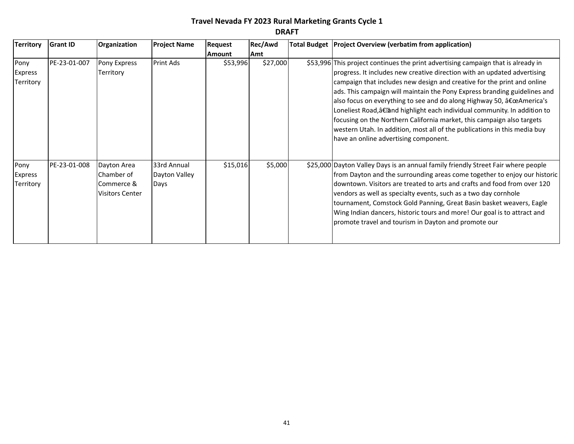| <b>Territory</b>                    | <b>Grant ID</b> | Organization                                                      | <b>Project Name</b>                  | Request  | Rec/Awd  | Total Budget   Project Overview (verbatim from application)                                                                                                                                                                                                                                                                                                                                                                                                                                                                                                                                                                                                                |
|-------------------------------------|-----------------|-------------------------------------------------------------------|--------------------------------------|----------|----------|----------------------------------------------------------------------------------------------------------------------------------------------------------------------------------------------------------------------------------------------------------------------------------------------------------------------------------------------------------------------------------------------------------------------------------------------------------------------------------------------------------------------------------------------------------------------------------------------------------------------------------------------------------------------------|
|                                     |                 |                                                                   |                                      | Amount   | Amt      |                                                                                                                                                                                                                                                                                                                                                                                                                                                                                                                                                                                                                                                                            |
| Pony<br>Express<br>Territory        | PE-23-01-007    | Pony Express<br>Territory                                         | Print Ads                            | \$53,996 | \$27,000 | \$53,996 This project continues the print advertising campaign that is already in<br>progress. It includes new creative direction with an updated advertising<br>campaign that includes new design and creative for the print and online<br>ads. This campaign will maintain the Pony Express branding guidelines and<br>also focus on everything to see and do along Highway 50, "America's<br>Loneliest Road, a€ and highlight each individual community. In addition to<br>focusing on the Northern California market, this campaign also targets<br>western Utah. In addition, most all of the publications in this media buy<br>have an online advertising component. |
| Pony<br><b>Express</b><br>Territory | PE-23-01-008    | Dayton Area<br>Chamber of<br>Commerce &<br><b>Visitors Center</b> | 33rd Annual<br>Dayton Valley<br>Days | \$15,016 | \$5,000  | \$25,000 Dayton Valley Days is an annual family friendly Street Fair where people<br>from Dayton and the surrounding areas come together to enjoy our historic<br>Idowntown. Visitors are treated to arts and crafts and food from over 120<br>vendors as well as specialty events, such as a two day cornhole<br>tournament, Comstock Gold Panning, Great Basin basket weavers, Eagle<br>Wing Indian dancers, historic tours and more! Our goal is to attract and<br>promote travel and tourism in Dayton and promote our                                                                                                                                                 |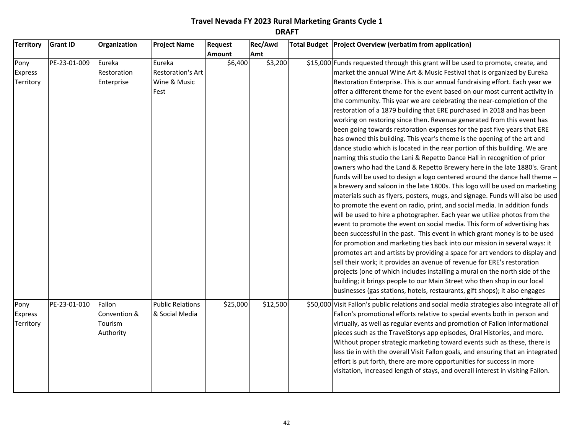| <b>Territory</b> | <b>Grant ID</b> | Organization | <b>Project Name</b>      | Request       | Rec/Awd  | Total Budget Project Overview (verbatim from application)                                  |
|------------------|-----------------|--------------|--------------------------|---------------|----------|--------------------------------------------------------------------------------------------|
|                  |                 |              |                          | <b>Amount</b> | Amt      |                                                                                            |
| Pony             | PE-23-01-009    | Eureka       | Eureka                   | \$6,400       | \$3,200  | \$15,000 Funds requested through this grant will be used to promote, create, and           |
| <b>Express</b>   |                 | Restoration  | <b>Restoration's Art</b> |               |          | market the annual Wine Art & Music Festival that is organized by Eureka                    |
| Territory        |                 | Enterprise   | Wine & Music             |               |          | Restoration Enterprise. This is our annual fundraising effort. Each year we                |
|                  |                 |              | Fest                     |               |          | offer a different theme for the event based on our most current activity in                |
|                  |                 |              |                          |               |          | the community. This year we are celebrating the near-completion of the                     |
|                  |                 |              |                          |               |          | restoration of a 1879 building that ERE purchased in 2018 and has been                     |
|                  |                 |              |                          |               |          | working on restoring since then. Revenue generated from this event has                     |
|                  |                 |              |                          |               |          | been going towards restoration expenses for the past five years that ERE                   |
|                  |                 |              |                          |               |          | has owned this building. This year's theme is the opening of the art and                   |
|                  |                 |              |                          |               |          | dance studio which is located in the rear portion of this building. We are                 |
|                  |                 |              |                          |               |          | naming this studio the Lani & Repetto Dance Hall in recognition of prior                   |
|                  |                 |              |                          |               |          | owners who had the Land & Repetto Brewery here in the late 1880's. Grant                   |
|                  |                 |              |                          |               |          | funds will be used to design a logo centered around the dance hall theme --                |
|                  |                 |              |                          |               |          | a brewery and saloon in the late 1800s. This logo will be used on marketing                |
|                  |                 |              |                          |               |          | materials such as flyers, posters, mugs, and signage. Funds will also be used              |
|                  |                 |              |                          |               |          | to promote the event on radio, print, and social media. In addition funds                  |
|                  |                 |              |                          |               |          | will be used to hire a photographer. Each year we utilize photos from the                  |
|                  |                 |              |                          |               |          | event to promote the event on social media. This form of advertising has                   |
|                  |                 |              |                          |               |          | been successful in the past. This event in which grant money is to be used                 |
|                  |                 |              |                          |               |          | for promotion and marketing ties back into our mission in several ways: it                 |
|                  |                 |              |                          |               |          | promotes art and artists by providing a space for art vendors to display and               |
|                  |                 |              |                          |               |          | sell their work; it provides an avenue of revenue for ERE's restoration                    |
|                  |                 |              |                          |               |          | projects (one of which includes installing a mural on the north side of the                |
|                  |                 |              |                          |               |          | building; it brings people to our Main Street who then shop in our local                   |
|                  |                 |              |                          |               |          | businesses (gas stations, hotels, restaurants, gift shops); it also engages                |
| Pony             | PE-23-01-010    | Fallon       | <b>Public Relations</b>  | \$25,000      | \$12,500 | \$50,000 Visit Fallon's public relations and social media strategies also integrate all of |
| <b>Express</b>   |                 | Convention & | & Social Media           |               |          | Fallon's promotional efforts relative to special events both in person and                 |
| Territory        |                 | Tourism      |                          |               |          | virtually, as well as regular events and promotion of Fallon informational                 |
|                  |                 | Authority    |                          |               |          | pieces such as the TravelStorys app episodes, Oral Histories, and more.                    |
|                  |                 |              |                          |               |          | Without proper strategic marketing toward events such as these, there is                   |
|                  |                 |              |                          |               |          | less tie in with the overall Visit Fallon goals, and ensuring that an integrated           |
|                  |                 |              |                          |               |          | effort is put forth, there are more opportunities for success in more                      |
|                  |                 |              |                          |               |          | visitation, increased length of stays, and overall interest in visiting Fallon.            |
|                  |                 |              |                          |               |          |                                                                                            |
|                  |                 |              |                          |               |          |                                                                                            |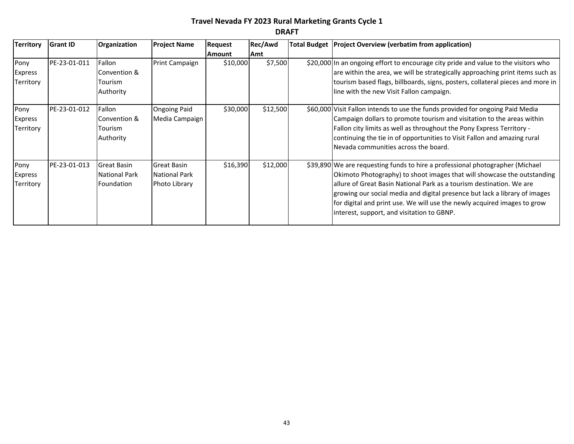| <b>Territory</b>                           | <b>Grant ID</b> | Organization                                      | <b>Project Name</b>                                         | <b>Request</b> | <b>Rec/Awd</b> | Total Budget   Project Overview (verbatim from application)                                                                                                                                                                                                                                                                                                                                                                              |
|--------------------------------------------|-----------------|---------------------------------------------------|-------------------------------------------------------------|----------------|----------------|------------------------------------------------------------------------------------------------------------------------------------------------------------------------------------------------------------------------------------------------------------------------------------------------------------------------------------------------------------------------------------------------------------------------------------------|
|                                            |                 |                                                   |                                                             | <b>Amount</b>  | Amt            |                                                                                                                                                                                                                                                                                                                                                                                                                                          |
| Pony<br><b>Express</b><br><b>Territory</b> | PE-23-01-011    | Fallon<br>Convention &<br>Tourism<br>Authority    | Print Campaign                                              | \$10,000       | \$7,500        | \$20,000 In an ongoing effort to encourage city pride and value to the visitors who<br>are within the area, we will be strategically approaching print items such as<br>tourism based flags, billboards, signs, posters, collateral pieces and more in<br>line with the new Visit Fallon campaign.                                                                                                                                       |
| Pony<br><b>Express</b><br>Territory        | PE-23-01-012    | l Fallon<br>Convention &<br>Tourism<br>Authority  | <b>Ongoing Paid</b><br>Media Campaign                       | \$30,000       | \$12,500       | \$60,000 Visit Fallon intends to use the funds provided for ongoing Paid Media<br>Campaign dollars to promote tourism and visitation to the areas within<br>Fallon city limits as well as throughout the Pony Express Territory -<br>continuing the tie in of opportunities to Visit Fallon and amazing rural<br>Nevada communities across the board.                                                                                    |
| Pony<br><b>Express</b><br>Territory        | PE-23-01-013    | <b>Great Basin</b><br>National Park<br>Foundation | <b>Great Basin</b><br><b>National Park</b><br>Photo Library | \$16,390       | \$12,000       | \$39,890 We are requesting funds to hire a professional photographer (Michael<br>Okimoto Photography) to shoot images that will showcase the outstanding<br>allure of Great Basin National Park as a tourism destination. We are<br>growing our social media and digital presence but lack a library of images<br>for digital and print use. We will use the newly acquired images to grow<br>interest, support, and visitation to GBNP. |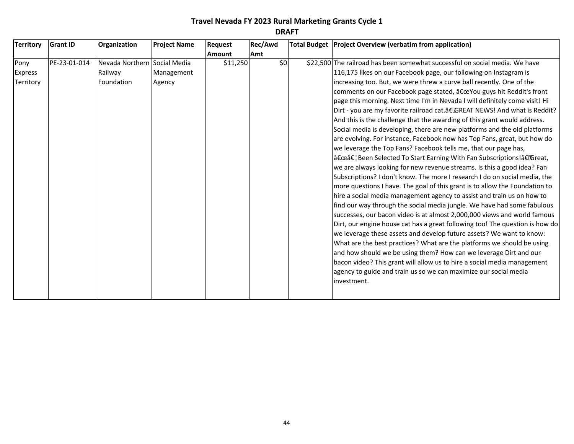| <b>Territory</b> | <b>Grant ID</b> | Organization                 | <b>Project Name</b> | <b>Request</b> | Rec/Awd | Total Budget   Project Overview (verbatim from application)                  |
|------------------|-----------------|------------------------------|---------------------|----------------|---------|------------------------------------------------------------------------------|
|                  |                 |                              |                     | <b>Amount</b>  | Amt     |                                                                              |
| Pony             | PE-23-01-014    | Nevada Northern Social Media |                     | \$11,250       | \$0     | \$22,500 The railroad has been somewhat successful on social media. We have  |
| <b>Express</b>   |                 | Railway                      | Management          |                |         | 116,175 likes on our Facebook page, our following on Instagram is            |
| Territory        |                 | Foundation                   | Agency              |                |         | increasing too. But, we were threw a curve ball recently. One of the         |
|                  |                 |                              |                     |                |         | comments on our Facebook page stated, "You guys hit Reddit's front           |
|                  |                 |                              |                     |                |         | page this morning. Next time I'm in Nevada I will definitely come visit! Hi  |
|                  |                 |                              |                     |                |         | Dirt - you are my favorite railroad cat.†GREAT NEWS! And what is Reddit?     |
|                  |                 |                              |                     |                |         | And this is the challenge that the awarding of this grant would address.     |
|                  |                 |                              |                     |                |         | Social media is developing, there are new platforms and the old platforms    |
|                  |                 |                              |                     |                |         | are evolving. For instance, Facebook now has Top Fans, great, but how do     |
|                  |                 |                              |                     |                |         | we leverage the Top Fans? Facebook tells me, that our page has,              |
|                  |                 |                              |                     |                |         | a€œâ€¦Been Selected To Start Earning With Fan Subscriptions!â€Great,         |
|                  |                 |                              |                     |                |         | we are always looking for new revenue streams. Is this a good idea? Fan      |
|                  |                 |                              |                     |                |         | Subscriptions? I don't know. The more I research I do on social media, the   |
|                  |                 |                              |                     |                |         | more questions I have. The goal of this grant is to allow the Foundation to  |
|                  |                 |                              |                     |                |         | hire a social media management agency to assist and train us on how to       |
|                  |                 |                              |                     |                |         | find our way through the social media jungle. We have had some fabulous      |
|                  |                 |                              |                     |                |         | successes, our bacon video is at almost 2,000,000 views and world famous     |
|                  |                 |                              |                     |                |         | Dirt, our engine house cat has a great following too! The question is how do |
|                  |                 |                              |                     |                |         | we leverage these assets and develop future assets? We want to know:         |
|                  |                 |                              |                     |                |         | What are the best practices? What are the platforms we should be using       |
|                  |                 |                              |                     |                |         | and how should we be using them? How can we leverage Dirt and our            |
|                  |                 |                              |                     |                |         | bacon video? This grant will allow us to hire a social media management      |
|                  |                 |                              |                     |                |         | agency to guide and train us so we can maximize our social media             |
|                  |                 |                              |                     |                |         | investment.                                                                  |
|                  |                 |                              |                     |                |         |                                                                              |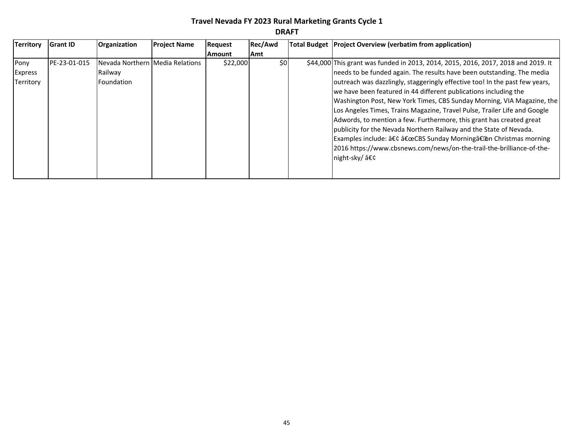| <b>Territory</b> | <b>Grant ID</b> | Organization                      | <b>Project Name</b> | Request  | Rec/Awd | Total Budget   Project Overview (verbatim from application)                       |
|------------------|-----------------|-----------------------------------|---------------------|----------|---------|-----------------------------------------------------------------------------------|
|                  |                 |                                   |                     | Amount   | Amt     |                                                                                   |
| Pony             | PE-23-01-015    | Nevada Northern   Media Relations |                     | \$22,000 | \$0     | \$44,000 This grant was funded in 2013, 2014, 2015, 2016, 2017, 2018 and 2019. It |
| <b>Express</b>   |                 | Railway                           |                     |          |         | needs to be funded again. The results have been outstanding. The media            |
| Territory        |                 | Foundation                        |                     |          |         | outreach was dazzlingly, staggeringly effective too! In the past few years,       |
|                  |                 |                                   |                     |          |         | we have been featured in 44 different publications including the                  |
|                  |                 |                                   |                     |          |         | Washington Post, New York Times, CBS Sunday Morning, VIA Magazine, the            |
|                  |                 |                                   |                     |          |         | Los Angeles Times, Trains Magazine, Travel Pulse, Trailer Life and Google         |
|                  |                 |                                   |                     |          |         | Adwords, to mention a few. Furthermore, this grant has created great              |
|                  |                 |                                   |                     |          |         | publicity for the Nevada Northern Railway and the State of Nevada.                |
|                  |                 |                                   |                     |          |         | Examples include: • "CBS Sunday Morning―on Christmas morning                      |
|                  |                 |                                   |                     |          |         | 2016 https://www.cbsnews.com/news/on-the-trail-the-brilliance-of-the-             |
|                  |                 |                                   |                     |          |         | night-sky/•                                                                       |
|                  |                 |                                   |                     |          |         |                                                                                   |
|                  |                 |                                   |                     |          |         |                                                                                   |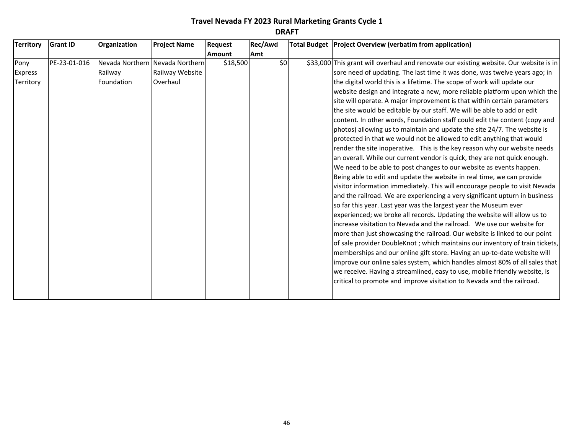| <b>Territory</b><br><b>Grant ID</b>          | Organization          | <b>Project Name</b>                                            | <b>Request</b> | Rec/Awd | Total Budget   Project Overview (verbatim from application)                                                                                                                                                                                                                                                                                                                                                                                                                                                                                                                                                                                                                                                                                                                                                                                                                                                                                                                                                                                                                                                                                                                                                                                                                                                                                                                                                                                                                                                                                                                                                                                                                                                                                                                                                                                                                                                |
|----------------------------------------------|-----------------------|----------------------------------------------------------------|----------------|---------|------------------------------------------------------------------------------------------------------------------------------------------------------------------------------------------------------------------------------------------------------------------------------------------------------------------------------------------------------------------------------------------------------------------------------------------------------------------------------------------------------------------------------------------------------------------------------------------------------------------------------------------------------------------------------------------------------------------------------------------------------------------------------------------------------------------------------------------------------------------------------------------------------------------------------------------------------------------------------------------------------------------------------------------------------------------------------------------------------------------------------------------------------------------------------------------------------------------------------------------------------------------------------------------------------------------------------------------------------------------------------------------------------------------------------------------------------------------------------------------------------------------------------------------------------------------------------------------------------------------------------------------------------------------------------------------------------------------------------------------------------------------------------------------------------------------------------------------------------------------------------------------------------------|
|                                              |                       |                                                                | <b>Amount</b>  | Amt     |                                                                                                                                                                                                                                                                                                                                                                                                                                                                                                                                                                                                                                                                                                                                                                                                                                                                                                                                                                                                                                                                                                                                                                                                                                                                                                                                                                                                                                                                                                                                                                                                                                                                                                                                                                                                                                                                                                            |
| PE-23-01-016<br>Pony<br>Express<br>Territory | Railway<br>Foundation | Nevada Northern Nevada Northern<br>Railway Website<br>Overhaul | \$18,500       | \$0     | \$33,000 This grant will overhaul and renovate our existing website. Our website is in<br>sore need of updating. The last time it was done, was twelve years ago; in<br>the digital world this is a lifetime. The scope of work will update our<br>website design and integrate a new, more reliable platform upon which the<br>site will operate. A major improvement is that within certain parameters<br>the site would be editable by our staff. We will be able to add or edit<br>content. In other words, Foundation staff could edit the content (copy and<br>photos) allowing us to maintain and update the site 24/7. The website is<br>protected in that we would not be allowed to edit anything that would<br>render the site inoperative. This is the key reason why our website needs<br>an overall. While our current vendor is quick, they are not quick enough.<br>We need to be able to post changes to our website as events happen.<br>Being able to edit and update the website in real time, we can provide<br>visitor information immediately. This will encourage people to visit Nevada<br>and the railroad. We are experiencing a very significant upturn in business<br>so far this year. Last year was the largest year the Museum ever<br>experienced; we broke all records. Updating the website will allow us to<br>increase visitation to Nevada and the railroad. We use our website for<br>more than just showcasing the railroad. Our website is linked to our point<br>of sale provider DoubleKnot; which maintains our inventory of train tickets,<br>memberships and our online gift store. Having an up-to-date website will<br>improve our online sales system, which handles almost 80% of all sales that<br>we receive. Having a streamlined, easy to use, mobile friendly website, is<br>critical to promote and improve visitation to Nevada and the railroad. |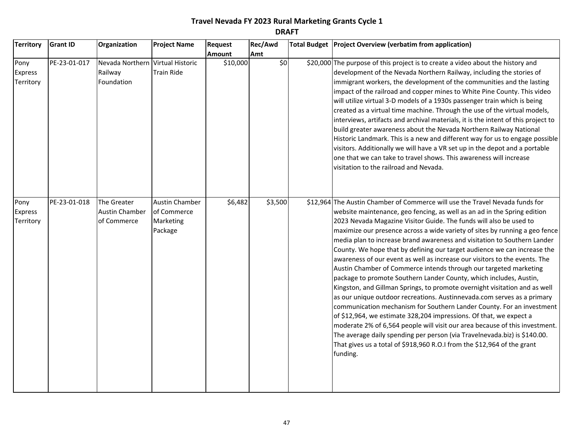| <b>Territory</b>                    | <b>Grant ID</b> | Organization                                              | <b>Project Name</b>                                          | <b>Request</b> | Rec/Awd | Total Budget   Project Overview (verbatim from application)                                                                                                                                                                                                                                                                                                                                                                                                                                                                                                                                                                                                                                                                                                                                                                                                                                                                                                                                                                                                                                                                                                                                                                                               |
|-------------------------------------|-----------------|-----------------------------------------------------------|--------------------------------------------------------------|----------------|---------|-----------------------------------------------------------------------------------------------------------------------------------------------------------------------------------------------------------------------------------------------------------------------------------------------------------------------------------------------------------------------------------------------------------------------------------------------------------------------------------------------------------------------------------------------------------------------------------------------------------------------------------------------------------------------------------------------------------------------------------------------------------------------------------------------------------------------------------------------------------------------------------------------------------------------------------------------------------------------------------------------------------------------------------------------------------------------------------------------------------------------------------------------------------------------------------------------------------------------------------------------------------|
|                                     |                 |                                                           |                                                              | Amount         | Amt     |                                                                                                                                                                                                                                                                                                                                                                                                                                                                                                                                                                                                                                                                                                                                                                                                                                                                                                                                                                                                                                                                                                                                                                                                                                                           |
| Pony<br><b>Express</b><br>Territory | PE-23-01-017    | Nevada Northern Virtual Historic<br>Railway<br>Foundation | <b>Train Ride</b>                                            | \$10,000       | \$0     | \$20,000 The purpose of this project is to create a video about the history and<br>development of the Nevada Northern Railway, including the stories of<br>immigrant workers, the development of the communities and the lasting<br>impact of the railroad and copper mines to White Pine County. This video<br>will utilize virtual 3-D models of a 1930s passenger train which is being<br>created as a virtual time machine. Through the use of the virtual models,<br>interviews, artifacts and archival materials, it is the intent of this project to<br>build greater awareness about the Nevada Northern Railway National<br>Historic Landmark. This is a new and different way for us to engage possible<br>visitors. Additionally we will have a VR set up in the depot and a portable<br>one that we can take to travel shows. This awareness will increase<br>visitation to the railroad and Nevada.                                                                                                                                                                                                                                                                                                                                          |
| Pony<br><b>Express</b><br>Territory | PE-23-01-018    | The Greater<br><b>Austin Chamber</b><br>of Commerce       | <b>Austin Chamber</b><br>of Commerce<br>Marketing<br>Package | \$6,482        | \$3,500 | \$12,964 The Austin Chamber of Commerce will use the Travel Nevada funds for<br>website maintenance, geo fencing, as well as an ad in the Spring edition<br>2023 Nevada Magazine Visitor Guide. The funds will also be used to<br>maximize our presence across a wide variety of sites by running a geo fence<br>media plan to increase brand awareness and visitation to Southern Lander<br>County. We hope that by defining our target audience we can increase the<br>awareness of our event as well as increase our visitors to the events. The<br>Austin Chamber of Commerce intends through our targeted marketing<br>package to promote Southern Lander County, which includes, Austin,<br>Kingston, and Gillman Springs, to promote overnight visitation and as well<br>as our unique outdoor recreations. Austinnevada.com serves as a primary<br>communication mechanism for Southern Lander County. For an investment<br>of \$12,964, we estimate 328,204 impressions. Of that, we expect a<br>moderate 2% of 6,564 people will visit our area because of this investment.<br>The average daily spending per person (via Travelnevada.biz) is \$140.00.<br>That gives us a total of \$918,960 R.O.I from the \$12,964 of the grant<br>funding. |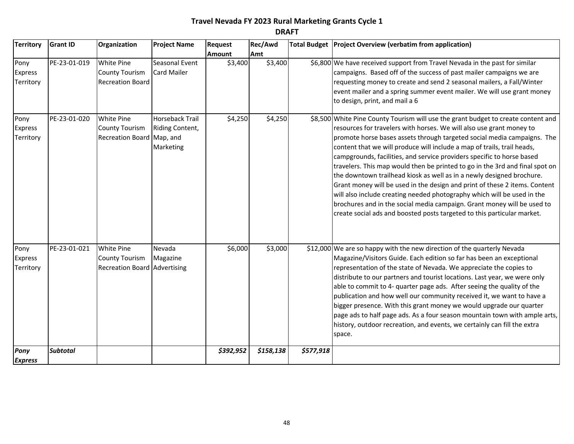| <b>Territory</b>                    | <b>Grant ID</b> | Organization                                                                      | <b>Project Name</b>                             | <b>Request</b> | Rec/Awd   |           | Total Budget   Project Overview (verbatim from application)                                                                                                                                                                                                                                                                                                                                                                                                                                                                                                                                                                                                                                                                                                                                                                                                       |
|-------------------------------------|-----------------|-----------------------------------------------------------------------------------|-------------------------------------------------|----------------|-----------|-----------|-------------------------------------------------------------------------------------------------------------------------------------------------------------------------------------------------------------------------------------------------------------------------------------------------------------------------------------------------------------------------------------------------------------------------------------------------------------------------------------------------------------------------------------------------------------------------------------------------------------------------------------------------------------------------------------------------------------------------------------------------------------------------------------------------------------------------------------------------------------------|
|                                     |                 |                                                                                   |                                                 | <b>Amount</b>  | Amt       |           |                                                                                                                                                                                                                                                                                                                                                                                                                                                                                                                                                                                                                                                                                                                                                                                                                                                                   |
| Pony<br><b>Express</b><br>Territory | PE-23-01-019    | <b>White Pine</b><br><b>County Tourism</b><br><b>Recreation Board</b>             | Seasonal Event<br><b>Card Mailer</b>            | \$3,400        | \$3,400   |           | \$6,800 We have received support from Travel Nevada in the past for similar<br>campaigns. Based off of the success of past mailer campaigns we are<br>requesting money to create and send 2 seasonal mailers, a Fall/Winter<br>event mailer and a spring summer event mailer. We will use grant money<br>to design, print, and mail a 6                                                                                                                                                                                                                                                                                                                                                                                                                                                                                                                           |
| Pony<br><b>Express</b><br>Territory | PE-23-01-020    | <b>White Pine</b><br><b>County Tourism</b><br>Recreation Board Map, and           | Horseback Trail<br>Riding Content,<br>Marketing | \$4,250        | \$4,250   |           | \$8,500 White Pine County Tourism will use the grant budget to create content and<br>resources for travelers with horses. We will also use grant money to<br>promote horse bases assets through targeted social media campaigns. The<br>content that we will produce will include a map of trails, trail heads,<br>campgrounds, facilities, and service providers specific to horse based<br>travelers. This map would then be printed to go in the 3rd and final spot on<br>the downtown trailhead kiosk as well as in a newly designed brochure.<br>Grant money will be used in the design and print of these 2 items. Content<br>will also include creating needed photography which will be used in the<br>brochures and in the social media campaign. Grant money will be used to<br>create social ads and boosted posts targeted to this particular market. |
| Pony<br>Express<br>Territory        | PE-23-01-021    | <b>White Pine</b><br><b>County Tourism</b><br><b>Recreation Board Advertising</b> | Nevada<br>Magazine                              | \$6,000        | \$3,000   |           | \$12,000 We are so happy with the new direction of the quarterly Nevada<br>Magazine/Visitors Guide. Each edition so far has been an exceptional<br>representation of the state of Nevada. We appreciate the copies to<br>distribute to our partners and tourist locations. Last year, we were only<br>able to commit to 4- quarter page ads. After seeing the quality of the<br>publication and how well our community received it, we want to have a<br>bigger presence. With this grant money we would upgrade our quarter<br>page ads to half page ads. As a four season mountain town with ample arts,<br>history, outdoor recreation, and events, we certainly can fill the extra<br>space.                                                                                                                                                                  |
| Pony<br><b>Express</b>              | <b>Subtotal</b> |                                                                                   |                                                 | \$392,952      | \$158,138 | \$577,918 |                                                                                                                                                                                                                                                                                                                                                                                                                                                                                                                                                                                                                                                                                                                                                                                                                                                                   |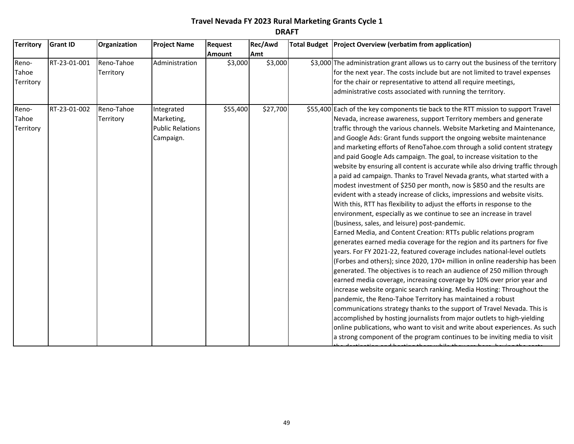| <b>Territory</b> | <b>Grant ID</b> | Organization | <b>Project Name</b>     | Request       | Rec/Awd  | Total Budget   Project Overview (verbatim from application)                           |
|------------------|-----------------|--------------|-------------------------|---------------|----------|---------------------------------------------------------------------------------------|
|                  |                 |              |                         | <b>Amount</b> | Amt      |                                                                                       |
| Reno-            | RT-23-01-001    | Reno-Tahoe   | Administration          | \$3,000       | \$3,000  | \$3,000 The administration grant allows us to carry out the business of the territory |
| Tahoe            |                 | Territory    |                         |               |          | for the next year. The costs include but are not limited to travel expenses           |
| Territory        |                 |              |                         |               |          | for the chair or representative to attend all require meetings,                       |
|                  |                 |              |                         |               |          | administrative costs associated with running the territory.                           |
| Reno-            | RT-23-01-002    | Reno-Tahoe   | Integrated              | \$55,400      | \$27,700 | \$55,400 Each of the key components tie back to the RTT mission to support Travel     |
| Tahoe            |                 | Territory    | Marketing,              |               |          | Nevada, increase awareness, support Territory members and generate                    |
| Territory        |                 |              | <b>Public Relations</b> |               |          | traffic through the various channels. Website Marketing and Maintenance,              |
|                  |                 |              | Campaign.               |               |          | and Google Ads: Grant funds support the ongoing website maintenance                   |
|                  |                 |              |                         |               |          | and marketing efforts of RenoTahoe.com through a solid content strategy               |
|                  |                 |              |                         |               |          | and paid Google Ads campaign. The goal, to increase visitation to the                 |
|                  |                 |              |                         |               |          | website by ensuring all content is accurate while also driving traffic through        |
|                  |                 |              |                         |               |          | a paid ad campaign. Thanks to Travel Nevada grants, what started with a               |
|                  |                 |              |                         |               |          | modest investment of \$250 per month, now is \$850 and the results are                |
|                  |                 |              |                         |               |          | evident with a steady increase of clicks, impressions and website visits.             |
|                  |                 |              |                         |               |          | With this, RTT has flexibility to adjust the efforts in response to the               |
|                  |                 |              |                         |               |          | environment, especially as we continue to see an increase in travel                   |
|                  |                 |              |                         |               |          | (business, sales, and leisure) post-pandemic.                                         |
|                  |                 |              |                         |               |          | Earned Media, and Content Creation: RTTs public relations program                     |
|                  |                 |              |                         |               |          | generates earned media coverage for the region and its partners for five              |
|                  |                 |              |                         |               |          | years. For FY 2021-22, featured coverage includes national-level outlets              |
|                  |                 |              |                         |               |          | (Forbes and others); since 2020, 170+ million in online readership has been           |
|                  |                 |              |                         |               |          | generated. The objectives is to reach an audience of 250 million through              |
|                  |                 |              |                         |               |          | earned media coverage, increasing coverage by 10% over prior year and                 |
|                  |                 |              |                         |               |          | increase website organic search ranking. Media Hosting: Throughout the                |
|                  |                 |              |                         |               |          | pandemic, the Reno-Tahoe Territory has maintained a robust                            |
|                  |                 |              |                         |               |          | communications strategy thanks to the support of Travel Nevada. This is               |
|                  |                 |              |                         |               |          | accomplished by hosting journalists from major outlets to high-yielding               |
|                  |                 |              |                         |               |          | online publications, who want to visit and write about experiences. As such           |
|                  |                 |              |                         |               |          | a strong component of the program continues to be inviting media to visit             |
|                  |                 |              |                         |               |          |                                                                                       |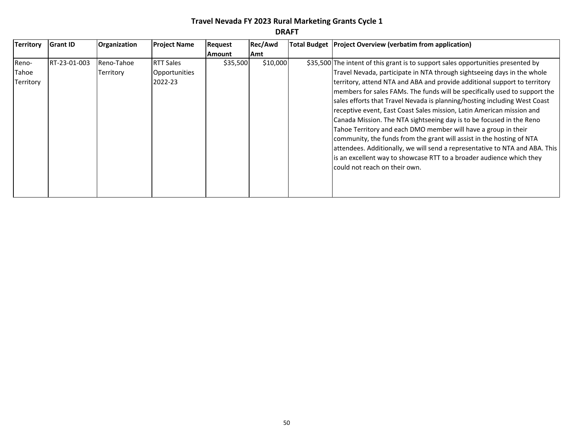| <b>Territory</b> | <b>Grant ID</b> | <b>Organization</b> | <b>Project Name</b> | <b>Request</b> | Rec/Awd  | Total Budget   Project Overview (verbatim from application)                      |
|------------------|-----------------|---------------------|---------------------|----------------|----------|----------------------------------------------------------------------------------|
|                  |                 |                     |                     | <b>Amount</b>  | Amt      |                                                                                  |
| Reno-            | RT-23-01-003    | Reno-Tahoe          | <b>RTT Sales</b>    | \$35,500       | \$10,000 | \$35,500 The intent of this grant is to support sales opportunities presented by |
| Tahoe            |                 | Territory           | Opportunities       |                |          | Travel Nevada, participate in NTA through sightseeing days in the whole          |
| Territory        |                 |                     | 2022-23             |                |          | territory, attend NTA and ABA and provide additional support to territory        |
|                  |                 |                     |                     |                |          | members for sales FAMs. The funds will be specifically used to support the       |
|                  |                 |                     |                     |                |          | sales efforts that Travel Nevada is planning/hosting including West Coast        |
|                  |                 |                     |                     |                |          | receptive event, East Coast Sales mission, Latin American mission and            |
|                  |                 |                     |                     |                |          | Canada Mission. The NTA sightseeing day is to be focused in the Reno             |
|                  |                 |                     |                     |                |          | Tahoe Territory and each DMO member will have a group in their                   |
|                  |                 |                     |                     |                |          | community, the funds from the grant will assist in the hosting of NTA            |
|                  |                 |                     |                     |                |          | attendees. Additionally, we will send a representative to NTA and ABA. This      |
|                  |                 |                     |                     |                |          | is an excellent way to showcase RTT to a broader audience which they             |
|                  |                 |                     |                     |                |          | lcould not reach on their own.                                                   |
|                  |                 |                     |                     |                |          |                                                                                  |
|                  |                 |                     |                     |                |          |                                                                                  |
|                  |                 |                     |                     |                |          |                                                                                  |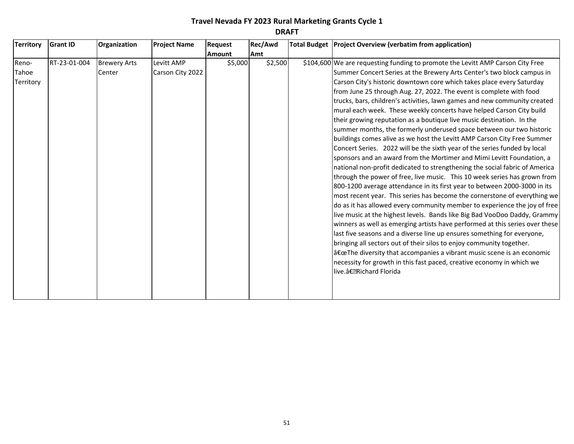| <b>Territory</b>            | <b>Grant ID</b> | Organization                  | <b>Project Name</b>            | Request       | Rec/Awd    | Total Budget   Project Overview (verbatim from application)                                                                                                                                                                                                                                                                                                                                                                                                                                                                                                                                                                                                                                                                                                                                                                                                                                                                                                                                                                                                                                                                                                                                                                                                                                                                                                                                                                                                                                                                                                                                                                                                                                                                                                   |
|-----------------------------|-----------------|-------------------------------|--------------------------------|---------------|------------|---------------------------------------------------------------------------------------------------------------------------------------------------------------------------------------------------------------------------------------------------------------------------------------------------------------------------------------------------------------------------------------------------------------------------------------------------------------------------------------------------------------------------------------------------------------------------------------------------------------------------------------------------------------------------------------------------------------------------------------------------------------------------------------------------------------------------------------------------------------------------------------------------------------------------------------------------------------------------------------------------------------------------------------------------------------------------------------------------------------------------------------------------------------------------------------------------------------------------------------------------------------------------------------------------------------------------------------------------------------------------------------------------------------------------------------------------------------------------------------------------------------------------------------------------------------------------------------------------------------------------------------------------------------------------------------------------------------------------------------------------------------|
|                             |                 |                               |                                | <b>Amount</b> | <b>Amt</b> |                                                                                                                                                                                                                                                                                                                                                                                                                                                                                                                                                                                                                                                                                                                                                                                                                                                                                                                                                                                                                                                                                                                                                                                                                                                                                                                                                                                                                                                                                                                                                                                                                                                                                                                                                               |
| Reno-<br>Tahoe<br>Territory | RT-23-01-004    | <b>Brewery Arts</b><br>Center | Levitt AMP<br>Carson City 2022 | \$5,000       | \$2,500    | \$104,600 We are requesting funding to promote the Levitt AMP Carson City Free<br>Summer Concert Series at the Brewery Arts Center's two block campus in<br>Carson City's historic downtown core which takes place every Saturday<br>from June 25 through Aug. 27, 2022. The event is complete with food<br>trucks, bars, children's activities, lawn games and new community created<br>mural each week. These weekly concerts have helped Carson City build<br>their growing reputation as a boutique live music destination. In the<br>summer months, the formerly underused space between our two historic<br>buildings comes alive as we host the Levitt AMP Carson City Free Summer<br>Concert Series. 2022 will be the sixth year of the series funded by local<br>sponsors and an award from the Mortimer and Mimi Levitt Foundation, a<br>national non-profit dedicated to strengthening the social fabric of America<br>through the power of free, live music. This 10 week series has grown from<br>800-1200 average attendance in its first year to between 2000-3000 in its<br>most recent year. This series has become the cornerstone of everything we<br>do as it has allowed every community member to experience the joy of free<br>live music at the highest levels. Bands like Big Bad VooDoo Daddy, Grammy<br>winners as well as emerging artists have performed at this series over these<br>last five seasons and a diverse line up ensures something for everyone,<br>bringing all sectors out of their silos to enjoy community together.<br>$a\in\mathbb{C}$ The diversity that accompanies a vibrant music scene is an economic<br>necessity for growth in this fast paced, creative economy in which we<br>live.― Richard Florida |
|                             |                 |                               |                                |               |            |                                                                                                                                                                                                                                                                                                                                                                                                                                                                                                                                                                                                                                                                                                                                                                                                                                                                                                                                                                                                                                                                                                                                                                                                                                                                                                                                                                                                                                                                                                                                                                                                                                                                                                                                                               |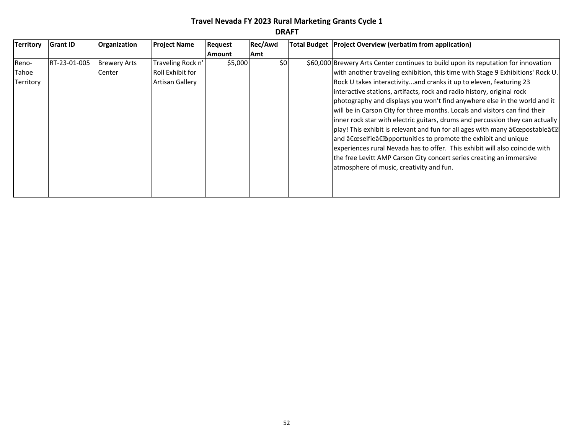| π<br>ρ<br>u.<br>-<br>w<br>۰. |
|------------------------------|
|------------------------------|

| <b>Territory</b> | <b>Grant ID</b> | Organization        | <b>Project Name</b>    | Request       | Rec/Awd | Total Budget   Project Overview (verbatim from application)                        |
|------------------|-----------------|---------------------|------------------------|---------------|---------|------------------------------------------------------------------------------------|
|                  |                 |                     |                        | <b>Amount</b> | Amt     |                                                                                    |
| Reno-            | RT-23-01-005    | <b>Brewery Arts</b> | Traveling Rock n'      | \$5,000       | \$0     | \$60,000 Brewery Arts Center continues to build upon its reputation for innovation |
| Tahoe            |                 | Center              | Roll Exhibit for       |               |         | with another traveling exhibition, this time with Stage 9 Exhibitions' Rock U.     |
| Territory        |                 |                     | <b>Artisan Gallery</b> |               |         | Rock U takes interactivityand cranks it up to eleven, featuring 23                 |
|                  |                 |                     |                        |               |         | interactive stations, artifacts, rock and radio history, original rock             |
|                  |                 |                     |                        |               |         | photography and displays you won't find anywhere else in the world and it          |
|                  |                 |                     |                        |               |         | will be in Carson City for three months. Locals and visitors can find their        |
|                  |                 |                     |                        |               |         | inner rock star with electric guitars, drums and percussion they can actually      |
|                  |                 |                     |                        |               |         | play! This exhibit is relevant and fun for all ages with many "postable―           |
|                  |                 |                     |                        |               |         | and "selfie†opportunities to promote the exhibit and unique                        |
|                  |                 |                     |                        |               |         | experiences rural Nevada has to offer. This exhibit will also coincide with        |
|                  |                 |                     |                        |               |         | the free Levitt AMP Carson City concert series creating an immersive               |
|                  |                 |                     |                        |               |         | atmosphere of music, creativity and fun.                                           |
|                  |                 |                     |                        |               |         |                                                                                    |
|                  |                 |                     |                        |               |         |                                                                                    |
|                  |                 |                     |                        |               |         |                                                                                    |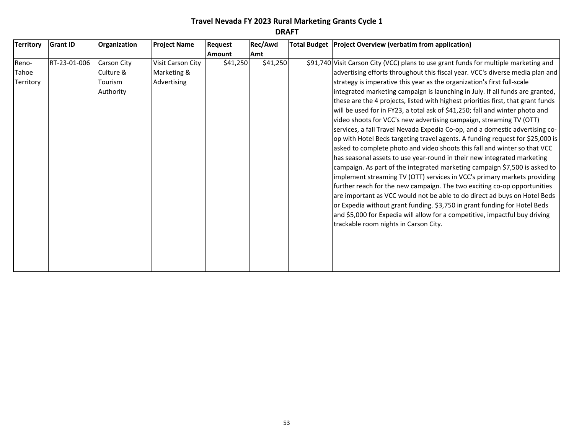| <b>Territory</b> | <b>Grant ID</b> | Organization | <b>Project Name</b> | Request  | Rec/Awd  | Total Budget Project Overview (verbatim from application)                            |
|------------------|-----------------|--------------|---------------------|----------|----------|--------------------------------------------------------------------------------------|
|                  |                 |              |                     | Amount   | Amt      |                                                                                      |
| Reno-            | RT-23-01-006    | Carson City  | Visit Carson City   | \$41,250 | \$41,250 | \$91,740 Visit Carson City (VCC) plans to use grant funds for multiple marketing and |
| Tahoe            |                 | Culture &    | Marketing &         |          |          | advertising efforts throughout this fiscal year. VCC's diverse media plan and        |
| Territory        |                 | Tourism      | Advertising         |          |          | strategy is imperative this year as the organization's first full-scale              |
|                  |                 | Authority    |                     |          |          | integrated marketing campaign is launching in July. If all funds are granted,        |
|                  |                 |              |                     |          |          | these are the 4 projects, listed with highest priorities first, that grant funds     |
|                  |                 |              |                     |          |          | will be used for in FY23, a total ask of \$41,250; fall and winter photo and         |
|                  |                 |              |                     |          |          | video shoots for VCC's new advertising campaign, streaming TV (OTT)                  |
|                  |                 |              |                     |          |          | services, a fall Travel Nevada Expedia Co-op, and a domestic advertising co-         |
|                  |                 |              |                     |          |          | op with Hotel Beds targeting travel agents. A funding request for \$25,000 is        |
|                  |                 |              |                     |          |          | asked to complete photo and video shoots this fall and winter so that VCC            |
|                  |                 |              |                     |          |          | has seasonal assets to use year-round in their new integrated marketing              |
|                  |                 |              |                     |          |          | campaign. As part of the integrated marketing campaign \$7,500 is asked to           |
|                  |                 |              |                     |          |          | implement streaming TV (OTT) services in VCC's primary markets providing             |
|                  |                 |              |                     |          |          | further reach for the new campaign. The two exciting co-op opportunities             |
|                  |                 |              |                     |          |          | are important as VCC would not be able to do direct ad buys on Hotel Beds            |
|                  |                 |              |                     |          |          | or Expedia without grant funding. \$3,750 in grant funding for Hotel Beds            |
|                  |                 |              |                     |          |          | and \$5,000 for Expedia will allow for a competitive, impactful buy driving          |
|                  |                 |              |                     |          |          | trackable room nights in Carson City.                                                |
|                  |                 |              |                     |          |          |                                                                                      |
|                  |                 |              |                     |          |          |                                                                                      |
|                  |                 |              |                     |          |          |                                                                                      |
|                  |                 |              |                     |          |          |                                                                                      |
|                  |                 |              |                     |          |          |                                                                                      |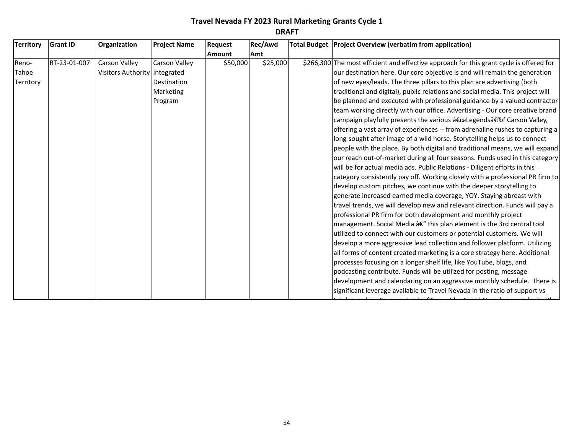| <b>Territory</b> | <b>Grant ID</b> | Organization                  | <b>Project Name</b>  | <b>Request</b> | Rec/Awd  | Total Budget Project Overview (verbatim from application)                               |
|------------------|-----------------|-------------------------------|----------------------|----------------|----------|-----------------------------------------------------------------------------------------|
|                  |                 |                               |                      | Amount         | Amt      |                                                                                         |
| Reno-            | RT-23-01-007    | <b>Carson Valley</b>          | <b>Carson Valley</b> | \$50,000       | \$25,000 | \$266,300 The most efficient and effective approach for this grant cycle is offered for |
| Tahoe            |                 | Visitors Authority Integrated |                      |                |          | our destination here. Our core objective is and will remain the generation              |
| Territory        |                 |                               | Destination          |                |          | of new eyes/leads. The three pillars to this plan are advertising (both                 |
|                  |                 |                               | Marketing            |                |          | traditional and digital), public relations and social media. This project will          |
|                  |                 |                               | Program              |                |          | be planned and executed with professional guidance by a valued contractor               |
|                  |                 |                               |                      |                |          | team working directly with our office. Advertising - Our core creative brand            |
|                  |                 |                               |                      |                |          | campaign playfully presents the various "Legends―of Carson Valley,                      |
|                  |                 |                               |                      |                |          | offering a vast array of experiences -- from adrenaline rushes to capturing a           |
|                  |                 |                               |                      |                |          | long-sought after image of a wild horse. Storytelling helps us to connect               |
|                  |                 |                               |                      |                |          | people with the place. By both digital and traditional means, we will expand            |
|                  |                 |                               |                      |                |          | our reach out-of-market during all four seasons. Funds used in this category            |
|                  |                 |                               |                      |                |          | will be for actual media ads. Public Relations - Diligent efforts in this               |
|                  |                 |                               |                      |                |          | category consistently pay off. Working closely with a professional PR firm to           |
|                  |                 |                               |                      |                |          | develop custom pitches, we continue with the deeper storytelling to                     |
|                  |                 |                               |                      |                |          | generate increased earned media coverage, YOY. Staying abreast with                     |
|                  |                 |                               |                      |                |          | travel trends, we will develop new and relevant direction. Funds will pay a             |
|                  |                 |                               |                      |                |          | professional PR firm for both development and monthly project                           |
|                  |                 |                               |                      |                |          | management. Social Media â€" this plan element is the 3rd central tool                  |
|                  |                 |                               |                      |                |          | utilized to connect with our customers or potential customers. We will                  |
|                  |                 |                               |                      |                |          | develop a more aggressive lead collection and follower platform. Utilizing              |
|                  |                 |                               |                      |                |          | all forms of content created marketing is a core strategy here. Additional              |
|                  |                 |                               |                      |                |          | processes focusing on a longer shelf life, like YouTube, blogs, and                     |
|                  |                 |                               |                      |                |          | podcasting contribute. Funds will be utilized for posting, message                      |
|                  |                 |                               |                      |                |          | development and calendaring on an aggressive monthly schedule. There is                 |
|                  |                 |                               |                      |                |          | significant leverage available to Travel Nevada in the ratio of support vs              |

total spending. Conservatively, \$1 spent by Travel Nevada is matched with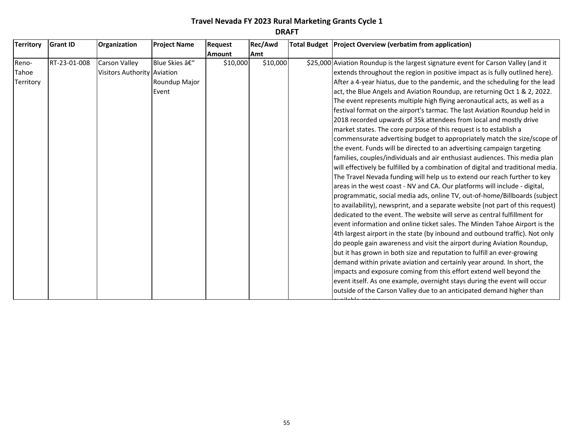| <b>Territory</b> | <b>Grant ID</b> | Organization                | <b>Project Name</b> | Request       | Rec/Awd    | Total Budget   Project Overview (verbatim from application)                        |
|------------------|-----------------|-----------------------------|---------------------|---------------|------------|------------------------------------------------------------------------------------|
|                  |                 |                             |                     | <b>Amount</b> | <b>Amt</b> |                                                                                    |
| Reno-            | RT-23-01-008    | Carson Valley               | Blue Skies –        | \$10,000      | \$10,000   | \$25,000 Aviation Roundup is the largest signature event for Carson Valley (and it |
| Tahoe            |                 | Visitors Authority Aviation |                     |               |            | extends throughout the region in positive impact as is fully outlined here).       |
| Territory        |                 |                             | Roundup Major       |               |            | After a 4-year hiatus, due to the pandemic, and the scheduling for the lead        |
|                  |                 |                             | Event               |               |            | act, the Blue Angels and Aviation Roundup, are returning Oct 1 & 2, 2022.          |
|                  |                 |                             |                     |               |            | The event represents multiple high flying aeronautical acts, as well as a          |
|                  |                 |                             |                     |               |            | festival format on the airport's tarmac. The last Aviation Roundup held in         |
|                  |                 |                             |                     |               |            | 2018 recorded upwards of 35k attendees from local and mostly drive                 |
|                  |                 |                             |                     |               |            | market states. The core purpose of this request is to establish a                  |
|                  |                 |                             |                     |               |            | commensurate advertising budget to appropriately match the size/scope of           |
|                  |                 |                             |                     |               |            | the event. Funds will be directed to an advertising campaign targeting             |
|                  |                 |                             |                     |               |            | families, couples/individuals and air enthusiast audiences. This media plan        |
|                  |                 |                             |                     |               |            | will effectively be fulfilled by a combination of digital and traditional media.   |
|                  |                 |                             |                     |               |            | The Travel Nevada funding will help us to extend our reach further to key          |
|                  |                 |                             |                     |               |            | areas in the west coast - NV and CA. Our platforms will include - digital,         |
|                  |                 |                             |                     |               |            | programmatic, social media ads, online TV, out-of-home/Billboards (subject         |
|                  |                 |                             |                     |               |            | to availability), newsprint, and a separate website (not part of this request)     |
|                  |                 |                             |                     |               |            | dedicated to the event. The website will serve as central fulfillment for          |
|                  |                 |                             |                     |               |            | event information and online ticket sales. The Minden Tahoe Airport is the         |
|                  |                 |                             |                     |               |            | 4th largest airport in the state (by inbound and outbound traffic). Not only       |
|                  |                 |                             |                     |               |            | do people gain awareness and visit the airport during Aviation Roundup,            |
|                  |                 |                             |                     |               |            | but it has grown in both size and reputation to fulfill an ever-growing            |
|                  |                 |                             |                     |               |            | demand within private aviation and certainly year around. In short, the            |
|                  |                 |                             |                     |               |            | impacts and exposure coming from this effort extend well beyond the                |
|                  |                 |                             |                     |               |            | event itself. As one example, overnight stays during the event will occur          |
|                  |                 |                             |                     |               |            | outside of the Carson Valley due to an anticipated demand higher than              |

available rooms.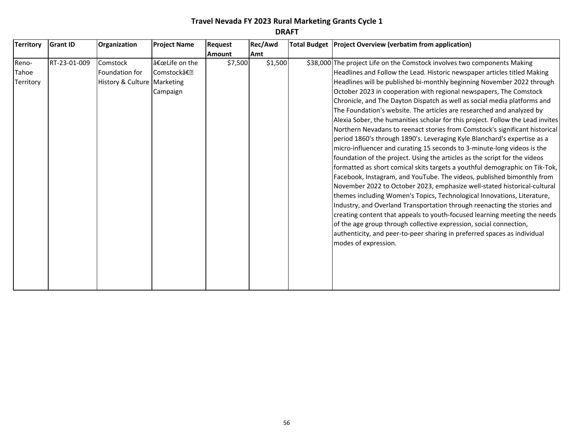| <b>Territory</b> | <b>Grant ID</b> | Organization                | <b>Project Name</b>       | Request       | Rec/Awd | Total Budget Project Overview (verbatim from application)                                                                                            |
|------------------|-----------------|-----------------------------|---------------------------|---------------|---------|------------------------------------------------------------------------------------------------------------------------------------------------------|
|                  |                 |                             |                           | <b>Amount</b> | Amt     |                                                                                                                                                      |
| Reno-<br>Tahoe   | RT-23-01-009    | Comstock<br>Foundation for  | "Life on the<br>Comstock― | \$7,500       | \$1,500 | \$38,000 The project Life on the Comstock involves two components Making<br>Headlines and Follow the Lead. Historic newspaper articles titled Making |
|                  |                 |                             |                           |               |         |                                                                                                                                                      |
| Territory        |                 | History & Culture Marketing |                           |               |         | Headlines will be published bi-monthly beginning November 2022 through                                                                               |
|                  |                 |                             | Campaign                  |               |         | October 2023 in cooperation with regional newspapers, The Comstock                                                                                   |
|                  |                 |                             |                           |               |         | Chronicle, and The Dayton Dispatch as well as social media platforms and                                                                             |
|                  |                 |                             |                           |               |         | The Foundation's website. The articles are researched and analyzed by                                                                                |
|                  |                 |                             |                           |               |         | Alexia Sober, the humanities scholar for this project. Follow the Lead invites                                                                       |
|                  |                 |                             |                           |               |         | Northern Nevadans to reenact stories from Comstock's significant historical                                                                          |
|                  |                 |                             |                           |               |         | period 1860's through 1890's. Leveraging Kyle Blanchard's expertise as a                                                                             |
|                  |                 |                             |                           |               |         | micro-influencer and curating 15 seconds to 3-minute-long videos is the                                                                              |
|                  |                 |                             |                           |               |         | foundation of the project. Using the articles as the script for the videos                                                                           |
|                  |                 |                             |                           |               |         | formatted as short comical skits targets a youthful demographic on Tik-Tok,                                                                          |
|                  |                 |                             |                           |               |         | Facebook, Instagram, and YouTube. The videos, published bimonthly from                                                                               |
|                  |                 |                             |                           |               |         | November 2022 to October 2023, emphasize well-stated historical-cultural                                                                             |
|                  |                 |                             |                           |               |         | themes including Women's Topics, Technological Innovations, Literature,                                                                              |
|                  |                 |                             |                           |               |         | Industry, and Overland Transportation through reenacting the stories and                                                                             |
|                  |                 |                             |                           |               |         | creating content that appeals to youth-focused learning meeting the needs                                                                            |
|                  |                 |                             |                           |               |         | of the age group through collective expression, social connection,                                                                                   |
|                  |                 |                             |                           |               |         | authenticity, and peer-to-peer sharing in preferred spaces as individual                                                                             |
|                  |                 |                             |                           |               |         | modes of expression.                                                                                                                                 |
|                  |                 |                             |                           |               |         |                                                                                                                                                      |
|                  |                 |                             |                           |               |         |                                                                                                                                                      |
|                  |                 |                             |                           |               |         |                                                                                                                                                      |
|                  |                 |                             |                           |               |         |                                                                                                                                                      |
|                  |                 |                             |                           |               |         |                                                                                                                                                      |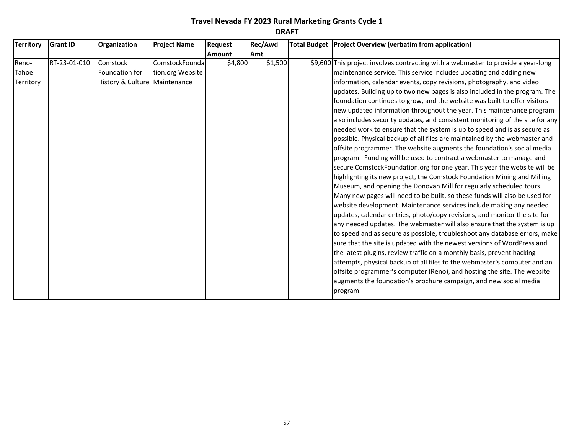| <b>Territory</b>            | <b>Grant ID</b> | Organization                                                  | <b>Project Name</b>                | <b>Request</b> | Rec/Awd | Total Budget Project Overview (verbatim from application)                                                                                                                                                                                                                                                                                                                                                                                                                                                                                                                                                                                                                                                                                                                                                                                                                                                                                                                                                                                                                                                                                                                                                                                                                                                                                                                                                                                                                                                                                                                                                                                              |
|-----------------------------|-----------------|---------------------------------------------------------------|------------------------------------|----------------|---------|--------------------------------------------------------------------------------------------------------------------------------------------------------------------------------------------------------------------------------------------------------------------------------------------------------------------------------------------------------------------------------------------------------------------------------------------------------------------------------------------------------------------------------------------------------------------------------------------------------------------------------------------------------------------------------------------------------------------------------------------------------------------------------------------------------------------------------------------------------------------------------------------------------------------------------------------------------------------------------------------------------------------------------------------------------------------------------------------------------------------------------------------------------------------------------------------------------------------------------------------------------------------------------------------------------------------------------------------------------------------------------------------------------------------------------------------------------------------------------------------------------------------------------------------------------------------------------------------------------------------------------------------------------|
|                             |                 |                                                               |                                    | <b>Amount</b>  | Amt     |                                                                                                                                                                                                                                                                                                                                                                                                                                                                                                                                                                                                                                                                                                                                                                                                                                                                                                                                                                                                                                                                                                                                                                                                                                                                                                                                                                                                                                                                                                                                                                                                                                                        |
| Reno-<br>Tahoe<br>Territory | RT-23-01-010    | Comstock<br>Foundation for<br>History & Culture   Maintenance | ComstockFounda<br>tion.org Website | \$4,800        | \$1,500 | \$9,600 This project involves contracting with a webmaster to provide a year-long<br>maintenance service. This service includes updating and adding new<br>information, calendar events, copy revisions, photography, and video                                                                                                                                                                                                                                                                                                                                                                                                                                                                                                                                                                                                                                                                                                                                                                                                                                                                                                                                                                                                                                                                                                                                                                                                                                                                                                                                                                                                                        |
|                             |                 |                                                               |                                    |                |         | updates. Building up to two new pages is also included in the program. The<br>foundation continues to grow, and the website was built to offer visitors<br>new updated information throughout the year. This maintenance program<br>also includes security updates, and consistent monitoring of the site for any<br>needed work to ensure that the system is up to speed and is as secure as<br>possible. Physical backup of all files are maintained by the webmaster and<br>offsite programmer. The website augments the foundation's social media<br>program. Funding will be used to contract a webmaster to manage and<br>secure ComstockFoundation.org for one year. This year the website will be<br>highlighting its new project, the Comstock Foundation Mining and Milling<br>Museum, and opening the Donovan Mill for regularly scheduled tours.<br>Many new pages will need to be built, so these funds will also be used for<br>website development. Maintenance services include making any needed<br>updates, calendar entries, photo/copy revisions, and monitor the site for<br>any needed updates. The webmaster will also ensure that the system is up<br>to speed and as secure as possible, troubleshoot any database errors, make<br>sure that the site is updated with the newest versions of WordPress and<br>the latest plugins, review traffic on a monthly basis, prevent hacking<br>attempts, physical backup of all files to the webmaster's computer and an<br>offsite programmer's computer (Reno), and hosting the site. The website<br>augments the foundation's brochure campaign, and new social media<br>program. |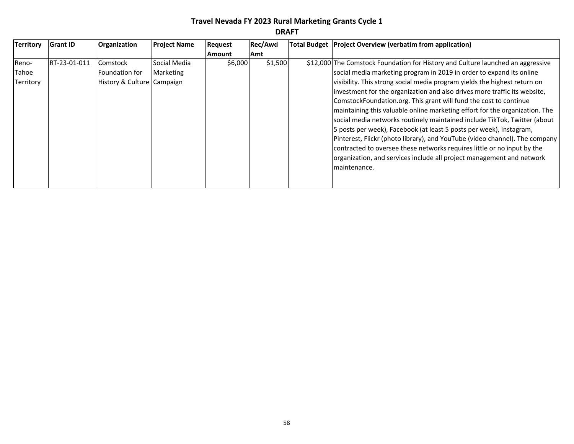| <b>Territory</b>                   | <b>Grant ID</b> | <b>Organization</b>                                      | <b>Project Name</b>       | <b>Request</b> | Rec/Awd | Total Budget   Project Overview (verbatim from application)                                                                                                                                                                                                                                                                                                                                                                                                                                                                                                                                                                                                                                                                                                                                                                                                  |
|------------------------------------|-----------------|----------------------------------------------------------|---------------------------|----------------|---------|--------------------------------------------------------------------------------------------------------------------------------------------------------------------------------------------------------------------------------------------------------------------------------------------------------------------------------------------------------------------------------------------------------------------------------------------------------------------------------------------------------------------------------------------------------------------------------------------------------------------------------------------------------------------------------------------------------------------------------------------------------------------------------------------------------------------------------------------------------------|
|                                    |                 |                                                          |                           | <b>Amount</b>  | Amt     |                                                                                                                                                                                                                                                                                                                                                                                                                                                                                                                                                                                                                                                                                                                                                                                                                                                              |
| Reno-<br>Tahoe<br><b>Territory</b> | RT-23-01-011    | Comstock<br>Foundation for<br>History & Culture Campaign | Social Media<br>Marketing | \$6,000        | \$1,500 | \$12,000 The Comstock Foundation for History and Culture launched an aggressive<br>social media marketing program in 2019 in order to expand its online<br>visibility. This strong social media program yields the highest return on<br>investment for the organization and also drives more traffic its website,<br>ComstockFoundation.org. This grant will fund the cost to continue<br>maintaining this valuable online marketing effort for the organization. The<br>social media networks routinely maintained include TikTok, Twitter (about<br>5 posts per week), Facebook (at least 5 posts per week), Instagram,<br>Pinterest, Flickr (photo library), and YouTube (video channel). The company<br>contracted to oversee these networks requires little or no input by the<br>organization, and services include all project management and network |
|                                    |                 |                                                          |                           |                |         | maintenance.                                                                                                                                                                                                                                                                                                                                                                                                                                                                                                                                                                                                                                                                                                                                                                                                                                                 |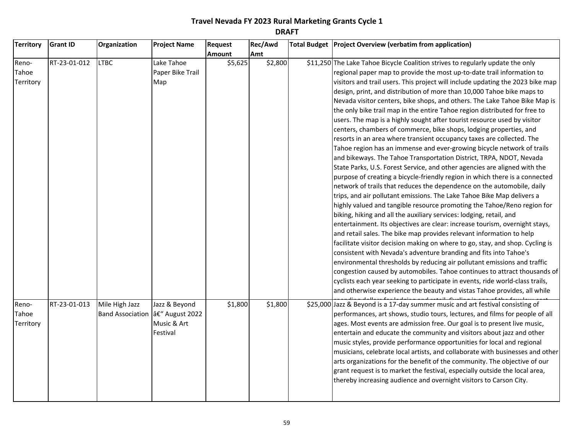| <b>Territory</b>            | <b>Grant ID</b> | Organization                                        | <b>Project Name</b>                      | Request | Rec/Awd | Total Budget Project Overview (verbatim from application)                                                                                                                                                                                                                                                                                                                                                                                                                                                                                                                                                                                                                                                                                                                                                                                                                                                                                                                                                                                                                                                                                                                                                                                                                                                                                                                                                                                                                                                                                                                                                                                                                                                                                                                                                                                                                                                                                                         |
|-----------------------------|-----------------|-----------------------------------------------------|------------------------------------------|---------|---------|-------------------------------------------------------------------------------------------------------------------------------------------------------------------------------------------------------------------------------------------------------------------------------------------------------------------------------------------------------------------------------------------------------------------------------------------------------------------------------------------------------------------------------------------------------------------------------------------------------------------------------------------------------------------------------------------------------------------------------------------------------------------------------------------------------------------------------------------------------------------------------------------------------------------------------------------------------------------------------------------------------------------------------------------------------------------------------------------------------------------------------------------------------------------------------------------------------------------------------------------------------------------------------------------------------------------------------------------------------------------------------------------------------------------------------------------------------------------------------------------------------------------------------------------------------------------------------------------------------------------------------------------------------------------------------------------------------------------------------------------------------------------------------------------------------------------------------------------------------------------------------------------------------------------------------------------------------------------|
|                             |                 |                                                     |                                          | Amount  | Amt     |                                                                                                                                                                                                                                                                                                                                                                                                                                                                                                                                                                                                                                                                                                                                                                                                                                                                                                                                                                                                                                                                                                                                                                                                                                                                                                                                                                                                                                                                                                                                                                                                                                                                                                                                                                                                                                                                                                                                                                   |
| Reno-<br>Tahoe<br>Territory | RT-23-01-012    | <b>LTBC</b>                                         | Lake Tahoe<br>Paper Bike Trail<br>Map    | \$5,625 | \$2,800 | \$11,250 The Lake Tahoe Bicycle Coalition strives to regularly update the only<br>regional paper map to provide the most up-to-date trail information to<br>visitors and trail users. This project will include updating the 2023 bike map<br>design, print, and distribution of more than 10,000 Tahoe bike maps to<br>Nevada visitor centers, bike shops, and others. The Lake Tahoe Bike Map is<br>the only bike trail map in the entire Tahoe region distributed for free to<br>users. The map is a highly sought after tourist resource used by visitor<br>centers, chambers of commerce, bike shops, lodging properties, and<br>resorts in an area where transient occupancy taxes are collected. The<br>Tahoe region has an immense and ever-growing bicycle network of trails<br>and bikeways. The Tahoe Transportation District, TRPA, NDOT, Nevada<br>State Parks, U.S. Forest Service, and other agencies are aligned with the<br>purpose of creating a bicycle-friendly region in which there is a connected<br>network of trails that reduces the dependence on the automobile, daily<br>trips, and air pollutant emissions. The Lake Tahoe Bike Map delivers a<br>highly valued and tangible resource promoting the Tahoe/Reno region for<br>biking, hiking and all the auxiliary services: lodging, retail, and<br>entertainment. Its objectives are clear: increase tourism, overnight stays,<br>and retail sales. The bike map provides relevant information to help<br>facilitate visitor decision making on where to go, stay, and shop. Cycling is<br>consistent with Nevada's adventure branding and fits into Tahoe's<br>environmental thresholds by reducing air pollutant emissions and traffic<br>congestion caused by automobiles. Tahoe continues to attract thousands of<br>cyclists each year seeking to participate in events, ride world-class trails,<br>and otherwise experience the beauty and vistas Tahoe provides, all while |
| Reno-<br>Tahoe<br>Territory | RT-23-01-013    | Mile High Jazz<br>Band Association  â€" August 2022 | Jazz & Beyond<br>Music & Art<br>Festival | \$1,800 | \$1,800 | \$25,000 Jazz & Beyond is a 17-day summer music and art festival consisting of<br>performances, art shows, studio tours, lectures, and films for people of all<br>ages. Most events are admission free. Our goal is to present live music,<br>entertain and educate the community and visitors about jazz and other<br>music styles, provide performance opportunities for local and regional<br>musicians, celebrate local artists, and collaborate with businesses and other<br>arts organizations for the benefit of the community. The objective of our<br>grant request is to market the festival, especially outside the local area,<br>thereby increasing audience and overnight visitors to Carson City.                                                                                                                                                                                                                                                                                                                                                                                                                                                                                                                                                                                                                                                                                                                                                                                                                                                                                                                                                                                                                                                                                                                                                                                                                                                  |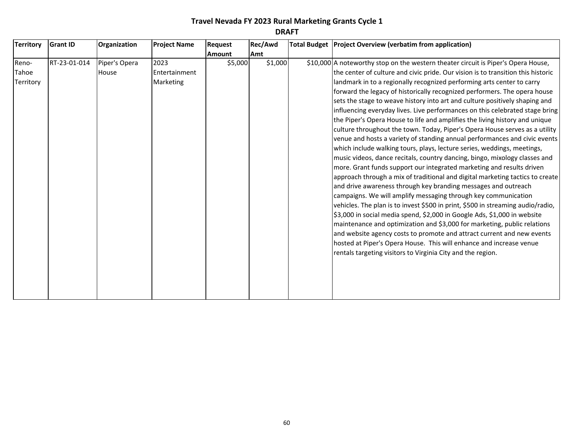| Territory                   | <b>Grant ID</b> | Organization           | <b>Project Name</b>                | Request       | Rec/Awd | Total Budget Project Overview (verbatim from application)                                                                                                                                                                                                                                                                                                                                                                                                                                                                                                                                                                                                                                                                                                                                                                                                                                                                                                                                                                                                                                                                                                                                                                                                                                                                                                                                                                                                                                                                                                                                                                                                 |
|-----------------------------|-----------------|------------------------|------------------------------------|---------------|---------|-----------------------------------------------------------------------------------------------------------------------------------------------------------------------------------------------------------------------------------------------------------------------------------------------------------------------------------------------------------------------------------------------------------------------------------------------------------------------------------------------------------------------------------------------------------------------------------------------------------------------------------------------------------------------------------------------------------------------------------------------------------------------------------------------------------------------------------------------------------------------------------------------------------------------------------------------------------------------------------------------------------------------------------------------------------------------------------------------------------------------------------------------------------------------------------------------------------------------------------------------------------------------------------------------------------------------------------------------------------------------------------------------------------------------------------------------------------------------------------------------------------------------------------------------------------------------------------------------------------------------------------------------------------|
|                             |                 |                        |                                    | <b>Amount</b> | Amt     |                                                                                                                                                                                                                                                                                                                                                                                                                                                                                                                                                                                                                                                                                                                                                                                                                                                                                                                                                                                                                                                                                                                                                                                                                                                                                                                                                                                                                                                                                                                                                                                                                                                           |
| Reno-<br>Tahoe<br>Territory | RT-23-01-014    | Piper's Opera<br>House | 2023<br>Entertainment<br>Marketing | \$5,000       | \$1,000 | \$10,000 A noteworthy stop on the western theater circuit is Piper's Opera House,<br>the center of culture and civic pride. Our vision is to transition this historic<br>landmark in to a regionally recognized performing arts center to carry<br>forward the legacy of historically recognized performers. The opera house<br>sets the stage to weave history into art and culture positively shaping and<br>influencing everyday lives. Live performances on this celebrated stage bring<br>the Piper's Opera House to life and amplifies the living history and unique<br>culture throughout the town. Today, Piper's Opera House serves as a utility<br>venue and hosts a variety of standing annual performances and civic events<br>which include walking tours, plays, lecture series, weddings, meetings,<br>music videos, dance recitals, country dancing, bingo, mixology classes and<br>more. Grant funds support our integrated marketing and results driven<br>approach through a mix of traditional and digital marketing tactics to create<br>and drive awareness through key branding messages and outreach<br>campaigns. We will amplify messaging through key communication<br>vehicles. The plan is to invest \$500 in print, \$500 in streaming audio/radio,<br>\$3,000 in social media spend, \$2,000 in Google Ads, \$1,000 in website<br>maintenance and optimization and \$3,000 for marketing, public relations<br>and website agency costs to promote and attract current and new events<br>hosted at Piper's Opera House. This will enhance and increase venue<br>rentals targeting visitors to Virginia City and the region. |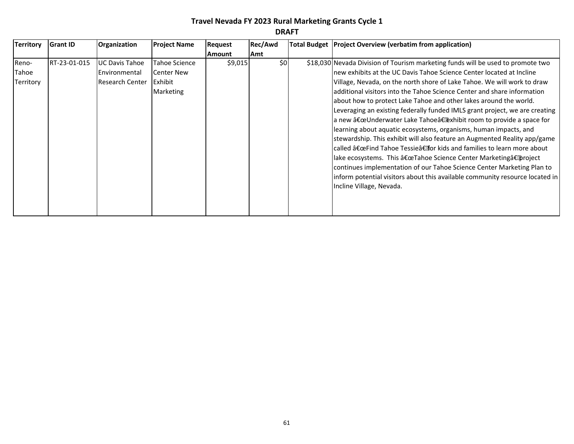| ņ<br>↩<br>-<br>n<br>I |
|-----------------------|
|-----------------------|

| <b>Territory</b> | <b>Grant ID</b> | <b>Organization</b>    | <b>Project Name</b> | Request       | Rec/Awd | Total Budget   Project Overview (verbatim from application)                     |
|------------------|-----------------|------------------------|---------------------|---------------|---------|---------------------------------------------------------------------------------|
|                  |                 |                        |                     | <b>Amount</b> | Amt     |                                                                                 |
| Reno-            | RT-23-01-015    | UC Davis Tahoe         | Tahoe Science       | \$9,015       | \$0     | \$18,030 Nevada Division of Tourism marketing funds will be used to promote two |
| Tahoe            |                 | Environmental          | <b>Center New</b>   |               |         | Inew exhibits at the UC Davis Tahoe Science Center located at Incline           |
| Territory        |                 | <b>Research Center</b> | <b>IExhibit</b>     |               |         | Village, Nevada, on the north shore of Lake Tahoe. We will work to draw         |
|                  |                 |                        | Marketing           |               |         | ladditional visitors into the Tahoe Science Center and share information        |
|                  |                 |                        |                     |               |         | about how to protect Lake Tahoe and other lakes around the world.               |
|                  |                 |                        |                     |               |         | Leveraging an existing federally funded IMLS grant project, we are creating     |
|                  |                 |                        |                     |               |         | a new "Underwater Lake Tahoe†exhibit room to provide a space for                |
|                  |                 |                        |                     |               |         | learning about aquatic ecosystems, organisms, human impacts, and                |
|                  |                 |                        |                     |               |         | stewardship. This exhibit will also feature an Augmented Reality app/game       |
|                  |                 |                        |                     |               |         | called "Find Tahoe Tessie‶or kids and families to learn more about              |
|                  |                 |                        |                     |               |         | llake ecosystems. This "Tahoe Science Center Marketing†project                  |
|                  |                 |                        |                     |               |         | continues implementation of our Tahoe Science Center Marketing Plan to          |
|                  |                 |                        |                     |               |         | inform potential visitors about this available community resource located in    |
|                  |                 |                        |                     |               |         | Incline Village, Nevada.                                                        |
|                  |                 |                        |                     |               |         |                                                                                 |
|                  |                 |                        |                     |               |         |                                                                                 |
|                  |                 |                        |                     |               |         |                                                                                 |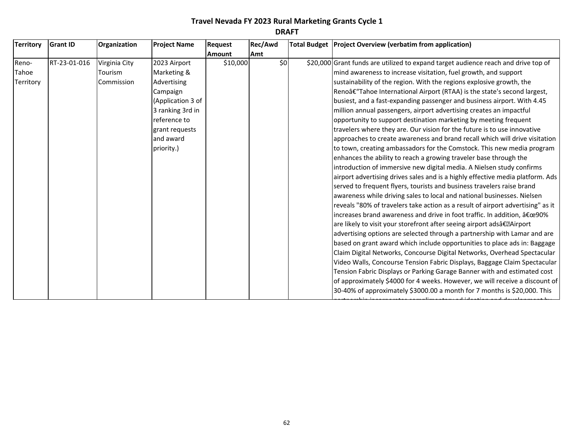| <b>Territory</b> | <b>Grant ID</b> | Organization  | <b>Project Name</b> | Request       | Rec/Awd | Total Budget   Project Overview (verbatim from application)                        |
|------------------|-----------------|---------------|---------------------|---------------|---------|------------------------------------------------------------------------------------|
|                  |                 |               |                     | <b>Amount</b> | Amt     |                                                                                    |
| Reno-            | RT-23-01-016    | Virginia City | 2023 Airport        | \$10,000      | \$0     | \$20,000 Grant funds are utilized to expand target audience reach and drive top of |
| Tahoe            |                 | Tourism       | Marketing &         |               |         | mind awareness to increase visitation, fuel growth, and support                    |
| Territory        |                 | Commission    | Advertising         |               |         | sustainability of the region. With the regions explosive growth, the               |
|                  |                 |               | Campaign            |               |         | Reno†"Tahoe International Airport (RTAA) is the state's second largest,            |
|                  |                 |               | (Application 3 of   |               |         | busiest, and a fast-expanding passenger and business airport. With 4.45            |
|                  |                 |               | 3 ranking 3rd in    |               |         | million annual passengers, airport advertising creates an impactful                |
|                  |                 |               | reference to        |               |         | opportunity to support destination marketing by meeting frequent                   |
|                  |                 |               | grant requests      |               |         | travelers where they are. Our vision for the future is to use innovative           |
|                  |                 |               | and award           |               |         | approaches to create awareness and brand recall which will drive visitation        |
|                  |                 |               | priority.)          |               |         | to town, creating ambassadors for the Comstock. This new media program             |
|                  |                 |               |                     |               |         | enhances the ability to reach a growing traveler base through the                  |
|                  |                 |               |                     |               |         | introduction of immersive new digital media. A Nielsen study confirms              |
|                  |                 |               |                     |               |         | airport advertising drives sales and is a highly effective media platform. Ads     |
|                  |                 |               |                     |               |         | served to frequent flyers, tourists and business travelers raise brand             |
|                  |                 |               |                     |               |         | awareness while driving sales to local and national businesses. Nielsen            |
|                  |                 |               |                     |               |         | reveals "80% of travelers take action as a result of airport advertising" as it    |
|                  |                 |               |                     |               |         | increases brand awareness and drive in foot traffic. In addition, "90%             |
|                  |                 |               |                     |               |         | are likely to visit your storefront after seeing airport adsâ€. Airport            |
|                  |                 |               |                     |               |         | advertising options are selected through a partnership with Lamar and are          |
|                  |                 |               |                     |               |         | based on grant award which include opportunities to place ads in: Baggage          |
|                  |                 |               |                     |               |         | Claim Digital Networks, Concourse Digital Networks, Overhead Spectacular           |
|                  |                 |               |                     |               |         | Video Walls, Concourse Tension Fabric Displays, Baggage Claim Spectacular          |
|                  |                 |               |                     |               |         | Tension Fabric Displays or Parking Garage Banner with and estimated cost           |
|                  |                 |               |                     |               |         | of approximately \$4000 for 4 weeks. However, we will receive a discount of        |
|                  |                 |               |                     |               |         | 30-40% of approximately \$3000.00 a month for 7 months is \$20,000. This           |
|                  |                 |               |                     |               |         |                                                                                    |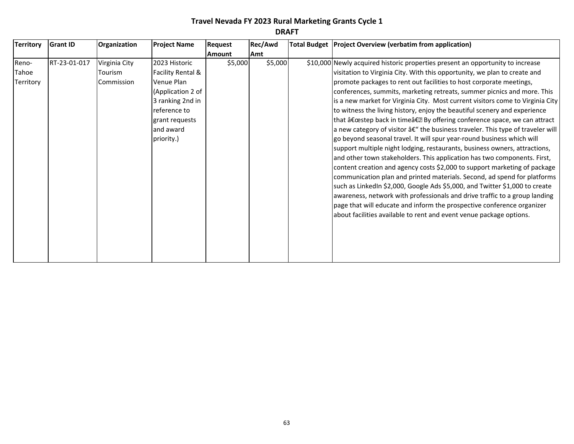|           |              | Organization  | <b>Project Name</b> | Request       | Rec/Awd | Total Budget   Project Overview (verbatim from application)                     |
|-----------|--------------|---------------|---------------------|---------------|---------|---------------------------------------------------------------------------------|
|           |              |               |                     | <b>Amount</b> | Amt     |                                                                                 |
| Reno-     | RT-23-01-017 | Virginia City | 2023 Historic       | \$5,000       | \$5,000 | \$10,000 Newly acquired historic properties present an opportunity to increase  |
| Tahoe     |              | Tourism       | Facility Rental &   |               |         | visitation to Virginia City. With this opportunity, we plan to create and       |
| Territory |              | Commission    | Venue Plan          |               |         | promote packages to rent out facilities to host corporate meetings,             |
|           |              |               | (Application 2 of   |               |         | conferences, summits, marketing retreats, summer picnics and more. This         |
|           |              |               | 3 ranking 2nd in    |               |         | is a new market for Virginia City. Most current visitors come to Virginia City  |
|           |              |               | reference to        |               |         | to witness the living history, enjoy the beautiful scenery and experience       |
|           |              |               | grant requests      |               |         | that "step back in timeâ€. By offering conference space, we can attract         |
|           |              |               | and award           |               |         | a new category of visitor â€" the business traveler. This type of traveler will |
|           |              |               | priority.)          |               |         | go beyond seasonal travel. It will spur year-round business which will          |
|           |              |               |                     |               |         | support multiple night lodging, restaurants, business owners, attractions,      |
|           |              |               |                     |               |         | and other town stakeholders. This application has two components. First,        |
|           |              |               |                     |               |         | content creation and agency costs \$2,000 to support marketing of package       |
|           |              |               |                     |               |         | communication plan and printed materials. Second, ad spend for platforms        |
|           |              |               |                     |               |         | such as LinkedIn \$2,000, Google Ads \$5,000, and Twitter \$1,000 to create     |
|           |              |               |                     |               |         | awareness, network with professionals and drive traffic to a group landing      |
|           |              |               |                     |               |         | page that will educate and inform the prospective conference organizer          |
|           |              |               |                     |               |         | about facilities available to rent and event venue package options.             |
|           |              |               |                     |               |         |                                                                                 |
|           |              |               |                     |               |         |                                                                                 |
|           |              |               |                     |               |         |                                                                                 |
|           |              |               |                     |               |         |                                                                                 |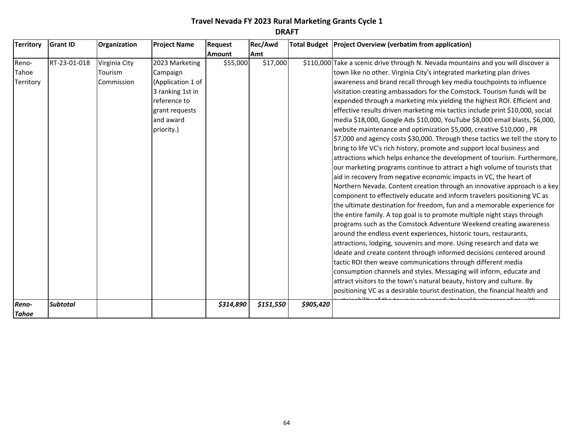| <b>Territory</b>      | <b>Grant ID</b> | Organization  | <b>Project Name</b> | Request       | Rec/Awd   |           | Total Budget   Project Overview (verbatim from application)                       |
|-----------------------|-----------------|---------------|---------------------|---------------|-----------|-----------|-----------------------------------------------------------------------------------|
|                       |                 |               |                     | <b>Amount</b> | Amt       |           |                                                                                   |
| Reno-                 | RT-23-01-018    | Virginia City | 2023 Marketing      | \$55,000      | \$17,000  |           | \$110,000 Take a scenic drive through N. Nevada mountains and you will discover a |
| Tahoe                 |                 | Tourism       | Campaign            |               |           |           | town like no other. Virginia City's integrated marketing plan drives              |
| Territory             |                 | Commission    | (Application 1 of   |               |           |           | awareness and brand recall through key media touchpoints to influence             |
|                       |                 |               | 3 ranking 1st in    |               |           |           | visitation creating ambassadors for the Comstock. Tourism funds will be           |
|                       |                 |               | reference to        |               |           |           | expended through a marketing mix yielding the highest ROI. Efficient and          |
|                       |                 |               | grant requests      |               |           |           | effective results driven marketing mix tactics include print \$10,000, social     |
|                       |                 |               | and award           |               |           |           | media \$18,000, Google Ads \$10,000, YouTube \$8,000 email blasts, \$6,000,       |
|                       |                 |               | priority.)          |               |           |           | website maintenance and optimization \$5,000, creative \$10,000, PR               |
|                       |                 |               |                     |               |           |           | \$7,000 and agency costs \$30,000. Through these tactics we tell the story to     |
|                       |                 |               |                     |               |           |           | bring to life VC's rich history, promote and support local business and           |
|                       |                 |               |                     |               |           |           | attractions which helps enhance the development of tourism. Furthermore,          |
|                       |                 |               |                     |               |           |           | our marketing programs continue to attract a high volume of tourists that         |
|                       |                 |               |                     |               |           |           | aid in recovery from negative economic impacts in VC, the heart of                |
|                       |                 |               |                     |               |           |           | Northern Nevada. Content creation through an innovative approach is a key         |
|                       |                 |               |                     |               |           |           | component to effectively educate and inform travelers positioning VC as           |
|                       |                 |               |                     |               |           |           | the ultimate destination for freedom, fun and a memorable experience for          |
|                       |                 |               |                     |               |           |           | the entire family. A top goal is to promote multiple night stays through          |
|                       |                 |               |                     |               |           |           | programs such as the Comstock Adventure Weekend creating awareness                |
|                       |                 |               |                     |               |           |           | around the endless event experiences, historic tours, restaurants,                |
|                       |                 |               |                     |               |           |           | attractions, lodging, souvenirs and more. Using research and data we              |
|                       |                 |               |                     |               |           |           | ideate and create content through informed decisions centered around              |
|                       |                 |               |                     |               |           |           | tactic ROI then weave communications through different media                      |
|                       |                 |               |                     |               |           |           | consumption channels and styles. Messaging will inform, educate and               |
|                       |                 |               |                     |               |           |           | attract visitors to the town's natural beauty, history and culture. By            |
|                       |                 |               |                     |               |           |           | positioning VC as a desirable tourist destination, the financial health and       |
| Reno-<br><b>Tahoe</b> | <b>Subtotal</b> |               |                     | \$314,890     | \$151,550 | \$905,420 |                                                                                   |